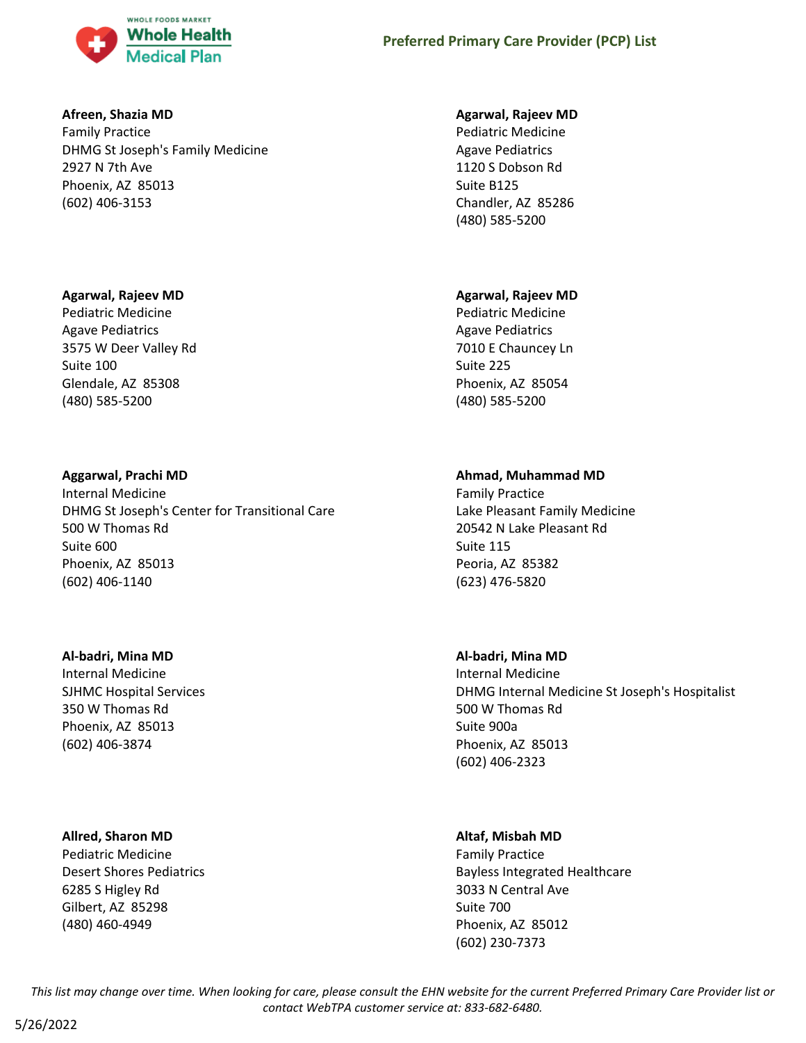

### **Afreen, Shazia MD**

Family Practice DHMG St Joseph's Family Medicine 2927 N 7th Ave Phoenix, AZ 85013 (602) 406-3153

### **Agarwal, Rajeev MD**

Pediatric Medicine Agave Pediatrics 3575 W Deer Valley Rd Suite 100 Glendale, AZ 85308 (480) 585-5200

# **Aggarwal, Prachi MD**

Internal Medicine DHMG St Joseph's Center for Transitional Care 500 W Thomas Rd Suite 600 Phoenix, AZ 85013 (602) 406-1140

### **Al-badri, Mina MD**

Internal Medicine SJHMC Hospital Services 350 W Thomas Rd Phoenix, AZ 85013 (602) 406-3874

# **Allred, Sharon MD**

Pediatric Medicine Desert Shores Pediatrics 6285 S Higley Rd Gilbert, AZ 85298 (480) 460-4949

### **Agarwal, Rajeev MD**

Pediatric Medicine Agave Pediatrics 1120 S Dobson Rd Suite B125 Chandler, AZ 85286 (480) 585-5200

### **Agarwal, Rajeev MD**

Pediatric Medicine Agave Pediatrics 7010 E Chauncey Ln Suite 225 Phoenix, AZ 85054 (480) 585-5200

# **Ahmad, Muhammad MD**

Family Practice Lake Pleasant Family Medicine 20542 N Lake Pleasant Rd Suite 115 Peoria, AZ 85382 (623) 476-5820

# **Al-badri, Mina MD**

Internal Medicine DHMG Internal Medicine St Joseph's Hospitalist 500 W Thomas Rd Suite 900a Phoenix, AZ 85013 (602) 406-2323

# **Altaf, Misbah MD**

Family Practice Bayless Integrated Healthcare 3033 N Central Ave Suite 700 Phoenix, AZ 85012 (602) 230-7373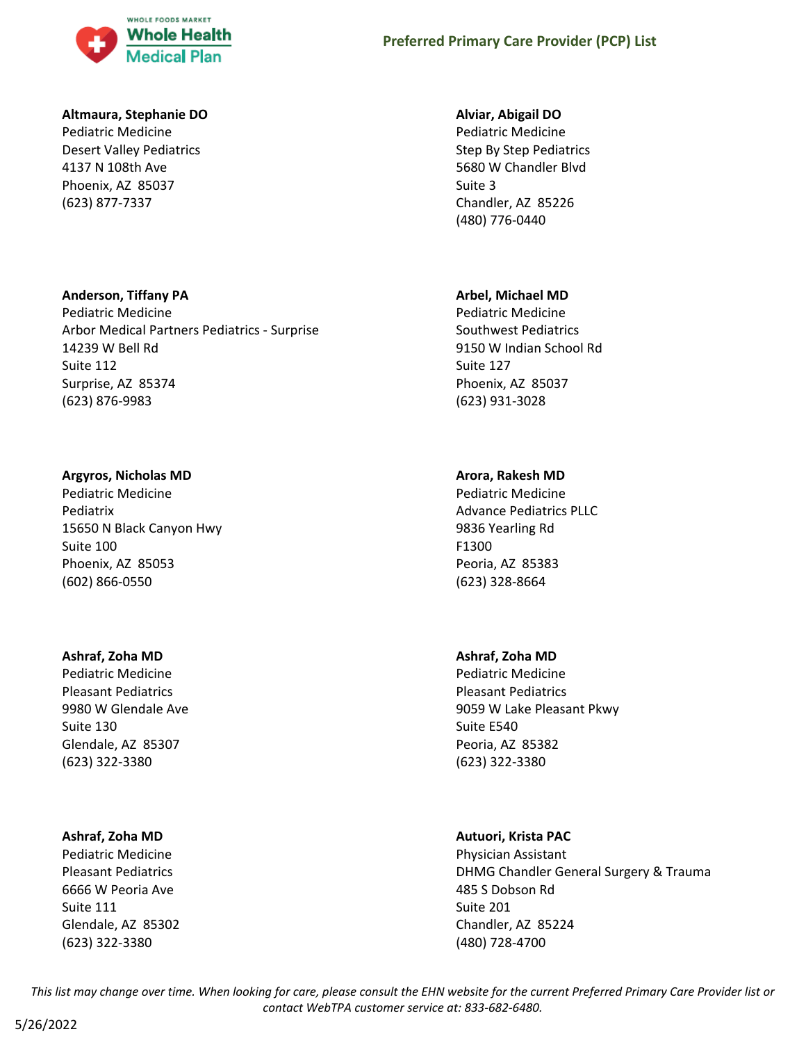

### **Altmaura, Stephanie DO**

Pediatric Medicine Desert Valley Pediatrics 4137 N 108th Ave Phoenix, AZ 85037 (623) 877-7337

### **Anderson, Tiffany PA**

Pediatric Medicine Arbor Medical Partners Pediatrics - Surprise 14239 W Bell Rd Suite 112 Surprise, AZ 85374 (623) 876-9983

# **Argyros, Nicholas MD**

Pediatric Medicine Pediatrix 15650 N Black Canyon Hwy Suite 100 Phoenix, AZ 85053 (602) 866-0550

# **Ashraf, Zoha MD**

Pediatric Medicine Pleasant Pediatrics 9980 W Glendale Ave Suite 130 Glendale, AZ 85307 (623) 322-3380

# **Ashraf, Zoha MD**

Pediatric Medicine Pleasant Pediatrics 6666 W Peoria Ave Suite 111 Glendale, AZ 85302 (623) 322-3380

### **Alviar, Abigail DO**

Pediatric Medicine Step By Step Pediatrics 5680 W Chandler Blvd Suite 3 Chandler, AZ 85226 (480) 776-0440

# **Arbel, Michael MD**

Pediatric Medicine Southwest Pediatrics 9150 W Indian School Rd Suite 127 Phoenix, AZ 85037 (623) 931-3028

# **Arora, Rakesh MD**

Pediatric Medicine Advance Pediatrics PLLC 9836 Yearling Rd F1300 Peoria, AZ 85383 (623) 328-8664

# **Ashraf, Zoha MD**

Pediatric Medicine Pleasant Pediatrics 9059 W Lake Pleasant Pkwy Suite E540 Peoria, AZ 85382 (623) 322-3380

# **Autuori, Krista PAC**

Physician Assistant DHMG Chandler General Surgery & Trauma 485 S Dobson Rd Suite 201 Chandler, AZ 85224 (480) 728-4700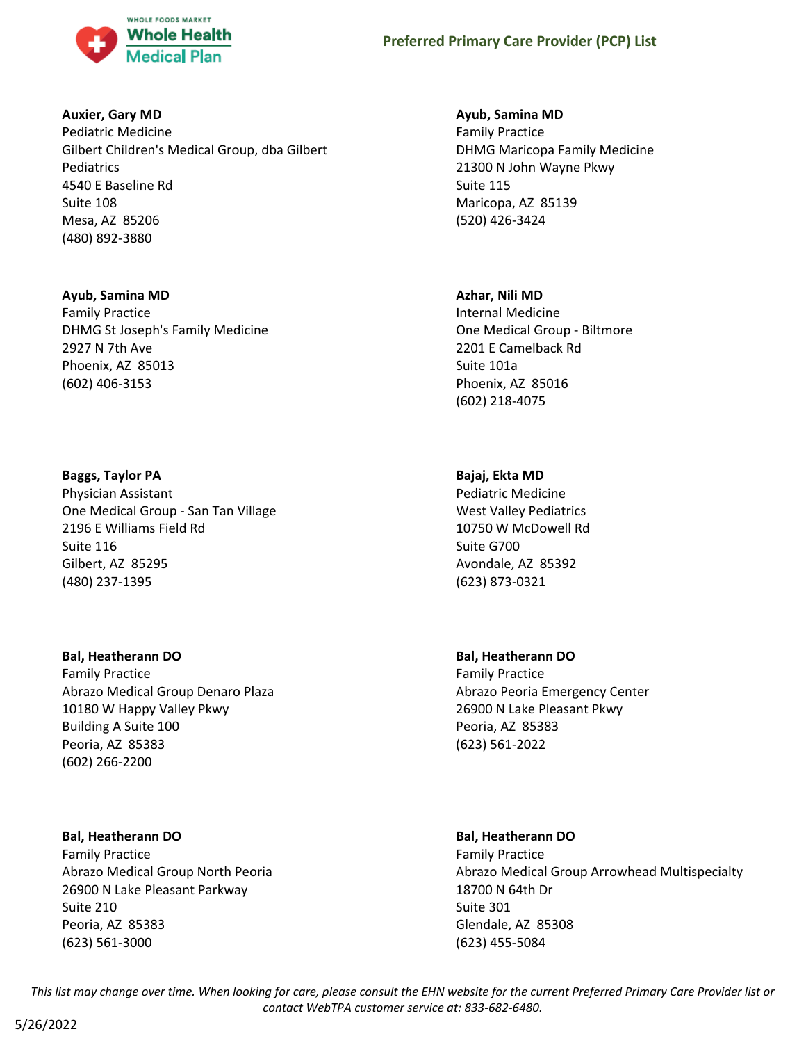

### **Auxier, Gary MD**

Pediatric Medicine Gilbert Children's Medical Group, dba Gilbert Pediatrics 4540 E Baseline Rd Suite 108 Mesa, AZ 85206 (480) 892-3880

### **Ayub, Samina MD**

Family Practice DHMG St Joseph's Family Medicine 2927 N 7th Ave Phoenix, AZ 85013 (602) 406-3153

### **Baggs, Taylor PA**

Physician Assistant One Medical Group - San Tan Village 2196 E Williams Field Rd Suite 116 Gilbert, AZ 85295 (480) 237-1395

### **Bal, Heatherann DO**

Family Practice Abrazo Medical Group Denaro Plaza 10180 W Happy Valley Pkwy Building A Suite 100 Peoria, AZ 85383 (602) 266-2200

### **Bal, Heatherann DO**

Family Practice Abrazo Medical Group North Peoria 26900 N Lake Pleasant Parkway Suite 210 Peoria, AZ 85383 (623) 561-3000

### **Ayub, Samina MD**

Family Practice DHMG Maricopa Family Medicine 21300 N John Wayne Pkwy Suite 115 Maricopa, AZ 85139 (520) 426-3424

### **Azhar, Nili MD**

Internal Medicine One Medical Group - Biltmore 2201 E Camelback Rd Suite 101a Phoenix, AZ 85016 (602) 218-4075

# **Bajaj, Ekta MD**

Pediatric Medicine West Valley Pediatrics 10750 W McDowell Rd Suite G700 Avondale, AZ 85392 (623) 873-0321

# **Bal, Heatherann DO**

Family Practice Abrazo Peoria Emergency Center 26900 N Lake Pleasant Pkwy Peoria, AZ 85383 (623) 561-2022

# **Bal, Heatherann DO**

Family Practice Abrazo Medical Group Arrowhead Multispecialty 18700 N 64th Dr Suite 301 Glendale, AZ 85308 (623) 455-5084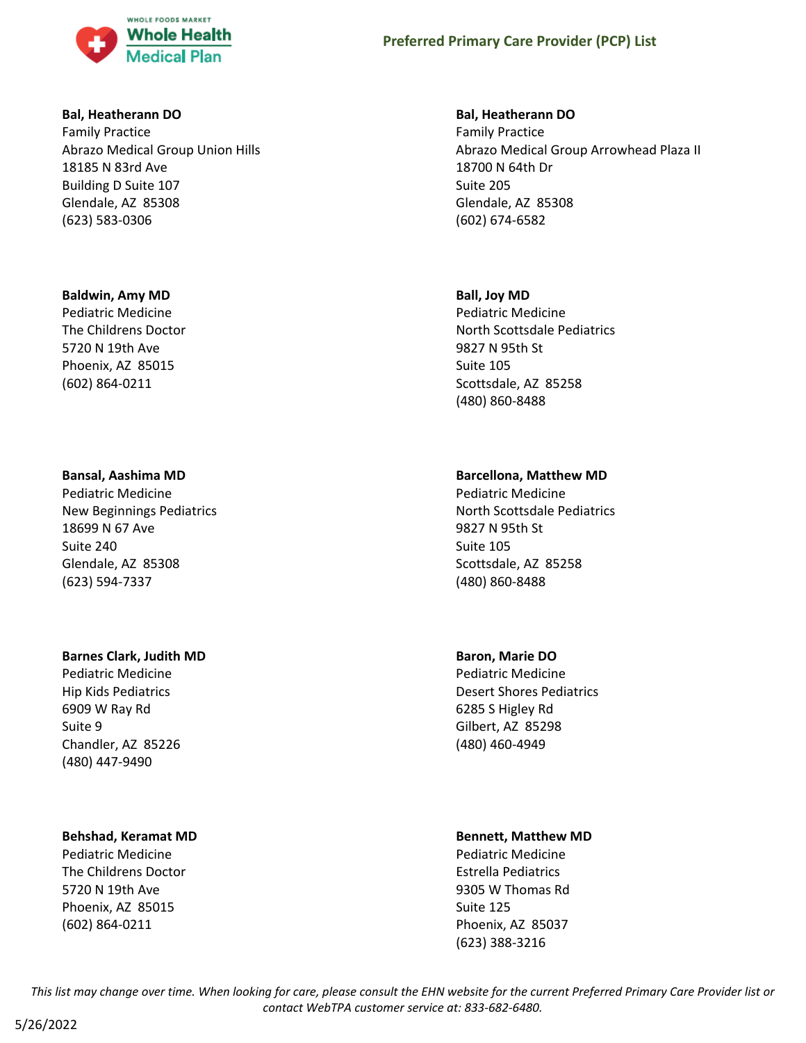

#### **Bal, Heatherann DO**

Family Practice Abrazo Medical Group Union Hills 18185 N 83rd Ave Building D Suite 107 Glendale, AZ 85308 (623) 583-0306

#### **Baldwin, Amy MD**

Pediatric Medicine The Childrens Doctor 5720 N 19th Ave Phoenix, AZ 85015 (602) 864-0211

### **Bansal, Aashima MD**

Pediatric Medicine New Beginnings Pediatrics 18699 N 67 Ave Suite 240 Glendale, AZ 85308 (623) 594-7337

#### **Barnes Clark, Judith MD**

Pediatric Medicine Hip Kids Pediatrics 6909 W Ray Rd Suite 9 Chandler, AZ 85226 (480) 447-9490

### **Behshad, Keramat MD**

Pediatric Medicine The Childrens Doctor 5720 N 19th Ave Phoenix, AZ 85015 (602) 864-0211

#### **Bal, Heatherann DO**

Family Practice Abrazo Medical Group Arrowhead Plaza II 18700 N 64th Dr Suite 205 Glendale, AZ 85308 (602) 674-6582

#### **Ball, Joy MD**

Pediatric Medicine North Scottsdale Pediatrics 9827 N 95th St Suite 105 Scottsdale, AZ 85258 (480) 860-8488

### **Barcellona, Matthew MD**

Pediatric Medicine North Scottsdale Pediatrics 9827 N 95th St Suite 105 Scottsdale, AZ 85258 (480) 860-8488

### **Baron, Marie DO**

Pediatric Medicine Desert Shores Pediatrics 6285 S Higley Rd Gilbert, AZ 85298 (480) 460-4949

#### **Bennett, Matthew MD**

Pediatric Medicine Estrella Pediatrics 9305 W Thomas Rd Suite 125 Phoenix, AZ 85037 (623) 388-3216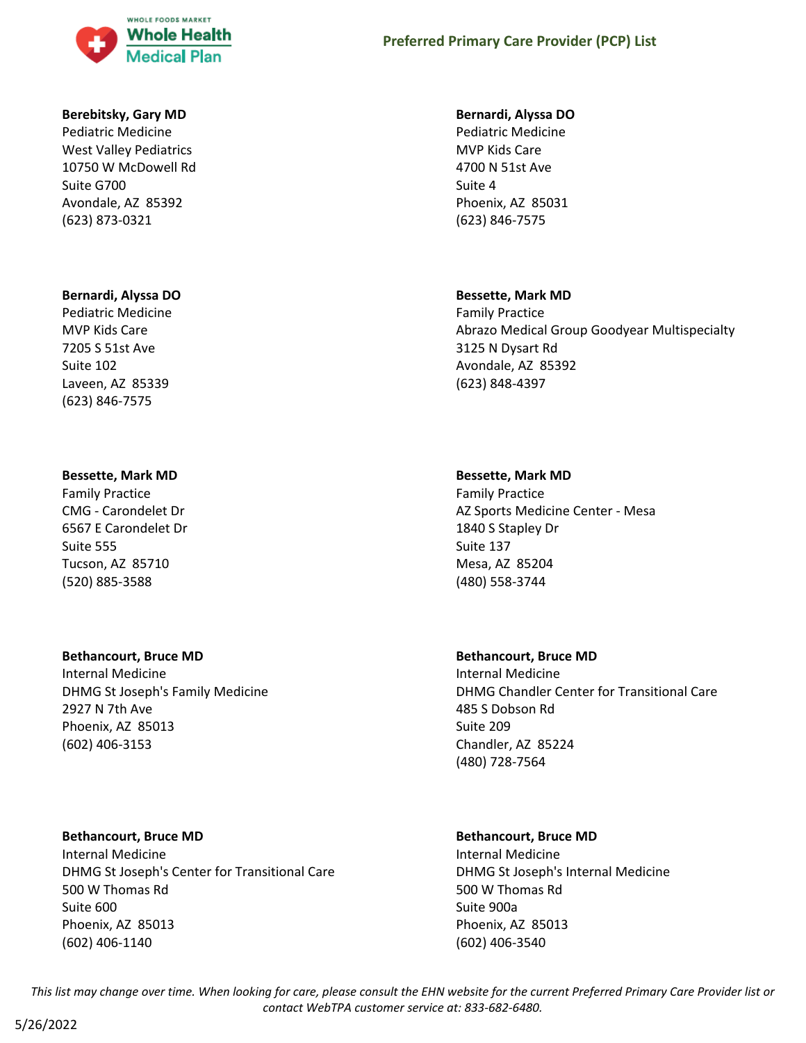

#### **Berebitsky, Gary MD**

Pediatric Medicine West Valley Pediatrics 10750 W McDowell Rd Suite G700 Avondale, AZ 85392 (623) 873-0321

#### **Bernardi, Alyssa DO**

Pediatric Medicine MVP Kids Care 7205 S 51st Ave Suite 102 Laveen, AZ 85339 (623) 846-7575

#### **Bessette, Mark MD**

Family Practice CMG - Carondelet Dr 6567 E Carondelet Dr Suite 555 Tucson, AZ 85710 (520) 885-3588

### **Bethancourt, Bruce MD**

Internal Medicine DHMG St Joseph's Family Medicine 2927 N 7th Ave Phoenix, AZ 85013 (602) 406-3153

### **Bethancourt, Bruce MD**

Internal Medicine DHMG St Joseph's Center for Transitional Care 500 W Thomas Rd Suite 600 Phoenix, AZ 85013 (602) 406-1140

# **Preferred Primary Care Provider (PCP) List**

#### **Bernardi, Alyssa DO**

Pediatric Medicine MVP Kids Care 4700 N 51st Ave Suite 4 Phoenix, AZ 85031 (623) 846-7575

#### **Bessette, Mark MD**

Family Practice Abrazo Medical Group Goodyear Multispecialty 3125 N Dysart Rd Avondale, AZ 85392 (623) 848-4397

#### **Bessette, Mark MD**

Family Practice AZ Sports Medicine Center - Mesa 1840 S Stapley Dr Suite 137 Mesa, AZ 85204 (480) 558-3744

#### **Bethancourt, Bruce MD**

Internal Medicine DHMG Chandler Center for Transitional Care 485 S Dobson Rd Suite 209 Chandler, AZ 85224 (480) 728-7564

### **Bethancourt, Bruce MD**

Internal Medicine DHMG St Joseph's Internal Medicine 500 W Thomas Rd Suite 900a Phoenix, AZ 85013 (602) 406-3540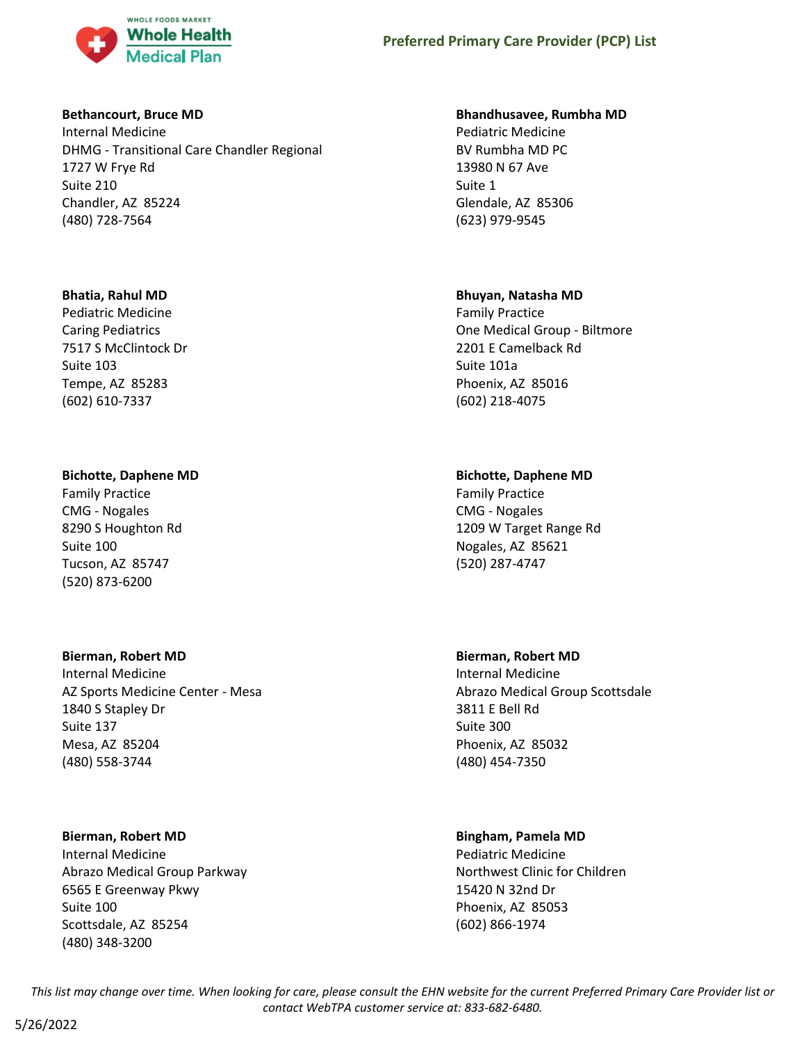

### **Bethancourt, Bruce MD**

Internal Medicine DHMG - Transitional Care Chandler Regional 1727 W Frye Rd Suite 210 Chandler, AZ 85224 (480) 728-7564

### **Bhatia, Rahul MD**

Pediatric Medicine Caring Pediatrics 7517 S McClintock Dr Suite 103 Tempe, AZ 85283 (602) 610-7337

# **Bichotte, Daphene MD**

Family Practice CMG - Nogales 8290 S Houghton Rd Suite 100 Tucson, AZ 85747 (520) 873-6200

### **Bierman, Robert MD**

Internal Medicine AZ Sports Medicine Center - Mesa 1840 S Stapley Dr Suite 137 Mesa, AZ 85204 (480) 558-3744

### **Bierman, Robert MD**

Internal Medicine Abrazo Medical Group Parkway 6565 E Greenway Pkwy Suite 100 Scottsdale, AZ 85254 (480) 348-3200

### **Bhandhusavee, Rumbha MD**

Pediatric Medicine BV Rumbha MD PC 13980 N 67 Ave Suite 1 Glendale, AZ 85306 (623) 979-9545

### **Bhuyan, Natasha MD**

Family Practice One Medical Group - Biltmore 2201 E Camelback Rd Suite 101a Phoenix, AZ 85016 (602) 218-4075

# **Bichotte, Daphene MD**

Family Practice CMG - Nogales 1209 W Target Range Rd Nogales, AZ 85621 (520) 287-4747

# **Bierman, Robert MD**

Internal Medicine Abrazo Medical Group Scottsdale 3811 E Bell Rd Suite 300 Phoenix, AZ 85032 (480) 454-7350

# **Bingham, Pamela MD**

Pediatric Medicine Northwest Clinic for Children 15420 N 32nd Dr Phoenix, AZ 85053 (602) 866-1974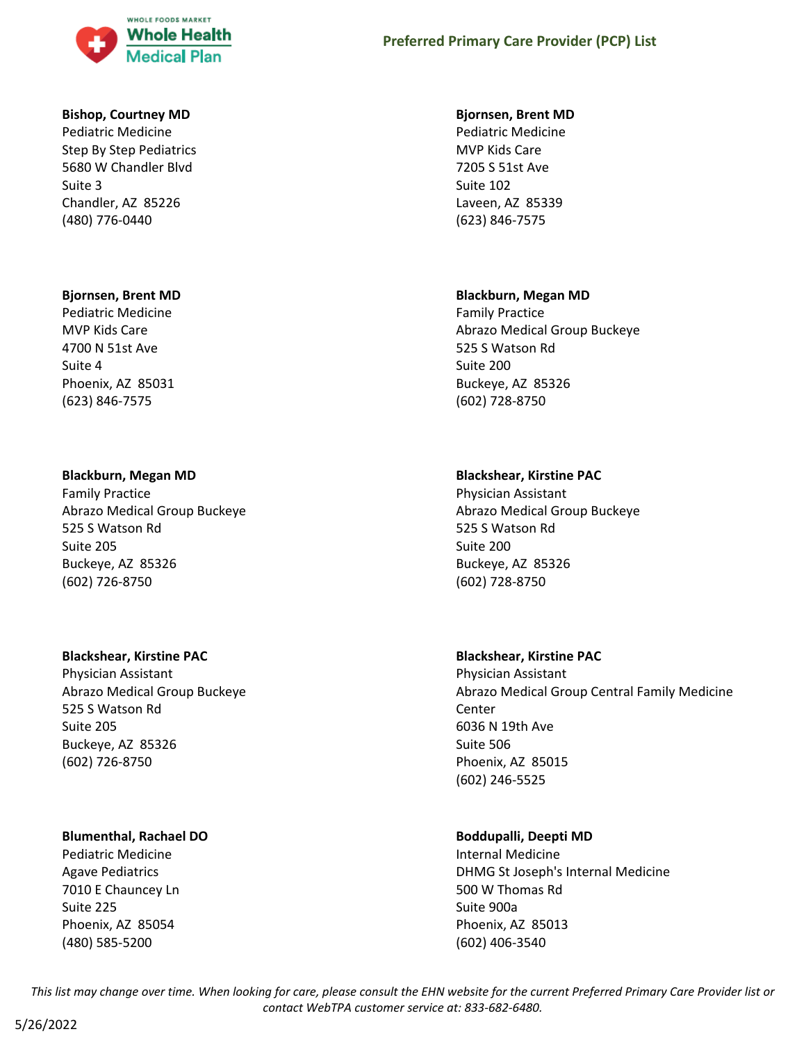

#### **Bishop, Courtney MD**

Pediatric Medicine Step By Step Pediatrics 5680 W Chandler Blvd Suite 3 Chandler, AZ 85226 (480) 776-0440

#### **Bjornsen, Brent MD**

Pediatric Medicine MVP Kids Care 4700 N 51st Ave Suite 4 Phoenix, AZ 85031 (623) 846-7575

#### **Blackburn, Megan MD**

Family Practice Abrazo Medical Group Buckeye 525 S Watson Rd Suite 205 Buckeye, AZ 85326 (602) 726-8750

### **Blackshear, Kirstine PAC**

Physician Assistant Abrazo Medical Group Buckeye 525 S Watson Rd Suite 205 Buckeye, AZ 85326 (602) 726-8750

### **Blumenthal, Rachael DO**

Pediatric Medicine Agave Pediatrics 7010 E Chauncey Ln Suite 225 Phoenix, AZ 85054 (480) 585-5200

# **Preferred Primary Care Provider (PCP) List**

#### **Bjornsen, Brent MD**

Pediatric Medicine MVP Kids Care 7205 S 51st Ave Suite 102 Laveen, AZ 85339 (623) 846-7575

#### **Blackburn, Megan MD**

Family Practice Abrazo Medical Group Buckeye 525 S Watson Rd Suite 200 Buckeye, AZ 85326 (602) 728-8750

### **Blackshear, Kirstine PAC**

Physician Assistant Abrazo Medical Group Buckeye 525 S Watson Rd Suite 200 Buckeye, AZ 85326 (602) 728-8750

### **Blackshear, Kirstine PAC**

Physician Assistant Abrazo Medical Group Central Family Medicine Center 6036 N 19th Ave Suite 506 Phoenix, AZ 85015 (602) 246-5525

### **Boddupalli, Deepti MD**

Internal Medicine DHMG St Joseph's Internal Medicine 500 W Thomas Rd Suite 900a Phoenix, AZ 85013 (602) 406-3540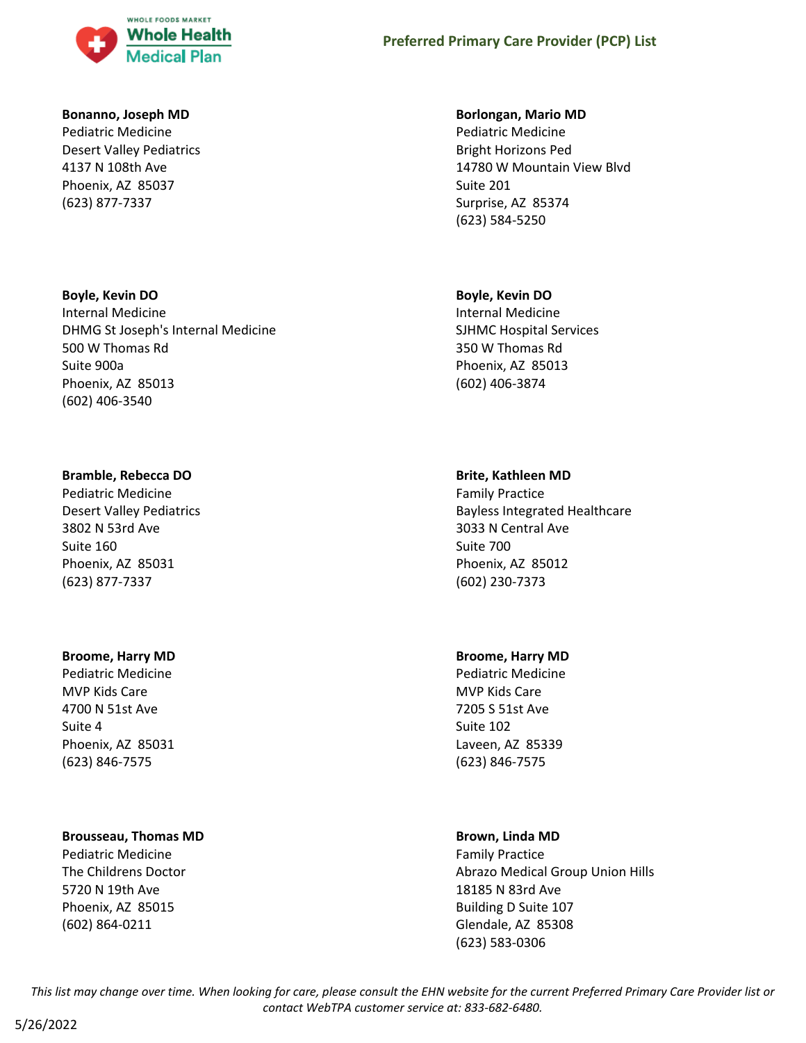

#### **Bonanno, Joseph MD**

Pediatric Medicine Desert Valley Pediatrics 4137 N 108th Ave Phoenix, AZ 85037 (623) 877-7337

### **Boyle, Kevin DO**

Internal Medicine DHMG St Joseph's Internal Medicine 500 W Thomas Rd Suite 900a Phoenix, AZ 85013 (602) 406-3540

### **Bramble, Rebecca DO**

Pediatric Medicine Desert Valley Pediatrics 3802 N 53rd Ave Suite 160 Phoenix, AZ 85031 (623) 877-7337

# **Broome, Harry MD**

Pediatric Medicine MVP Kids Care 4700 N 51st Ave Suite 4 Phoenix, AZ 85031 (623) 846-7575

### **Brousseau, Thomas MD**

Pediatric Medicine The Childrens Doctor 5720 N 19th Ave Phoenix, AZ 85015 (602) 864-0211

### **Borlongan, Mario MD**

Pediatric Medicine Bright Horizons Ped 14780 W Mountain View Blvd Suite 201 Surprise, AZ 85374 (623) 584-5250

### **Boyle, Kevin DO**

Internal Medicine SJHMC Hospital Services 350 W Thomas Rd Phoenix, AZ 85013 (602) 406-3874

# **Brite, Kathleen MD**

Family Practice Bayless Integrated Healthcare 3033 N Central Ave Suite 700 Phoenix, AZ 85012 (602) 230-7373

# **Broome, Harry MD**

Pediatric Medicine MVP Kids Care 7205 S 51st Ave Suite 102 Laveen, AZ 85339 (623) 846-7575

# **Brown, Linda MD**

Family Practice Abrazo Medical Group Union Hills 18185 N 83rd Ave Building D Suite 107 Glendale, AZ 85308 (623) 583-0306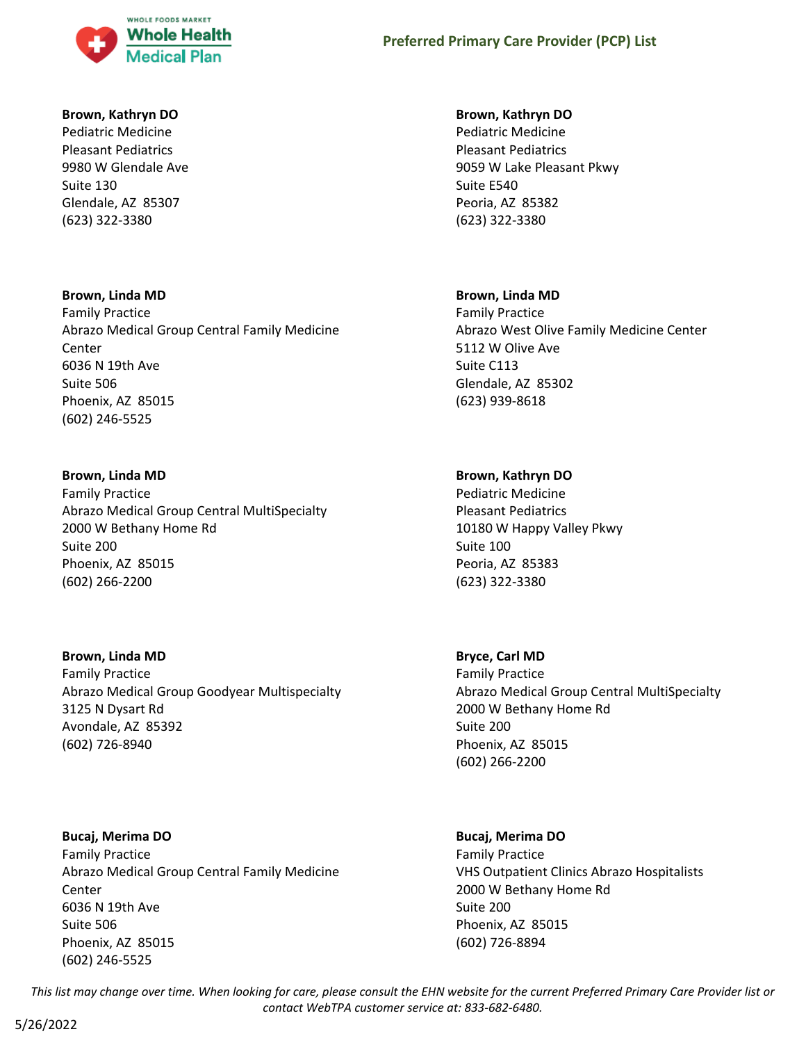

### **Brown, Kathryn DO**

Pediatric Medicine Pleasant Pediatrics 9980 W Glendale Ave Suite 130 Glendale, AZ 85307 (623) 322-3380

### **Brown, Linda MD**

Family Practice Abrazo Medical Group Central Family Medicine Center 6036 N 19th Ave Suite 506 Phoenix, AZ 85015 (602) 246-5525

# **Brown, Linda MD**

Family Practice Abrazo Medical Group Central MultiSpecialty 2000 W Bethany Home Rd Suite 200 Phoenix, AZ 85015 (602) 266-2200

# **Brown, Linda MD**

Family Practice Abrazo Medical Group Goodyear Multispecialty 3125 N Dysart Rd Avondale, AZ 85392 (602) 726-8940

**Bucaj, Merima DO** Family Practice Abrazo Medical Group Central Family Medicine Center 6036 N 19th Ave Suite 506 Phoenix, AZ 85015 (602) 246-5525

### **Brown, Kathryn DO**

Pediatric Medicine Pleasant Pediatrics 9059 W Lake Pleasant Pkwy Suite E540 Peoria, AZ 85382 (623) 322-3380

### **Brown, Linda MD**

Family Practice Abrazo West Olive Family Medicine Center 5112 W Olive Ave Suite C113 Glendale, AZ 85302 (623) 939-8618

# **Brown, Kathryn DO**

Pediatric Medicine Pleasant Pediatrics 10180 W Happy Valley Pkwy Suite 100 Peoria, AZ 85383 (623) 322-3380

# **Bryce, Carl MD**

Family Practice Abrazo Medical Group Central MultiSpecialty 2000 W Bethany Home Rd Suite 200 Phoenix, AZ 85015 (602) 266-2200

# **Bucaj, Merima DO**

Family Practice VHS Outpatient Clinics Abrazo Hospitalists 2000 W Bethany Home Rd Suite 200 Phoenix, AZ 85015 (602) 726-8894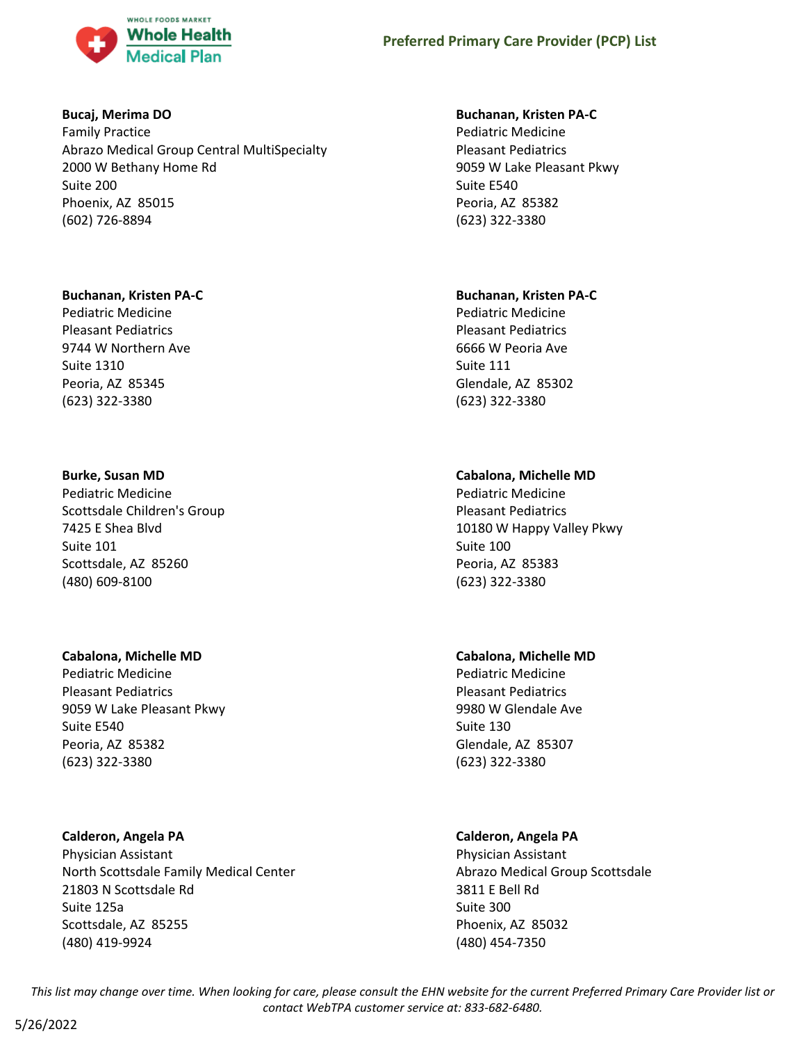

### **Bucaj, Merima DO**

Family Practice Abrazo Medical Group Central MultiSpecialty 2000 W Bethany Home Rd Suite 200 Phoenix, AZ 85015 (602) 726-8894

### **Buchanan, Kristen PA-C**

Pediatric Medicine Pleasant Pediatrics 9744 W Northern Ave Suite 1310 Peoria, AZ 85345 (623) 322-3380

# **Burke, Susan MD**

Pediatric Medicine Scottsdale Children's Group 7425 E Shea Blvd Suite 101 Scottsdale, AZ 85260 (480) 609-8100

### **Cabalona, Michelle MD**

Pediatric Medicine Pleasant Pediatrics 9059 W Lake Pleasant Pkwy Suite E540 Peoria, AZ 85382 (623) 322-3380

# **Calderon, Angela PA**

Physician Assistant North Scottsdale Family Medical Center 21803 N Scottsdale Rd Suite 125a Scottsdale, AZ 85255 (480) 419-9924

### **Buchanan, Kristen PA-C**

Pediatric Medicine Pleasant Pediatrics 9059 W Lake Pleasant Pkwy Suite E540 Peoria, AZ 85382 (623) 322-3380

# **Buchanan, Kristen PA-C**

Pediatric Medicine Pleasant Pediatrics 6666 W Peoria Ave Suite 111 Glendale, AZ 85302 (623) 322-3380

# **Cabalona, Michelle MD**

Pediatric Medicine Pleasant Pediatrics 10180 W Happy Valley Pkwy Suite 100 Peoria, AZ 85383 (623) 322-3380

# **Cabalona, Michelle MD**

Pediatric Medicine Pleasant Pediatrics 9980 W Glendale Ave Suite 130 Glendale, AZ 85307 (623) 322-3380

# **Calderon, Angela PA**

Physician Assistant Abrazo Medical Group Scottsdale 3811 E Bell Rd Suite 300 Phoenix, AZ 85032 (480) 454-7350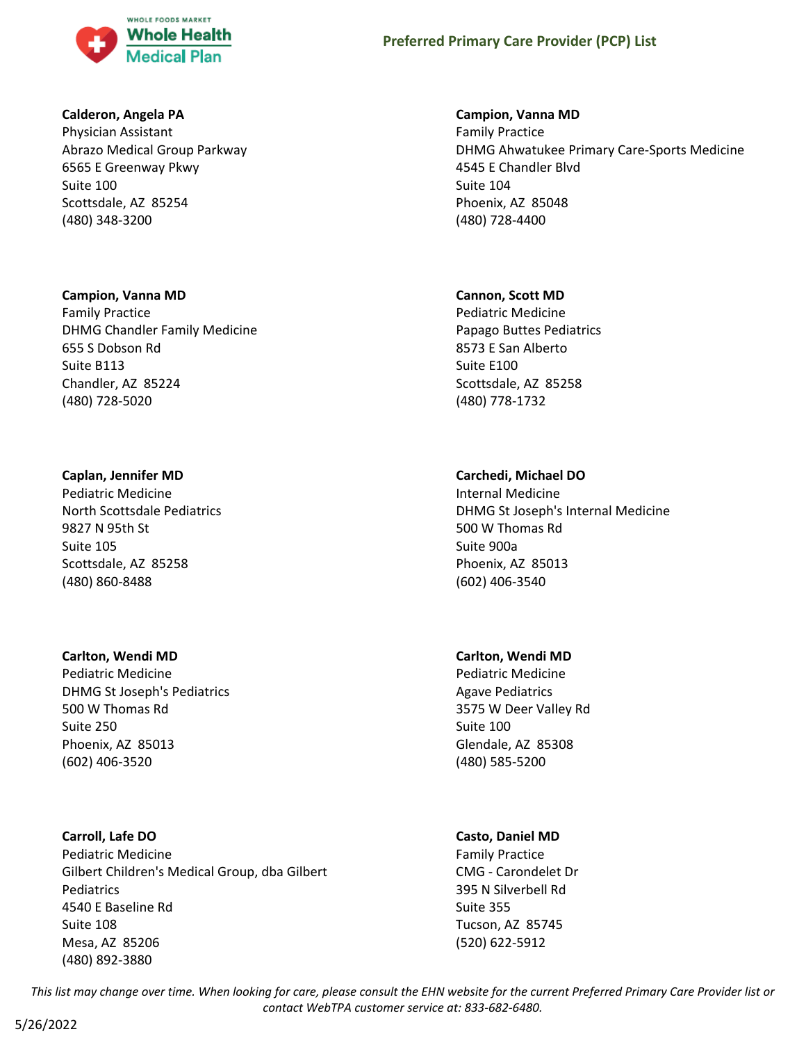

### **Calderon, Angela PA**

Physician Assistant Abrazo Medical Group Parkway 6565 E Greenway Pkwy Suite 100 Scottsdale, AZ 85254 (480) 348-3200

### **Campion, Vanna MD**

Family Practice DHMG Chandler Family Medicine 655 S Dobson Rd Suite B113 Chandler, AZ 85224 (480) 728-5020

### **Caplan, Jennifer MD**

Pediatric Medicine North Scottsdale Pediatrics 9827 N 95th St Suite 105 Scottsdale, AZ 85258 (480) 860-8488

### **Carlton, Wendi MD**

Pediatric Medicine DHMG St Joseph's Pediatrics 500 W Thomas Rd Suite 250 Phoenix, AZ 85013 (602) 406-3520

# **Carroll, Lafe DO**

Pediatric Medicine Gilbert Children's Medical Group, dba Gilbert Pediatrics 4540 E Baseline Rd Suite 108 Mesa, AZ 85206 (480) 892-3880

### **Campion, Vanna MD**

Family Practice DHMG Ahwatukee Primary Care-Sports Medicine 4545 E Chandler Blvd Suite 104 Phoenix, AZ 85048 (480) 728-4400

### **Cannon, Scott MD**

Pediatric Medicine Papago Buttes Pediatrics 8573 E San Alberto Suite E100 Scottsdale, AZ 85258 (480) 778-1732

# **Carchedi, Michael DO**

Internal Medicine DHMG St Joseph's Internal Medicine 500 W Thomas Rd Suite 900a Phoenix, AZ 85013 (602) 406-3540

# **Carlton, Wendi MD**

Pediatric Medicine Agave Pediatrics 3575 W Deer Valley Rd Suite 100 Glendale, AZ 85308 (480) 585-5200

# **Casto, Daniel MD**

Family Practice CMG - Carondelet Dr 395 N Silverbell Rd Suite 355 Tucson, AZ 85745 (520) 622-5912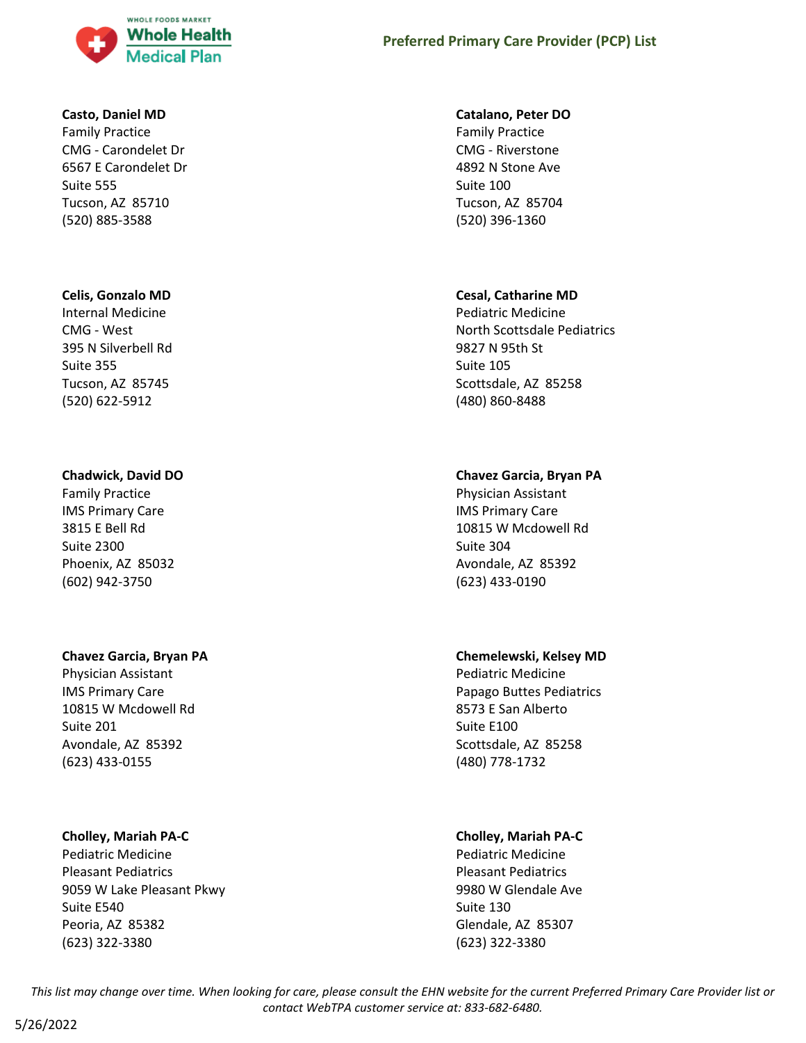

# **Casto, Daniel MD**

Family Practice CMG - Carondelet Dr 6567 E Carondelet Dr Suite 555 Tucson, AZ 85710 (520) 885-3588

# **Celis, Gonzalo MD**

Internal Medicine CMG - West 395 N Silverbell Rd Suite 355 Tucson, AZ 85745 (520) 622-5912

# **Chadwick, David DO**

Family Practice IMS Primary Care 3815 E Bell Rd Suite 2300 Phoenix, AZ 85032 (602) 942-3750

# **Chavez Garcia, Bryan PA**

Physician Assistant IMS Primary Care 10815 W Mcdowell Rd Suite 201 Avondale, AZ 85392 (623) 433-0155

# **Cholley, Mariah PA-C**

Pediatric Medicine Pleasant Pediatrics 9059 W Lake Pleasant Pkwy Suite E540 Peoria, AZ 85382 (623) 322-3380

# **Preferred Primary Care Provider (PCP) List**

### **Catalano, Peter DO**

Family Practice CMG - Riverstone 4892 N Stone Ave Suite 100 Tucson, AZ 85704 (520) 396-1360

# **Cesal, Catharine MD**

Pediatric Medicine North Scottsdale Pediatrics 9827 N 95th St Suite 105 Scottsdale, AZ 85258 (480) 860-8488

# **Chavez Garcia, Bryan PA**

Physician Assistant IMS Primary Care 10815 W Mcdowell Rd Suite 304 Avondale, AZ 85392 (623) 433-0190

# **Chemelewski, Kelsey MD**

Pediatric Medicine Papago Buttes Pediatrics 8573 E San Alberto Suite E100 Scottsdale, AZ 85258 (480) 778-1732

# **Cholley, Mariah PA-C**

Pediatric Medicine Pleasant Pediatrics 9980 W Glendale Ave Suite 130 Glendale, AZ 85307 (623) 322-3380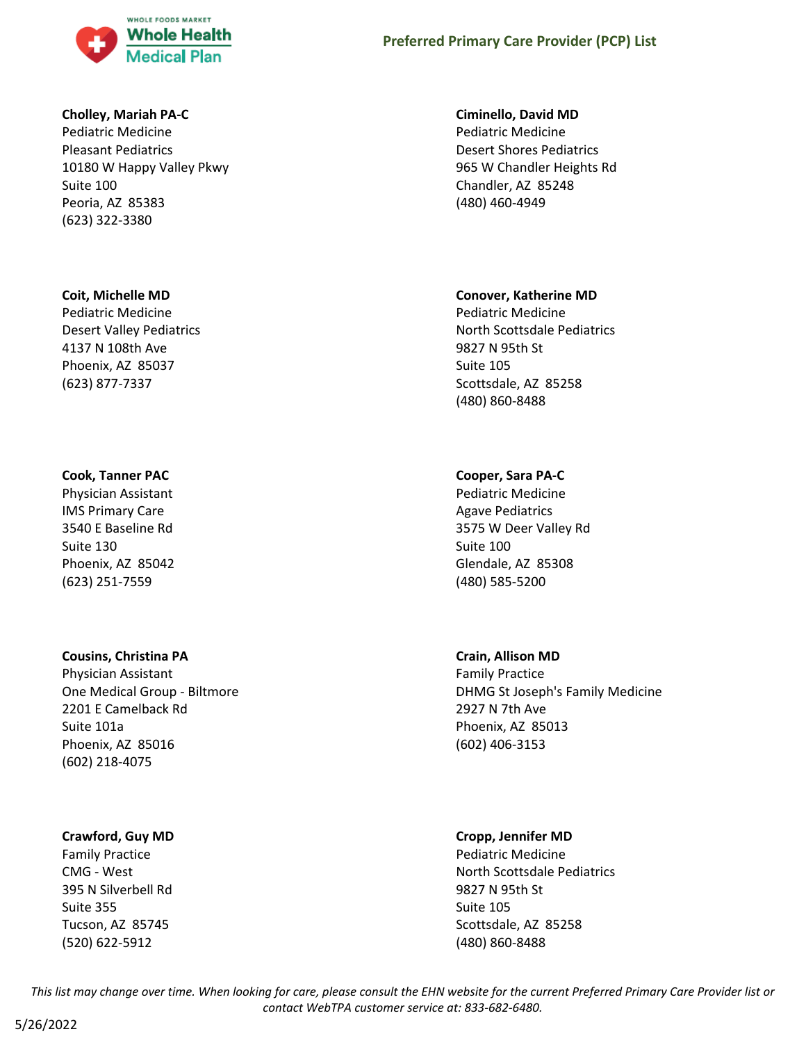

#### **Cholley, Mariah PA-C**

Pediatric Medicine Pleasant Pediatrics 10180 W Happy Valley Pkwy Suite 100 Peoria, AZ 85383 (623) 322-3380

#### **Coit, Michelle MD**

Pediatric Medicine Desert Valley Pediatrics 4137 N 108th Ave Phoenix, AZ 85037 (623) 877-7337

### **Cook, Tanner PAC**

Physician Assistant IMS Primary Care 3540 E Baseline Rd Suite 130 Phoenix, AZ 85042 (623) 251-7559

#### **Cousins, Christina PA**

Physician Assistant One Medical Group - Biltmore 2201 E Camelback Rd Suite 101a Phoenix, AZ 85016 (602) 218-4075

### **Crawford, Guy MD**

Family Practice CMG - West 395 N Silverbell Rd Suite 355 Tucson, AZ 85745 (520) 622-5912

#### **Ciminello, David MD**

Pediatric Medicine Desert Shores Pediatrics 965 W Chandler Heights Rd Chandler, AZ 85248 (480) 460-4949

#### **Conover, Katherine MD**

Pediatric Medicine North Scottsdale Pediatrics 9827 N 95th St Suite 105 Scottsdale, AZ 85258 (480) 860-8488

### **Cooper, Sara PA-C**

Pediatric Medicine Agave Pediatrics 3575 W Deer Valley Rd Suite 100 Glendale, AZ 85308 (480) 585-5200

### **Crain, Allison MD**

Family Practice DHMG St Joseph's Family Medicine 2927 N 7th Ave Phoenix, AZ 85013 (602) 406-3153

#### **Cropp, Jennifer MD**

Pediatric Medicine North Scottsdale Pediatrics 9827 N 95th St Suite 105 Scottsdale, AZ 85258 (480) 860-8488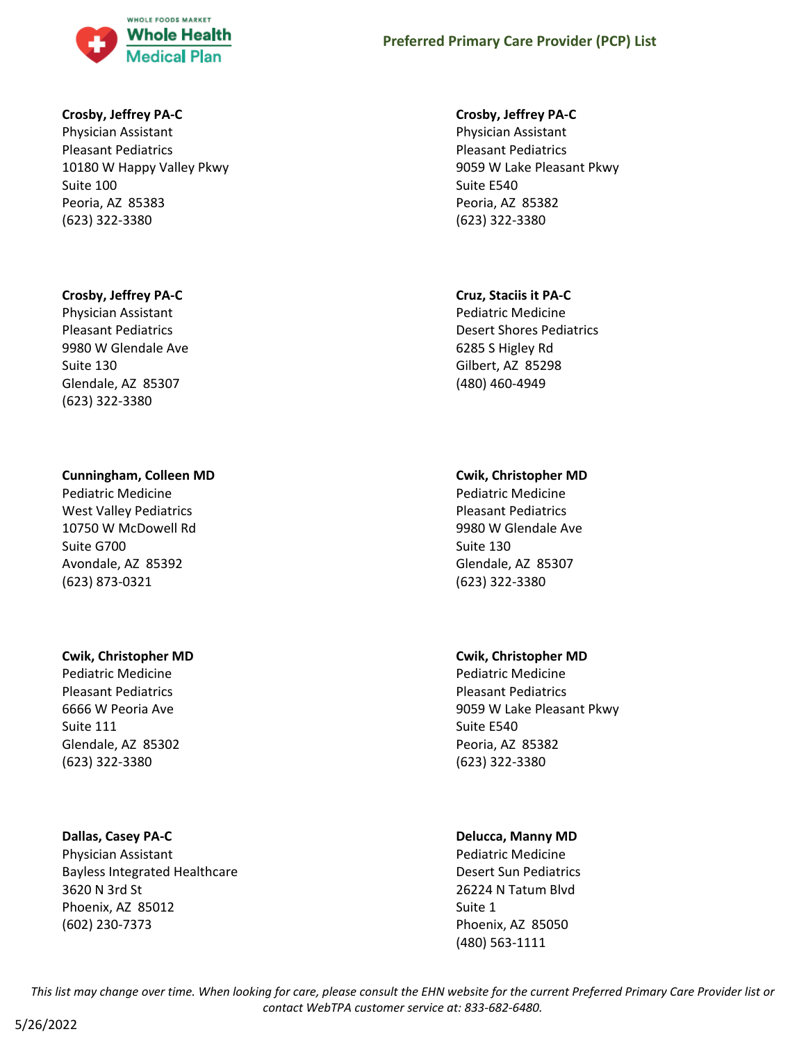

#### **Crosby, Jeffrey PA-C**

Physician Assistant Pleasant Pediatrics 10180 W Happy Valley Pkwy Suite 100 Peoria, AZ 85383 (623) 322-3380

#### **Crosby, Jeffrey PA-C**

Physician Assistant Pleasant Pediatrics 9980 W Glendale Ave Suite 130 Glendale, AZ 85307 (623) 322-3380

#### **Cunningham, Colleen MD**

Pediatric Medicine West Valley Pediatrics 10750 W McDowell Rd Suite G700 Avondale, AZ 85392 (623) 873-0321

#### **Cwik, Christopher MD**

Pediatric Medicine Pleasant Pediatrics 6666 W Peoria Ave Suite 111 Glendale, AZ 85302 (623) 322-3380

#### **Dallas, Casey PA-C**

Physician Assistant Bayless Integrated Healthcare 3620 N 3rd St Phoenix, AZ 85012 (602) 230-7373

#### **Crosby, Jeffrey PA-C**

Physician Assistant Pleasant Pediatrics 9059 W Lake Pleasant Pkwy Suite E540 Peoria, AZ 85382 (623) 322-3380

#### **Cruz, Staciis it PA-C**

Pediatric Medicine Desert Shores Pediatrics 6285 S Higley Rd Gilbert, AZ 85298 (480) 460-4949

### **Cwik, Christopher MD**

Pediatric Medicine Pleasant Pediatrics 9980 W Glendale Ave Suite 130 Glendale, AZ 85307 (623) 322-3380

### **Cwik, Christopher MD**

Pediatric Medicine Pleasant Pediatrics 9059 W Lake Pleasant Pkwy Suite E540 Peoria, AZ 85382 (623) 322-3380

### **Delucca, Manny MD**

Pediatric Medicine Desert Sun Pediatrics 26224 N Tatum Blvd Suite 1 Phoenix, AZ 85050 (480) 563-1111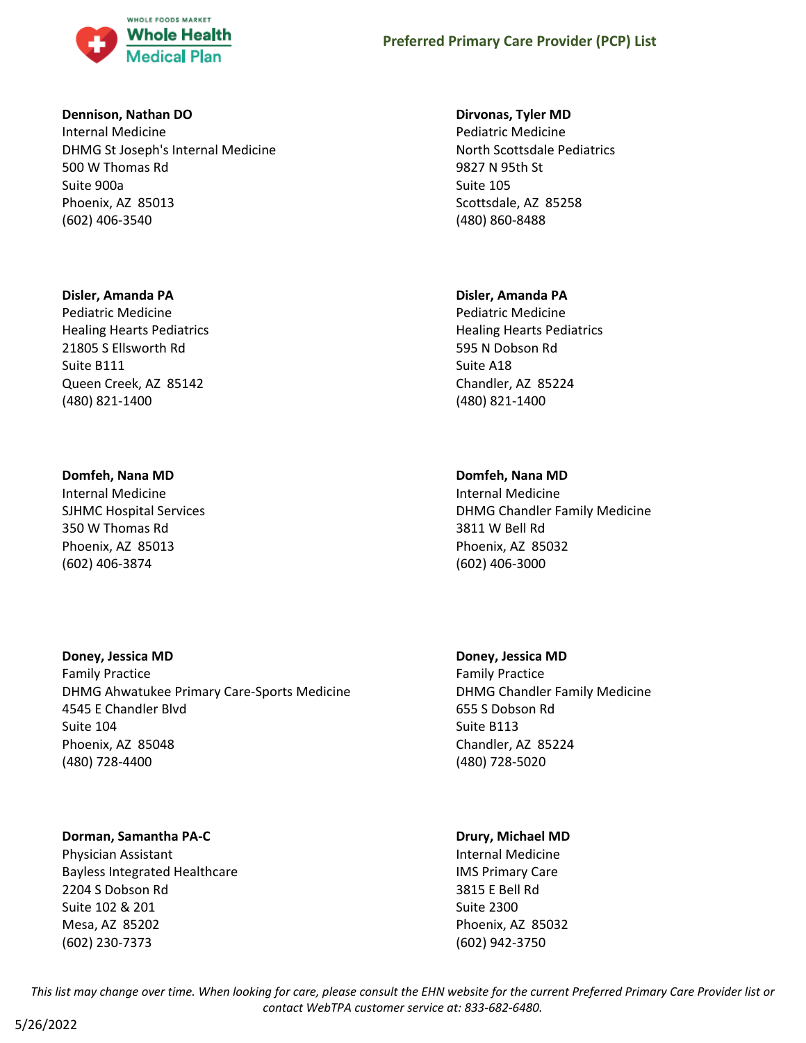

#### **Dennison, Nathan DO**

Internal Medicine DHMG St Joseph's Internal Medicine 500 W Thomas Rd Suite 900a Phoenix, AZ 85013 (602) 406-3540

#### **Disler, Amanda PA**

Pediatric Medicine Healing Hearts Pediatrics 21805 S Ellsworth Rd Suite B111 Queen Creek, AZ 85142 (480) 821-1400

### **Domfeh, Nana MD**

Internal Medicine SJHMC Hospital Services 350 W Thomas Rd Phoenix, AZ 85013 (602) 406-3874

### **Doney, Jessica MD**

Family Practice DHMG Ahwatukee Primary Care-Sports Medicine 4545 E Chandler Blvd Suite 104 Phoenix, AZ 85048 (480) 728-4400

# **Dorman, Samantha PA-C**

Physician Assistant Bayless Integrated Healthcare 2204 S Dobson Rd Suite 102 & 201 Mesa, AZ 85202 (602) 230-7373

#### **Dirvonas, Tyler MD**

Pediatric Medicine North Scottsdale Pediatrics 9827 N 95th St Suite 105 Scottsdale, AZ 85258 (480) 860-8488

### **Disler, Amanda PA**

Pediatric Medicine Healing Hearts Pediatrics 595 N Dobson Rd Suite A18 Chandler, AZ 85224 (480) 821-1400

### **Domfeh, Nana MD**

Internal Medicine DHMG Chandler Family Medicine 3811 W Bell Rd Phoenix, AZ 85032 (602) 406-3000

### **Doney, Jessica MD**

Family Practice DHMG Chandler Family Medicine 655 S Dobson Rd Suite B113 Chandler, AZ 85224 (480) 728-5020

### **Drury, Michael MD**

Internal Medicine IMS Primary Care 3815 E Bell Rd Suite 2300 Phoenix, AZ 85032 (602) 942-3750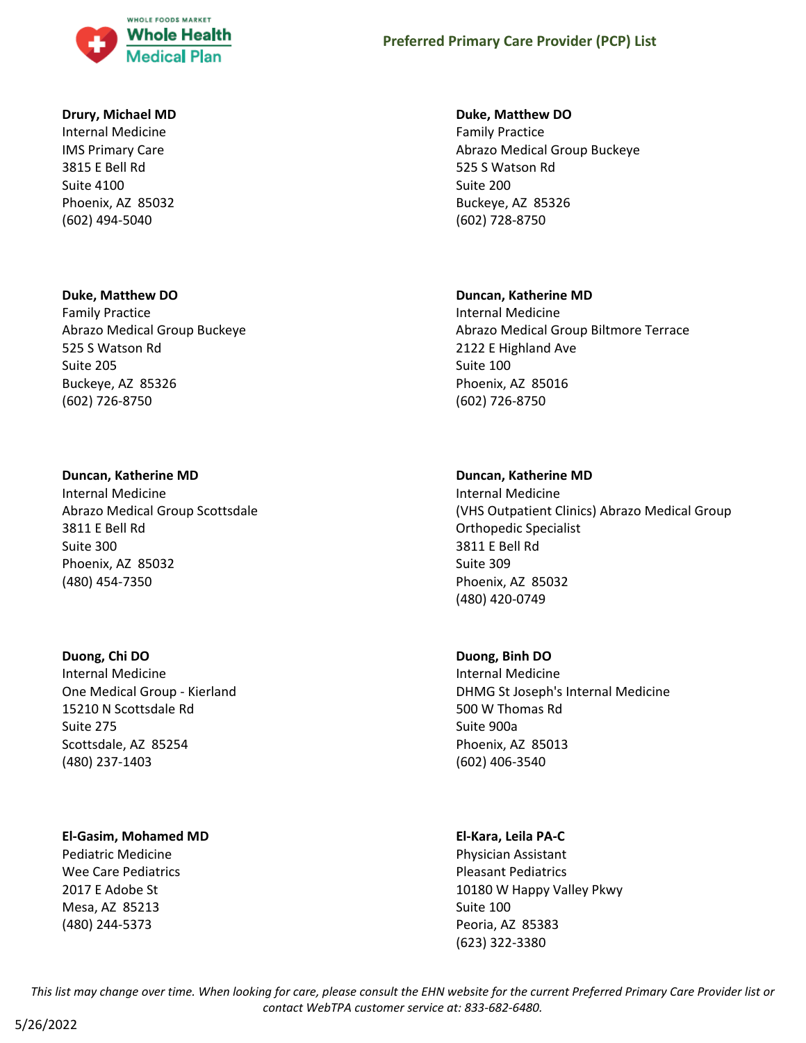

#### **Drury, Michael MD**

Internal Medicine IMS Primary Care 3815 E Bell Rd Suite 4100 Phoenix, AZ 85032 (602) 494-5040

#### **Duke, Matthew DO**

Family Practice Abrazo Medical Group Buckeye 525 S Watson Rd Suite 205 Buckeye, AZ 85326 (602) 726-8750

#### **Duncan, Katherine MD**

Internal Medicine Abrazo Medical Group Scottsdale 3811 E Bell Rd Suite 300 Phoenix, AZ 85032 (480) 454-7350

#### **Duong, Chi DO**

Internal Medicine One Medical Group - Kierland 15210 N Scottsdale Rd Suite 275 Scottsdale, AZ 85254 (480) 237-1403

### **El-Gasim, Mohamed MD**

Pediatric Medicine Wee Care Pediatrics 2017 E Adobe St Mesa, AZ 85213 (480) 244-5373

#### **Duke, Matthew DO**

Family Practice Abrazo Medical Group Buckeye 525 S Watson Rd Suite 200 Buckeye, AZ 85326 (602) 728-8750

#### **Duncan, Katherine MD**

Internal Medicine Abrazo Medical Group Biltmore Terrace 2122 E Highland Ave Suite 100 Phoenix, AZ 85016 (602) 726-8750

#### **Duncan, Katherine MD**

Internal Medicine (VHS Outpatient Clinics) Abrazo Medical Group Orthopedic Specialist 3811 E Bell Rd Suite 309 Phoenix, AZ 85032 (480) 420-0749

### **Duong, Binh DO**

Internal Medicine DHMG St Joseph's Internal Medicine 500 W Thomas Rd Suite 900a Phoenix, AZ 85013 (602) 406-3540

### **El-Kara, Leila PA-C**

Physician Assistant Pleasant Pediatrics 10180 W Happy Valley Pkwy Suite 100 Peoria, AZ 85383 (623) 322-3380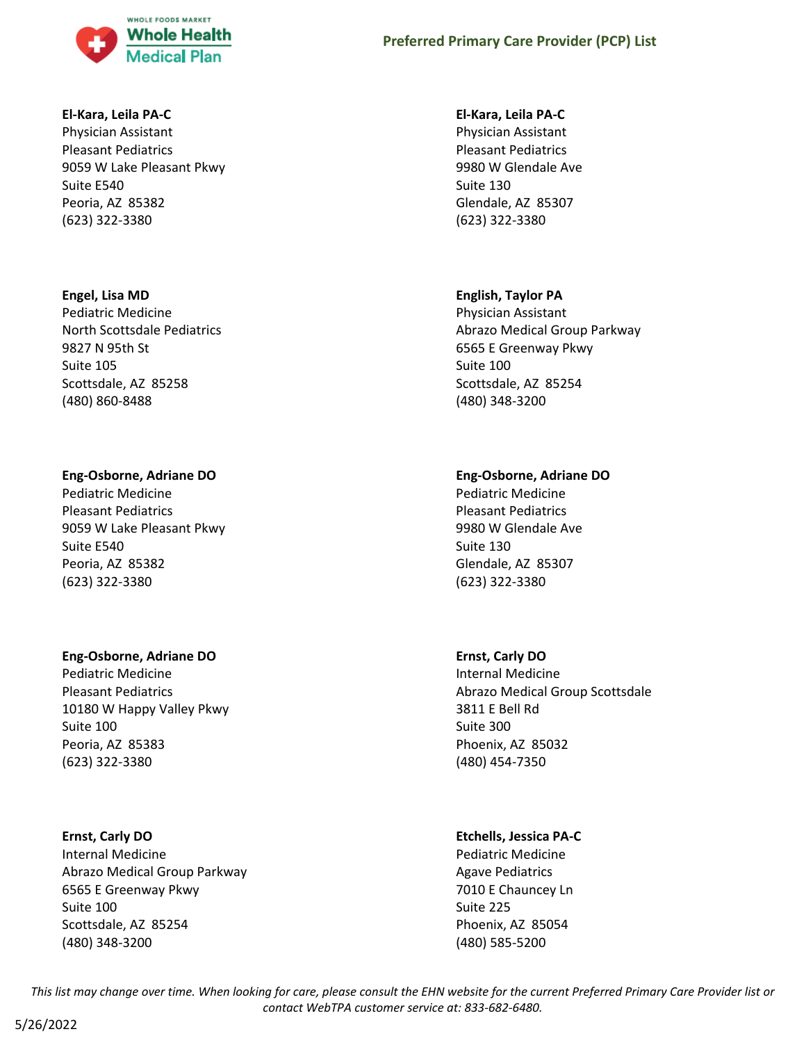

#### **El-Kara, Leila PA-C**

Physician Assistant Pleasant Pediatrics 9059 W Lake Pleasant Pkwy Suite E540 Peoria, AZ 85382 (623) 322-3380

### **Engel, Lisa MD**

Pediatric Medicine North Scottsdale Pediatrics 9827 N 95th St Suite 105 Scottsdale, AZ 85258 (480) 860-8488

### **Eng-Osborne, Adriane DO**

Pediatric Medicine Pleasant Pediatrics 9059 W Lake Pleasant Pkwy Suite E540 Peoria, AZ 85382 (623) 322-3380

### **Eng-Osborne, Adriane DO**

Pediatric Medicine Pleasant Pediatrics 10180 W Happy Valley Pkwy Suite 100 Peoria, AZ 85383 (623) 322-3380

# **Ernst, Carly DO**

Internal Medicine Abrazo Medical Group Parkway 6565 E Greenway Pkwy Suite 100 Scottsdale, AZ 85254 (480) 348-3200

### **El-Kara, Leila PA-C**

Physician Assistant Pleasant Pediatrics 9980 W Glendale Ave Suite 130 Glendale, AZ 85307 (623) 322-3380

# **English, Taylor PA**

Physician Assistant Abrazo Medical Group Parkway 6565 E Greenway Pkwy Suite 100 Scottsdale, AZ 85254 (480) 348-3200

# **Eng-Osborne, Adriane DO**

Pediatric Medicine Pleasant Pediatrics 9980 W Glendale Ave Suite 130 Glendale, AZ 85307 (623) 322-3380

# **Ernst, Carly DO**

Internal Medicine Abrazo Medical Group Scottsdale 3811 E Bell Rd Suite 300 Phoenix, AZ 85032 (480) 454-7350

# **Etchells, Jessica PA-C**

Pediatric Medicine Agave Pediatrics 7010 E Chauncey Ln Suite 225 Phoenix, AZ 85054 (480) 585-5200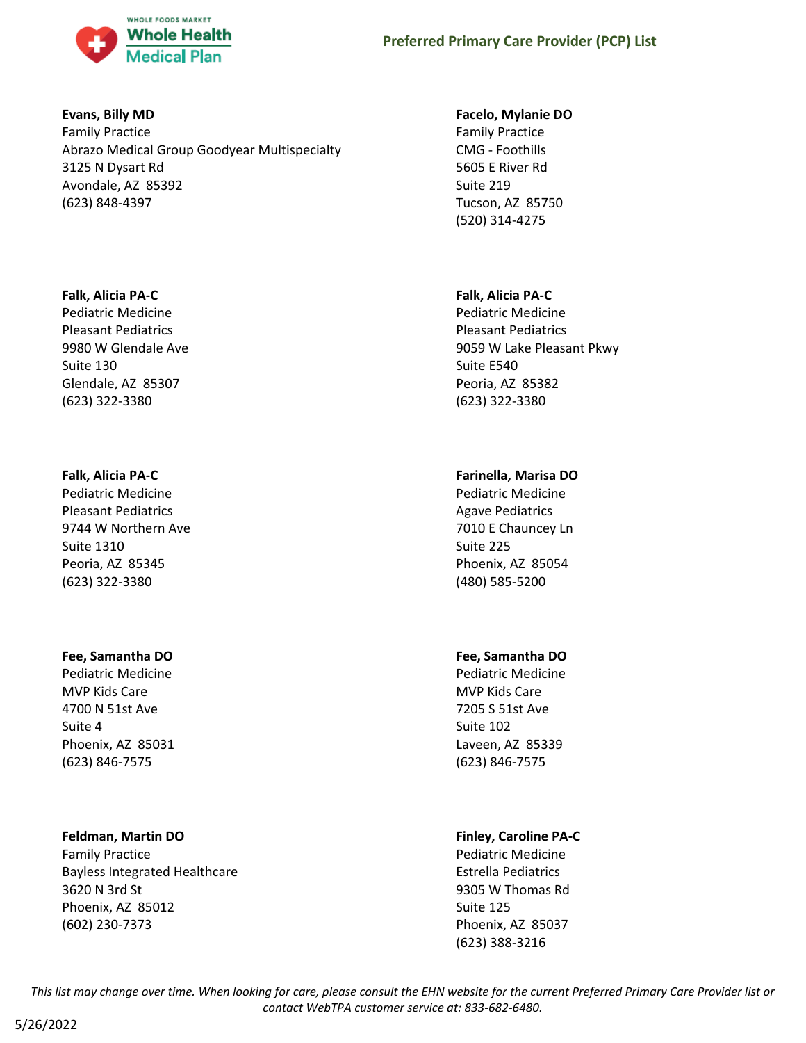

### **Evans, Billy MD**

Family Practice Abrazo Medical Group Goodyear Multispecialty 3125 N Dysart Rd Avondale, AZ 85392 (623) 848-4397

### **Falk, Alicia PA-C**

Pediatric Medicine Pleasant Pediatrics 9980 W Glendale Ave Suite 130 Glendale, AZ 85307 (623) 322-3380

# **Falk, Alicia PA-C**

Pediatric Medicine Pleasant Pediatrics 9744 W Northern Ave Suite 1310 Peoria, AZ 85345 (623) 322-3380

# **Fee, Samantha DO**

Pediatric Medicine MVP Kids Care 4700 N 51st Ave Suite 4 Phoenix, AZ 85031 (623) 846-7575

# **Feldman, Martin DO**

Family Practice Bayless Integrated Healthcare 3620 N 3rd St Phoenix, AZ 85012 (602) 230-7373

# **Facelo, Mylanie DO**

Family Practice CMG - Foothills 5605 E River Rd Suite 219 Tucson, AZ 85750 (520) 314-4275

# **Falk, Alicia PA-C**

Pediatric Medicine Pleasant Pediatrics 9059 W Lake Pleasant Pkwy Suite E540 Peoria, AZ 85382 (623) 322-3380

# **Farinella, Marisa DO**

Pediatric Medicine Agave Pediatrics 7010 E Chauncey Ln Suite 225 Phoenix, AZ 85054 (480) 585-5200

# **Fee, Samantha DO**

Pediatric Medicine MVP Kids Care 7205 S 51st Ave Suite 102 Laveen, AZ 85339 (623) 846-7575

# **Finley, Caroline PA-C**

Pediatric Medicine Estrella Pediatrics 9305 W Thomas Rd Suite 125 Phoenix, AZ 85037 (623) 388-3216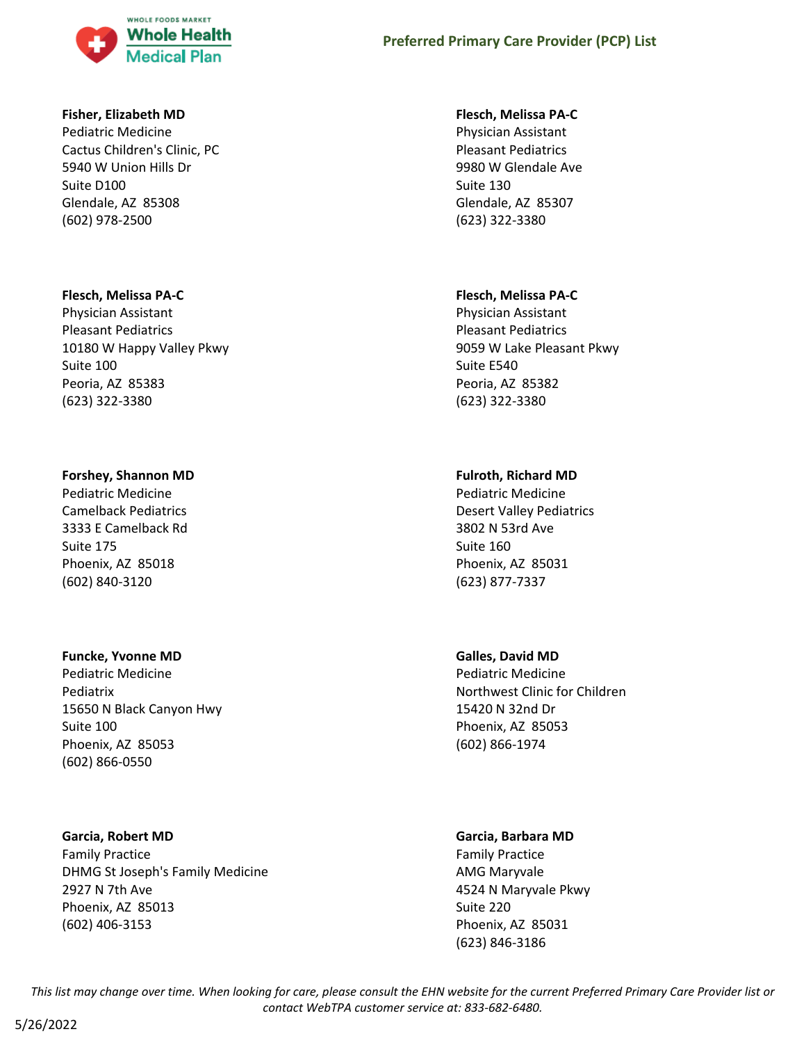

#### **Fisher, Elizabeth MD**

Pediatric Medicine Cactus Children's Clinic, PC 5940 W Union Hills Dr Suite D100 Glendale, AZ 85308 (602) 978-2500

#### **Flesch, Melissa PA-C**

Physician Assistant Pleasant Pediatrics 10180 W Happy Valley Pkwy Suite 100 Peoria, AZ 85383 (623) 322-3380

#### **Forshey, Shannon MD**

Pediatric Medicine Camelback Pediatrics 3333 E Camelback Rd Suite 175 Phoenix, AZ 85018 (602) 840-3120

#### **Funcke, Yvonne MD**

Pediatric Medicine Pediatrix 15650 N Black Canyon Hwy Suite 100 Phoenix, AZ 85053 (602) 866-0550

#### **Garcia, Robert MD**

Family Practice DHMG St Joseph's Family Medicine 2927 N 7th Ave Phoenix, AZ 85013 (602) 406-3153

#### **Flesch, Melissa PA-C**

Physician Assistant Pleasant Pediatrics 9980 W Glendale Ave Suite 130 Glendale, AZ 85307 (623) 322-3380

#### **Flesch, Melissa PA-C**

Physician Assistant Pleasant Pediatrics 9059 W Lake Pleasant Pkwy Suite E540 Peoria, AZ 85382 (623) 322-3380

#### **Fulroth, Richard MD**

Pediatric Medicine Desert Valley Pediatrics 3802 N 53rd Ave Suite 160 Phoenix, AZ 85031 (623) 877-7337

#### **Galles, David MD**

Pediatric Medicine Northwest Clinic for Children 15420 N 32nd Dr Phoenix, AZ 85053 (602) 866-1974

#### **Garcia, Barbara MD**

Family Practice AMG Maryvale 4524 N Maryvale Pkwy Suite 220 Phoenix, AZ 85031 (623) 846-3186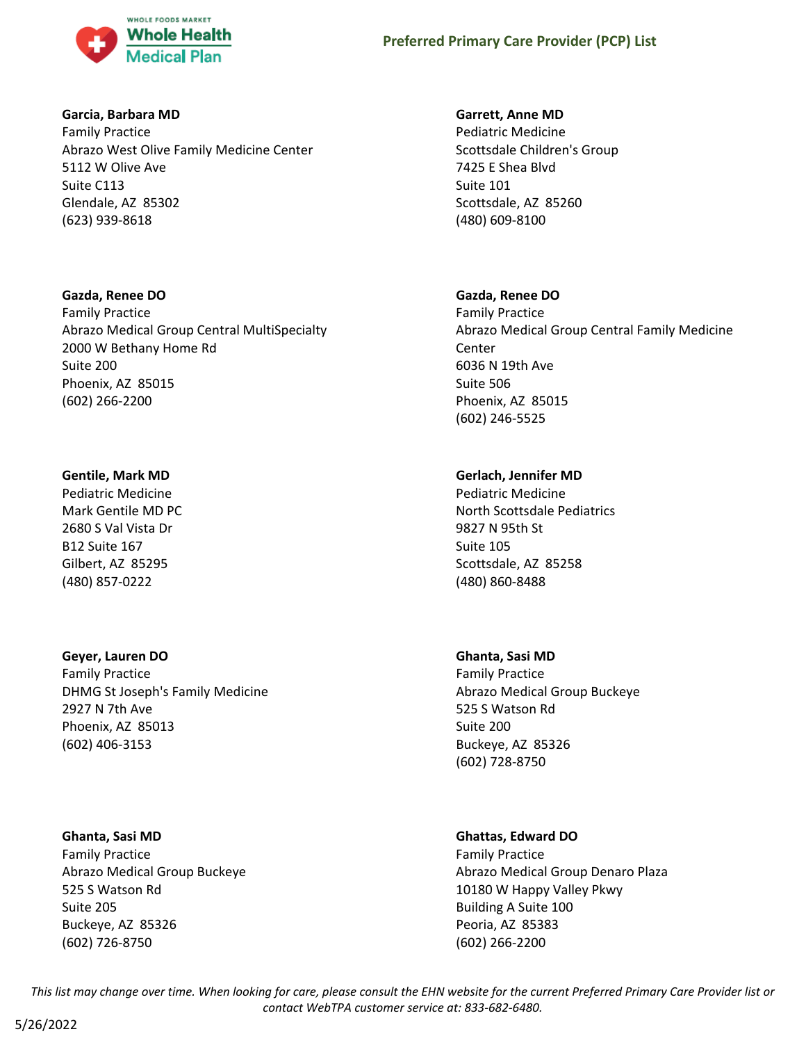

### **Garcia, Barbara MD**

Family Practice Abrazo West Olive Family Medicine Center 5112 W Olive Ave Suite C113 Glendale, AZ 85302 (623) 939-8618

**Gazda, Renee DO** Family Practice Abrazo Medical Group Central MultiSpecialty 2000 W Bethany Home Rd Suite 200 Phoenix, AZ 85015 (602) 266-2200

### **Gentile, Mark MD**

Pediatric Medicine Mark Gentile MD PC 2680 S Val Vista Dr B12 Suite 167 Gilbert, AZ 85295 (480) 857-0222

# **Geyer, Lauren DO**

Family Practice DHMG St Joseph's Family Medicine 2927 N 7th Ave Phoenix, AZ 85013 (602) 406-3153

### **Ghanta, Sasi MD**

Family Practice Abrazo Medical Group Buckeye 525 S Watson Rd Suite 205 Buckeye, AZ 85326 (602) 726-8750

### **Garrett, Anne MD**

Pediatric Medicine Scottsdale Children's Group 7425 E Shea Blvd Suite 101 Scottsdale, AZ 85260 (480) 609-8100

### **Gazda, Renee DO**

Family Practice Abrazo Medical Group Central Family Medicine Center 6036 N 19th Ave Suite 506 Phoenix, AZ 85015 (602) 246-5525

# **Gerlach, Jennifer MD**

Pediatric Medicine North Scottsdale Pediatrics 9827 N 95th St Suite 105 Scottsdale, AZ 85258 (480) 860-8488

# **Ghanta, Sasi MD**

Family Practice Abrazo Medical Group Buckeye 525 S Watson Rd Suite 200 Buckeye, AZ 85326 (602) 728-8750

# **Ghattas, Edward DO**

Family Practice Abrazo Medical Group Denaro Plaza 10180 W Happy Valley Pkwy Building A Suite 100 Peoria, AZ 85383 (602) 266-2200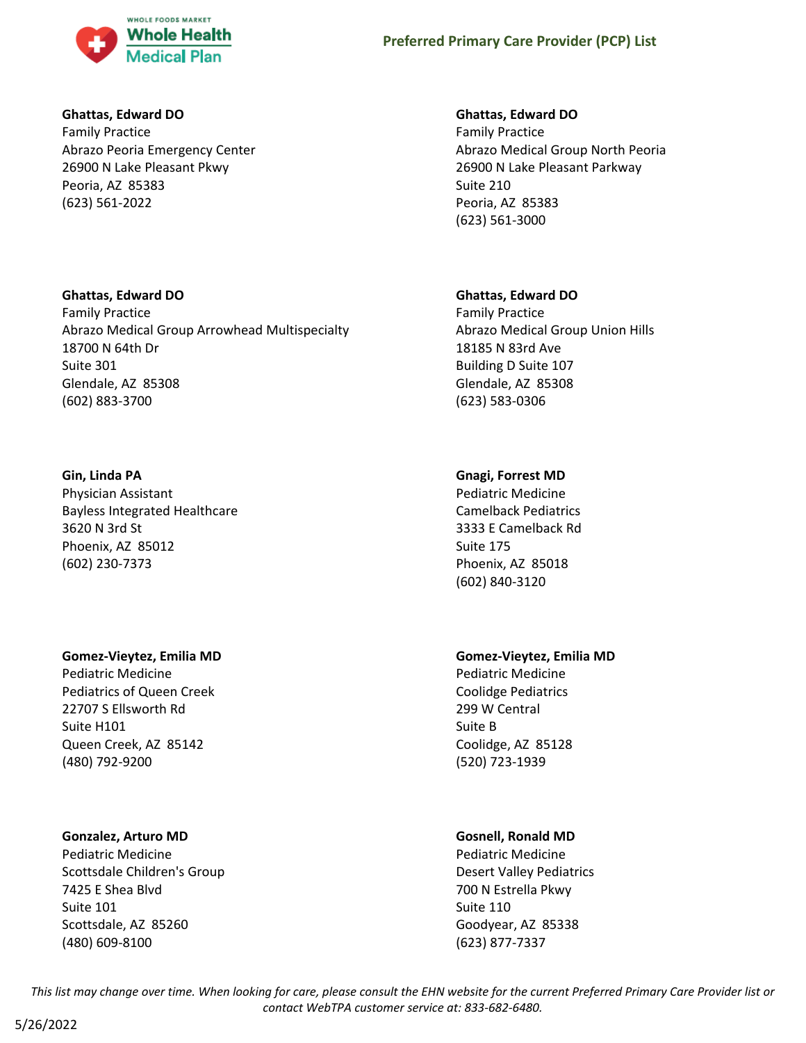

### **Ghattas, Edward DO**

Family Practice Abrazo Peoria Emergency Center 26900 N Lake Pleasant Pkwy Peoria, AZ 85383 (623) 561-2022

### **Ghattas, Edward DO**

Family Practice Abrazo Medical Group Arrowhead Multispecialty 18700 N 64th Dr Suite 301 Glendale, AZ 85308 (602) 883-3700

# **Gin, Linda PA**

Physician Assistant Bayless Integrated Healthcare 3620 N 3rd St Phoenix, AZ 85012 (602) 230-7373

### **Gomez-Vieytez, Emilia MD**

Pediatric Medicine Pediatrics of Queen Creek 22707 S Ellsworth Rd Suite H101 Queen Creek, AZ 85142 (480) 792-9200

# **Gonzalez, Arturo MD**

Pediatric Medicine Scottsdale Children's Group 7425 E Shea Blvd Suite 101 Scottsdale, AZ 85260 (480) 609-8100

### **Ghattas, Edward DO**

Family Practice Abrazo Medical Group North Peoria 26900 N Lake Pleasant Parkway Suite 210 Peoria, AZ 85383 (623) 561-3000

# **Ghattas, Edward DO**

Family Practice Abrazo Medical Group Union Hills 18185 N 83rd Ave Building D Suite 107 Glendale, AZ 85308 (623) 583-0306

# **Gnagi, Forrest MD**

Pediatric Medicine Camelback Pediatrics 3333 E Camelback Rd Suite 175 Phoenix, AZ 85018 (602) 840-3120

# **Gomez-Vieytez, Emilia MD**

Pediatric Medicine Coolidge Pediatrics 299 W Central Suite B Coolidge, AZ 85128 (520) 723-1939

# **Gosnell, Ronald MD**

Pediatric Medicine Desert Valley Pediatrics 700 N Estrella Pkwy Suite 110 Goodyear, AZ 85338 (623) 877-7337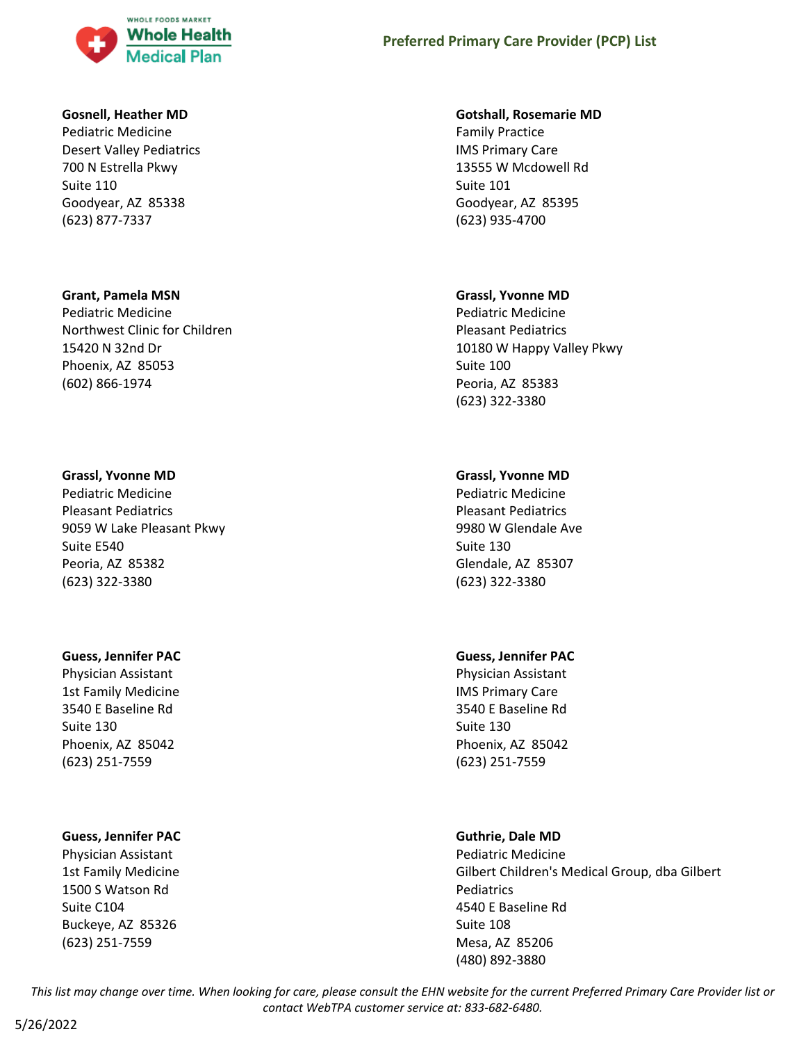

#### **Gosnell, Heather MD**

Pediatric Medicine Desert Valley Pediatrics 700 N Estrella Pkwy Suite 110 Goodyear, AZ 85338 (623) 877-7337

#### **Grant, Pamela MSN**

Pediatric Medicine Northwest Clinic for Children 15420 N 32nd Dr Phoenix, AZ 85053 (602) 866-1974

#### **Grassl, Yvonne MD**

Pediatric Medicine Pleasant Pediatrics 9059 W Lake Pleasant Pkwy Suite E540 Peoria, AZ 85382 (623) 322-3380

### **Guess, Jennifer PAC**

Physician Assistant 1st Family Medicine 3540 E Baseline Rd Suite 130 Phoenix, AZ 85042 (623) 251-7559

### **Guess, Jennifer PAC**

Physician Assistant 1st Family Medicine 1500 S Watson Rd Suite C104 Buckeye, AZ 85326 (623) 251-7559

#### **Gotshall, Rosemarie MD**

Family Practice IMS Primary Care 13555 W Mcdowell Rd Suite 101 Goodyear, AZ 85395 (623) 935-4700

#### **Grassl, Yvonne MD**

Pediatric Medicine Pleasant Pediatrics 10180 W Happy Valley Pkwy Suite 100 Peoria, AZ 85383 (623) 322-3380

### **Grassl, Yvonne MD**

Pediatric Medicine Pleasant Pediatrics 9980 W Glendale Ave Suite 130 Glendale, AZ 85307 (623) 322-3380

### **Guess, Jennifer PAC**

Physician Assistant IMS Primary Care 3540 E Baseline Rd Suite 130 Phoenix, AZ 85042 (623) 251-7559

### **Guthrie, Dale MD**

Pediatric Medicine Gilbert Children's Medical Group, dba Gilbert **Pediatrics** 4540 E Baseline Rd Suite 108 Mesa, AZ 85206 (480) 892-3880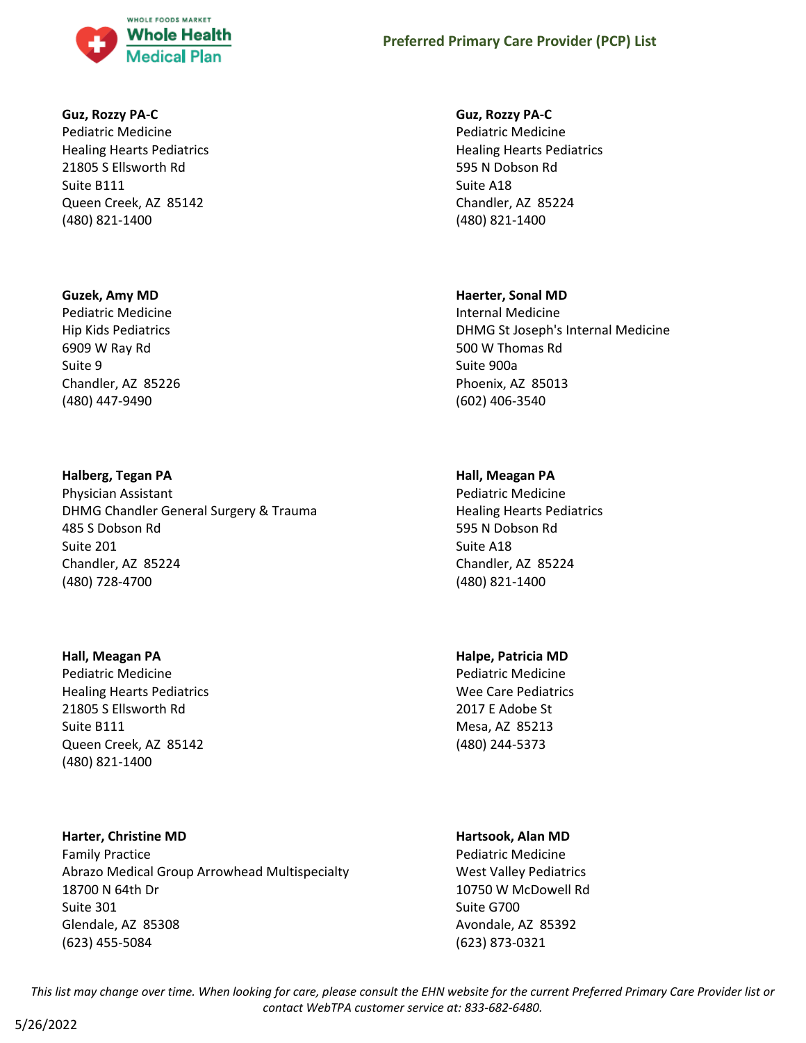

#### **Guz, Rozzy PA-C**

Pediatric Medicine Healing Hearts Pediatrics 21805 S Ellsworth Rd Suite B111 Queen Creek, AZ 85142 (480) 821-1400

### **Guzek, Amy MD**

Pediatric Medicine Hip Kids Pediatrics 6909 W Ray Rd Suite 9 Chandler, AZ 85226 (480) 447-9490

#### **Halberg, Tegan PA**

Physician Assistant DHMG Chandler General Surgery & Trauma 485 S Dobson Rd Suite 201 Chandler, AZ 85224 (480) 728-4700

#### **Hall, Meagan PA**

Pediatric Medicine Healing Hearts Pediatrics 21805 S Ellsworth Rd Suite B111 Queen Creek, AZ 85142 (480) 821-1400

### **Harter, Christine MD**

Family Practice Abrazo Medical Group Arrowhead Multispecialty 18700 N 64th Dr Suite 301 Glendale, AZ 85308 (623) 455-5084

### **Guz, Rozzy PA-C**

Pediatric Medicine Healing Hearts Pediatrics 595 N Dobson Rd Suite A18 Chandler, AZ 85224 (480) 821-1400

#### **Haerter, Sonal MD**

Internal Medicine DHMG St Joseph's Internal Medicine 500 W Thomas Rd Suite 900a Phoenix, AZ 85013 (602) 406-3540

### **Hall, Meagan PA**

Pediatric Medicine Healing Hearts Pediatrics 595 N Dobson Rd Suite A18 Chandler, AZ 85224 (480) 821-1400

### **Halpe, Patricia MD**

Pediatric Medicine Wee Care Pediatrics 2017 E Adobe St Mesa, AZ 85213 (480) 244-5373

#### **Hartsook, Alan MD**

Pediatric Medicine West Valley Pediatrics 10750 W McDowell Rd Suite G700 Avondale, AZ 85392 (623) 873-0321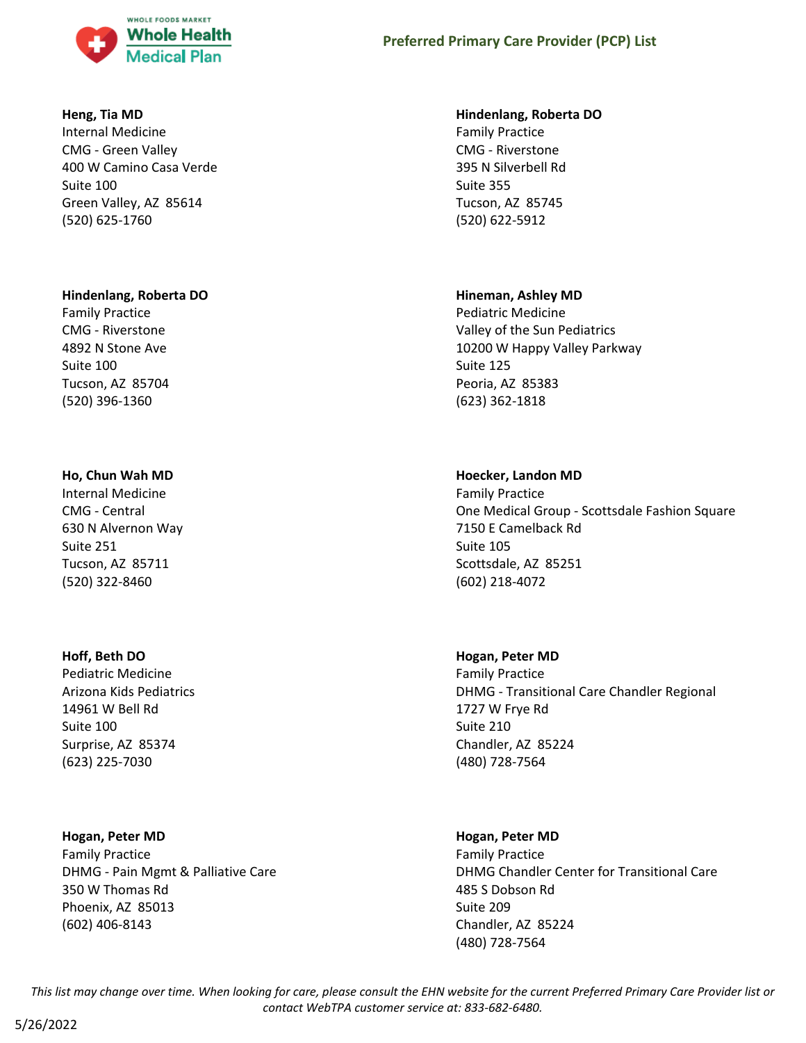

### **Heng, Tia MD**

Internal Medicine CMG - Green Valley 400 W Camino Casa Verde Suite 100 Green Valley, AZ 85614 (520) 625-1760

### **Hindenlang, Roberta DO**

Family Practice CMG - Riverstone 4892 N Stone Ave Suite 100 Tucson, AZ 85704 (520) 396-1360

# **Ho, Chun Wah MD**

Internal Medicine CMG - Central 630 N Alvernon Way Suite 251 Tucson, AZ 85711 (520) 322-8460

# **Hoff, Beth DO**

Pediatric Medicine Arizona Kids Pediatrics 14961 W Bell Rd Suite 100 Surprise, AZ 85374 (623) 225-7030

### **Hogan, Peter MD**

Family Practice DHMG - Pain Mgmt & Palliative Care 350 W Thomas Rd Phoenix, AZ 85013 (602) 406-8143

### **Hindenlang, Roberta DO**

Family Practice CMG - Riverstone 395 N Silverbell Rd Suite 355 Tucson, AZ 85745 (520) 622-5912

# **Hineman, Ashley MD**

Pediatric Medicine Valley of the Sun Pediatrics 10200 W Happy Valley Parkway Suite 125 Peoria, AZ 85383 (623) 362-1818

# **Hoecker, Landon MD**

Family Practice One Medical Group - Scottsdale Fashion Square 7150 E Camelback Rd Suite 105 Scottsdale, AZ 85251 (602) 218-4072

# **Hogan, Peter MD**

Family Practice DHMG - Transitional Care Chandler Regional 1727 W Frye Rd Suite 210 Chandler, AZ 85224 (480) 728-7564

# **Hogan, Peter MD**

Family Practice DHMG Chandler Center for Transitional Care 485 S Dobson Rd Suite 209 Chandler, AZ 85224 (480) 728-7564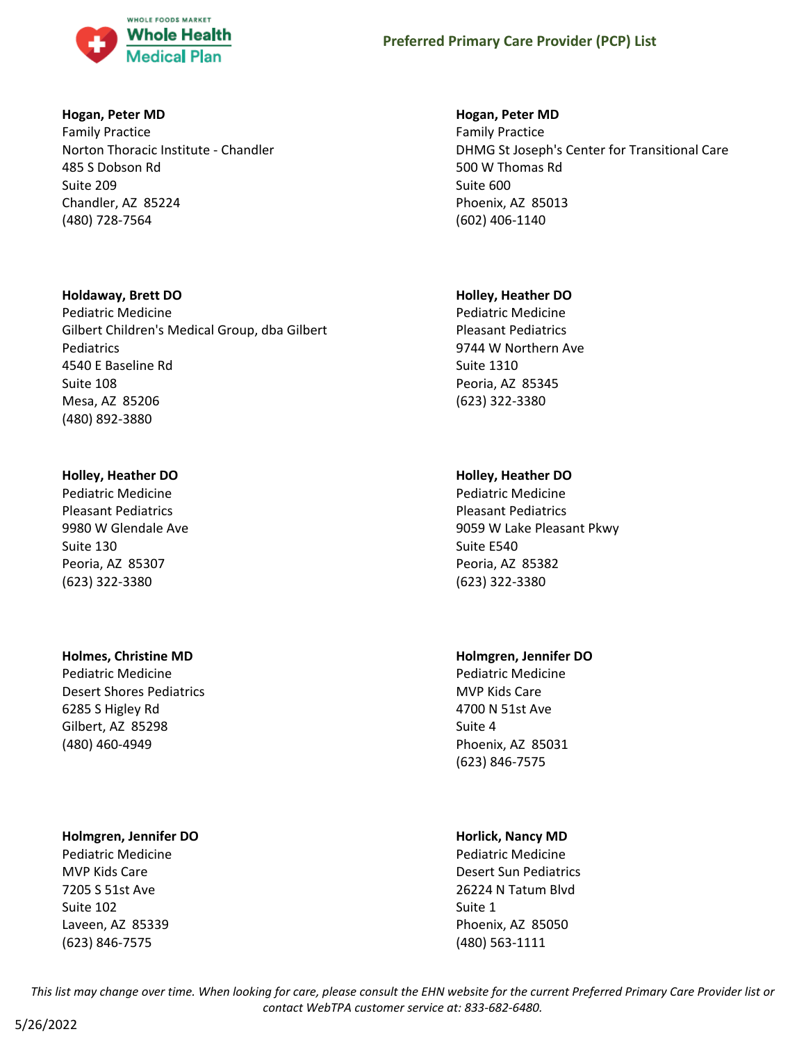

### **Hogan, Peter MD**

Family Practice Norton Thoracic Institute - Chandler 485 S Dobson Rd Suite 209 Chandler, AZ 85224 (480) 728-7564

### **Holdaway, Brett DO**

Pediatric Medicine Gilbert Children's Medical Group, dba Gilbert Pediatrics 4540 E Baseline Rd Suite 108 Mesa, AZ 85206 (480) 892-3880

# **Holley, Heather DO**

Pediatric Medicine Pleasant Pediatrics 9980 W Glendale Ave Suite 130 Peoria, AZ 85307 (623) 322-3380

# **Holmes, Christine MD**

Pediatric Medicine Desert Shores Pediatrics 6285 S Higley Rd Gilbert, AZ 85298 (480) 460-4949

### **Holmgren, Jennifer DO**

Pediatric Medicine MVP Kids Care 7205 S 51st Ave Suite 102 Laveen, AZ 85339 (623) 846-7575

### **Hogan, Peter MD**

Family Practice DHMG St Joseph's Center for Transitional Care 500 W Thomas Rd Suite 600 Phoenix, AZ 85013 (602) 406-1140

### **Holley, Heather DO**

Pediatric Medicine Pleasant Pediatrics 9744 W Northern Ave Suite 1310 Peoria, AZ 85345 (623) 322-3380

# **Holley, Heather DO**

Pediatric Medicine Pleasant Pediatrics 9059 W Lake Pleasant Pkwy Suite E540 Peoria, AZ 85382 (623) 322-3380

# **Holmgren, Jennifer DO**

Pediatric Medicine MVP Kids Care 4700 N 51st Ave Suite 4 Phoenix, AZ 85031 (623) 846-7575

# **Horlick, Nancy MD**

Pediatric Medicine Desert Sun Pediatrics 26224 N Tatum Blvd Suite 1 Phoenix, AZ 85050 (480) 563-1111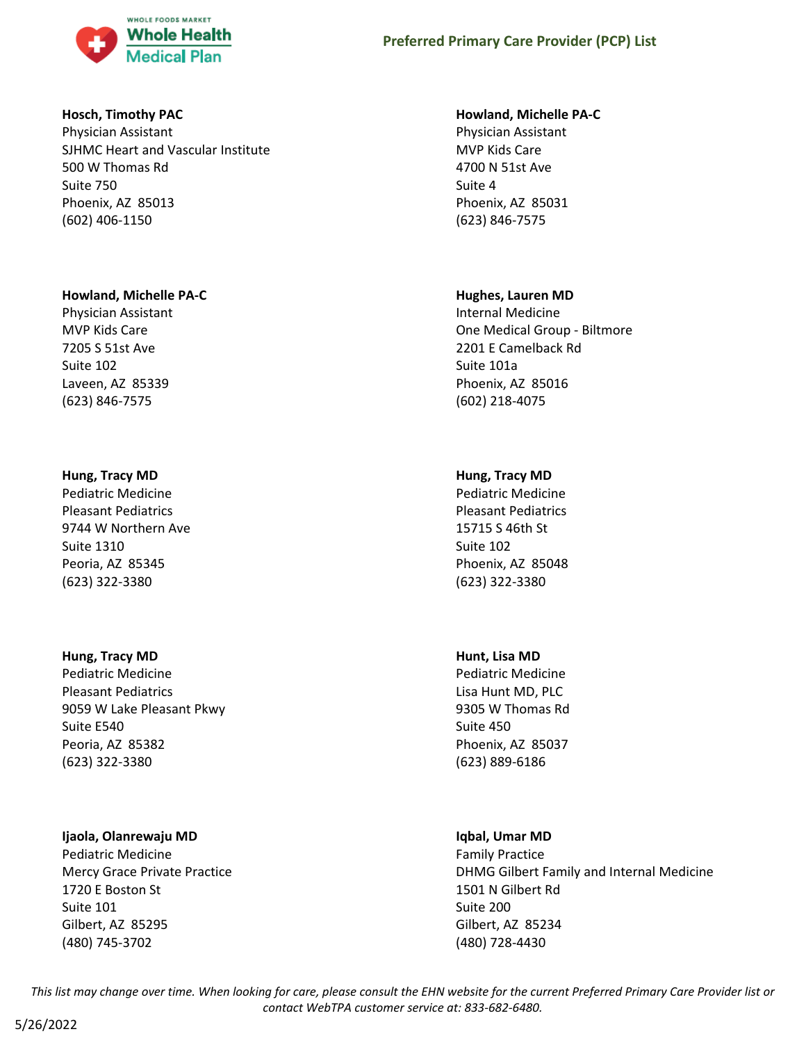

### **Hosch, Timothy PAC**

Physician Assistant SJHMC Heart and Vascular Institute 500 W Thomas Rd Suite 750 Phoenix, AZ 85013 (602) 406-1150

### **Howland, Michelle PA-C**

Physician Assistant MVP Kids Care 7205 S 51st Ave Suite 102 Laveen, AZ 85339 (623) 846-7575

# **Hung, Tracy MD**

Pediatric Medicine Pleasant Pediatrics 9744 W Northern Ave Suite 1310 Peoria, AZ 85345 (623) 322-3380

### **Hung, Tracy MD**

Pediatric Medicine Pleasant Pediatrics 9059 W Lake Pleasant Pkwy Suite E540 Peoria, AZ 85382 (623) 322-3380

### **Ijaola, Olanrewaju MD**

Pediatric Medicine Mercy Grace Private Practice 1720 E Boston St Suite 101 Gilbert, AZ 85295 (480) 745-3702

### **Howland, Michelle PA-C**

Physician Assistant MVP Kids Care 4700 N 51st Ave Suite 4 Phoenix, AZ 85031 (623) 846-7575

### **Hughes, Lauren MD**

Internal Medicine One Medical Group - Biltmore 2201 E Camelback Rd Suite 101a Phoenix, AZ 85016 (602) 218-4075

# **Hung, Tracy MD**

Pediatric Medicine Pleasant Pediatrics 15715 S 46th St Suite 102 Phoenix, AZ 85048 (623) 322-3380

# **Hunt, Lisa MD**

Pediatric Medicine Lisa Hunt MD, PLC 9305 W Thomas Rd Suite 450 Phoenix, AZ 85037 (623) 889-6186

# **Iqbal, Umar MD**

Family Practice DHMG Gilbert Family and Internal Medicine 1501 N Gilbert Rd Suite 200 Gilbert, AZ 85234 (480) 728-4430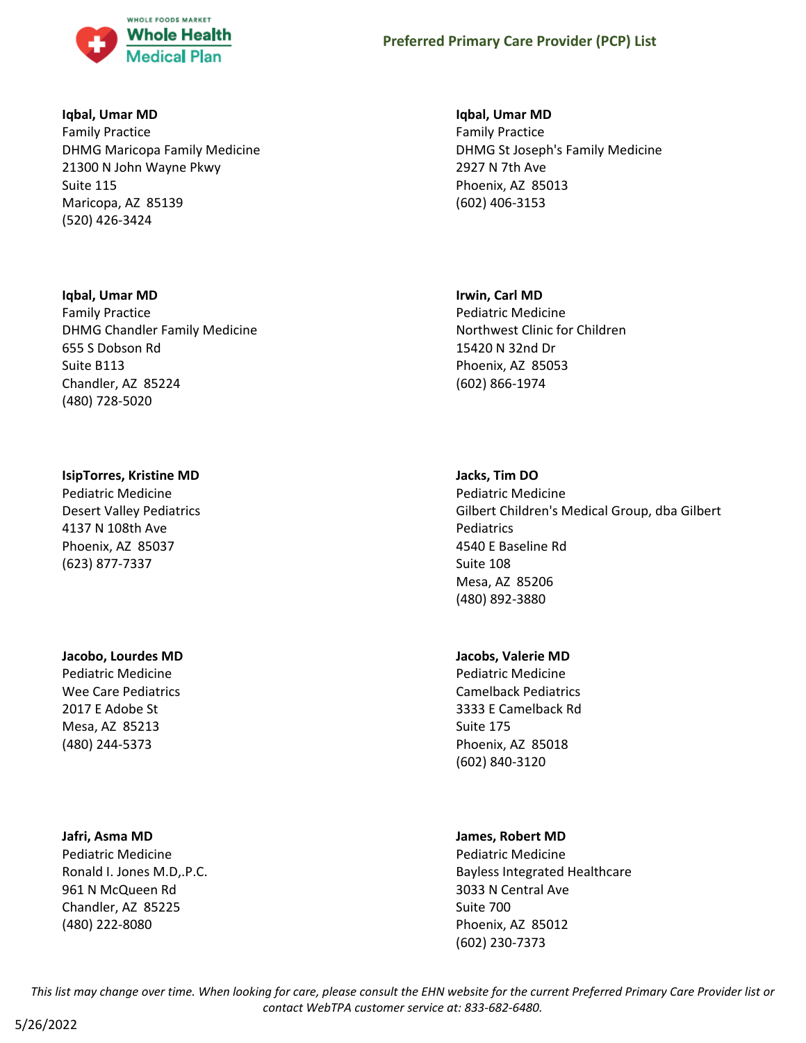

### **Iqbal, Umar MD**

Family Practice DHMG Maricopa Family Medicine 21300 N John Wayne Pkwy Suite 115 Maricopa, AZ 85139 (520) 426-3424

### **Iqbal, Umar MD**

Family Practice DHMG Chandler Family Medicine 655 S Dobson Rd Suite B113 Chandler, AZ 85224 (480) 728-5020

# **IsipTorres, Kristine MD**

Pediatric Medicine Desert Valley Pediatrics 4137 N 108th Ave Phoenix, AZ 85037 (623) 877-7337

# **Jacobo, Lourdes MD**

Pediatric Medicine Wee Care Pediatrics 2017 E Adobe St Mesa, AZ 85213 (480) 244-5373

### **Jafri, Asma MD**

Pediatric Medicine Ronald I. Jones M.D,.P.C. 961 N McQueen Rd Chandler, AZ 85225 (480) 222-8080

### **Iqbal, Umar MD**

Family Practice DHMG St Joseph's Family Medicine 2927 N 7th Ave Phoenix, AZ 85013 (602) 406-3153

### **Irwin, Carl MD**

Pediatric Medicine Northwest Clinic for Children 15420 N 32nd Dr Phoenix, AZ 85053 (602) 866-1974

# **Jacks, Tim DO**

Pediatric Medicine Gilbert Children's Medical Group, dba Gilbert Pediatrics 4540 E Baseline Rd Suite 108 Mesa, AZ 85206 (480) 892-3880

### **Jacobs, Valerie MD**

Pediatric Medicine Camelback Pediatrics 3333 E Camelback Rd Suite 175 Phoenix, AZ 85018 (602) 840-3120

# **James, Robert MD**

Pediatric Medicine Bayless Integrated Healthcare 3033 N Central Ave Suite 700 Phoenix, AZ 85012 (602) 230-7373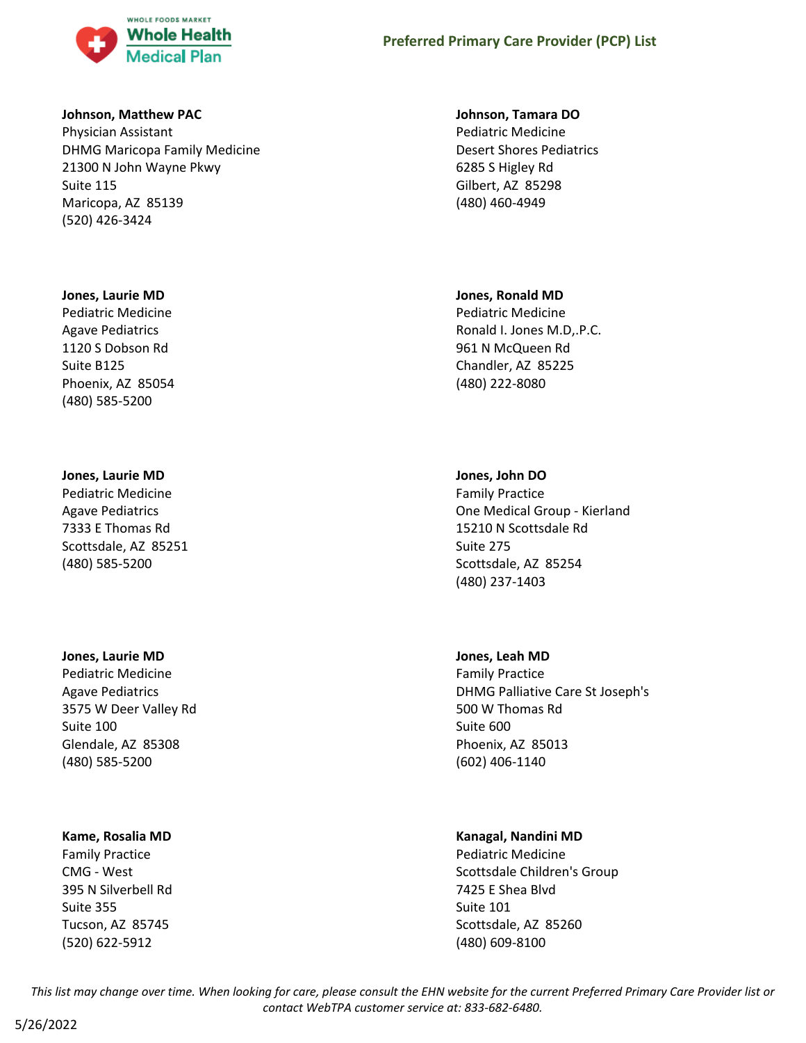

#### **Johnson, Matthew PAC**

Physician Assistant DHMG Maricopa Family Medicine 21300 N John Wayne Pkwy Suite 115 Maricopa, AZ 85139 (520) 426-3424

#### **Jones, Laurie MD**

Pediatric Medicine Agave Pediatrics 1120 S Dobson Rd Suite B125 Phoenix, AZ 85054 (480) 585-5200

#### **Jones, Laurie MD**

Pediatric Medicine Agave Pediatrics 7333 E Thomas Rd Scottsdale, AZ 85251 (480) 585-5200

#### **Jones, Laurie MD**

Pediatric Medicine Agave Pediatrics 3575 W Deer Valley Rd Suite 100 Glendale, AZ 85308 (480) 585-5200

#### **Kame, Rosalia MD**

Family Practice CMG - West 395 N Silverbell Rd Suite 355 Tucson, AZ 85745 (520) 622-5912

#### **Johnson, Tamara DO**

Pediatric Medicine Desert Shores Pediatrics 6285 S Higley Rd Gilbert, AZ 85298 (480) 460-4949

#### **Jones, Ronald MD**

Pediatric Medicine Ronald I. Jones M.D,.P.C. 961 N McQueen Rd Chandler, AZ 85225 (480) 222-8080

### **Jones, John DO**

Family Practice One Medical Group - Kierland 15210 N Scottsdale Rd Suite 275 Scottsdale, AZ 85254 (480) 237-1403

#### **Jones, Leah MD**

Family Practice DHMG Palliative Care St Joseph's 500 W Thomas Rd Suite 600 Phoenix, AZ 85013 (602) 406-1140

### **Kanagal, Nandini MD**

Pediatric Medicine Scottsdale Children's Group 7425 E Shea Blvd Suite 101 Scottsdale, AZ 85260 (480) 609-8100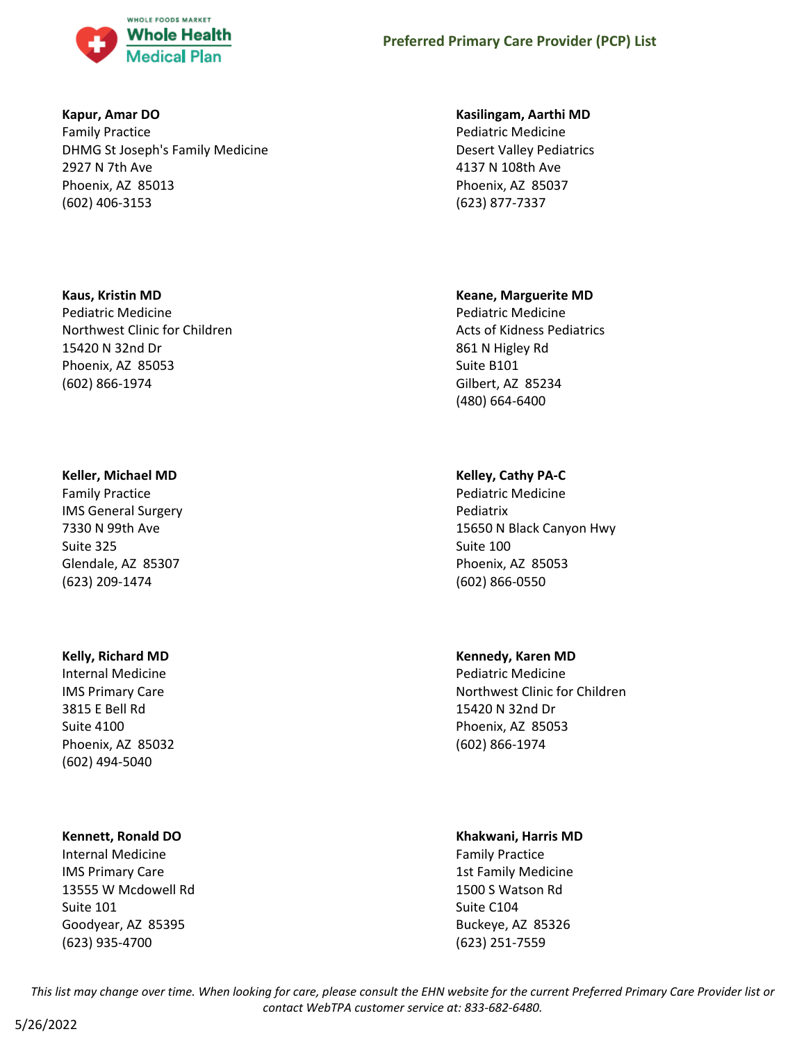

### **Kapur, Amar DO**

Family Practice DHMG St Joseph's Family Medicine 2927 N 7th Ave Phoenix, AZ 85013 (602) 406-3153

### **Kaus, Kristin MD**

Pediatric Medicine Northwest Clinic for Children 15420 N 32nd Dr Phoenix, AZ 85053 (602) 866-1974

### **Keller, Michael MD**

Family Practice IMS General Surgery 7330 N 99th Ave Suite 325 Glendale, AZ 85307 (623) 209-1474

# **Kelly, Richard MD**

Internal Medicine IMS Primary Care 3815 E Bell Rd Suite 4100 Phoenix, AZ 85032 (602) 494-5040

# **Kennett, Ronald DO**

Internal Medicine IMS Primary Care 13555 W Mcdowell Rd Suite 101 Goodyear, AZ 85395 (623) 935-4700

### **Kasilingam, Aarthi MD**

Pediatric Medicine Desert Valley Pediatrics 4137 N 108th Ave Phoenix, AZ 85037 (623) 877-7337

# **Keane, Marguerite MD**

Pediatric Medicine Acts of Kidness Pediatrics 861 N Higley Rd Suite B101 Gilbert, AZ 85234 (480) 664-6400

# **Kelley, Cathy PA-C**

Pediatric Medicine Pediatrix 15650 N Black Canyon Hwy Suite 100 Phoenix, AZ 85053 (602) 866-0550

# **Kennedy, Karen MD**

Pediatric Medicine Northwest Clinic for Children 15420 N 32nd Dr Phoenix, AZ 85053 (602) 866-1974

### **Khakwani, Harris MD**

Family Practice 1st Family Medicine 1500 S Watson Rd Suite C104 Buckeye, AZ 85326 (623) 251-7559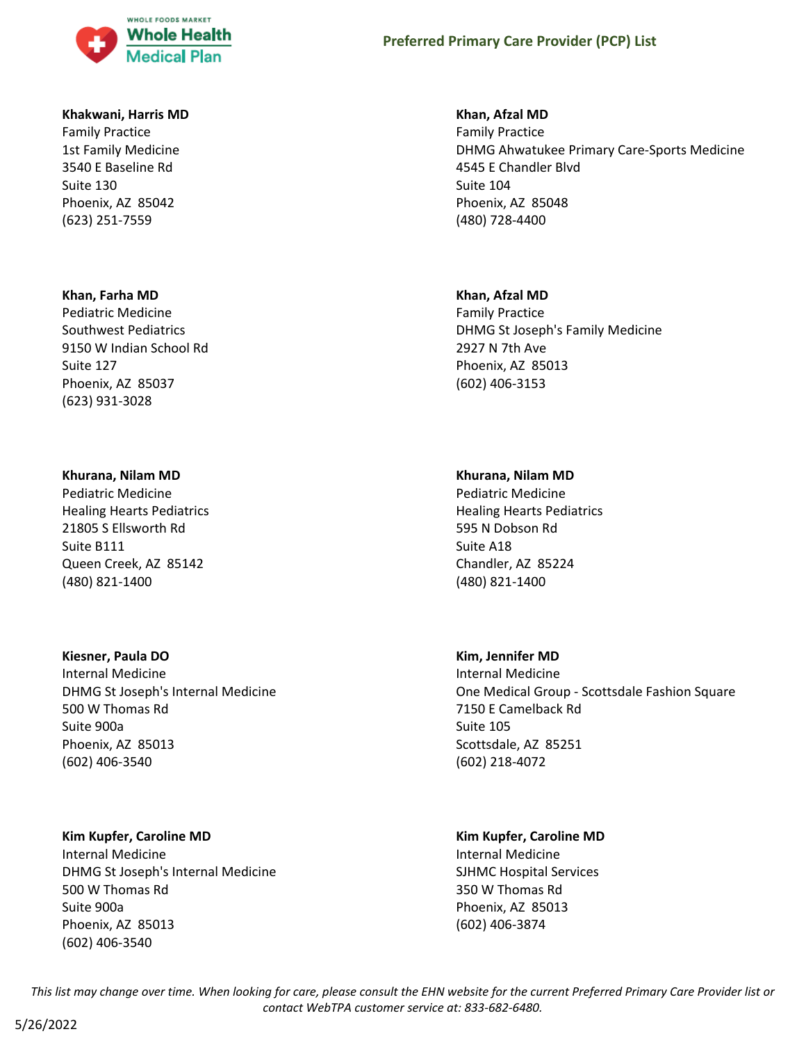

#### **Khakwani, Harris MD**

Family Practice 1st Family Medicine 3540 E Baseline Rd Suite 130 Phoenix, AZ 85042 (623) 251-7559

#### **Khan, Farha MD**

Pediatric Medicine Southwest Pediatrics 9150 W Indian School Rd Suite 127 Phoenix, AZ 85037 (623) 931-3028

#### **Khurana, Nilam MD**

Pediatric Medicine Healing Hearts Pediatrics 21805 S Ellsworth Rd Suite B111 Queen Creek, AZ 85142 (480) 821-1400

#### **Kiesner, Paula DO**

Internal Medicine DHMG St Joseph's Internal Medicine 500 W Thomas Rd Suite 900a Phoenix, AZ 85013 (602) 406-3540

#### **Kim Kupfer, Caroline MD**

Internal Medicine DHMG St Joseph's Internal Medicine 500 W Thomas Rd Suite 900a Phoenix, AZ 85013 (602) 406-3540

#### **Khan, Afzal MD**

Family Practice DHMG Ahwatukee Primary Care-Sports Medicine 4545 E Chandler Blvd Suite 104 Phoenix, AZ 85048 (480) 728-4400

#### **Khan, Afzal MD**

Family Practice DHMG St Joseph's Family Medicine 2927 N 7th Ave Phoenix, AZ 85013 (602) 406-3153

#### **Khurana, Nilam MD**

Pediatric Medicine Healing Hearts Pediatrics 595 N Dobson Rd Suite A18 Chandler, AZ 85224 (480) 821-1400

### **Kim, Jennifer MD**

Internal Medicine One Medical Group - Scottsdale Fashion Square 7150 E Camelback Rd Suite 105 Scottsdale, AZ 85251 (602) 218-4072

### **Kim Kupfer, Caroline MD**

Internal Medicine SJHMC Hospital Services 350 W Thomas Rd Phoenix, AZ 85013 (602) 406-3874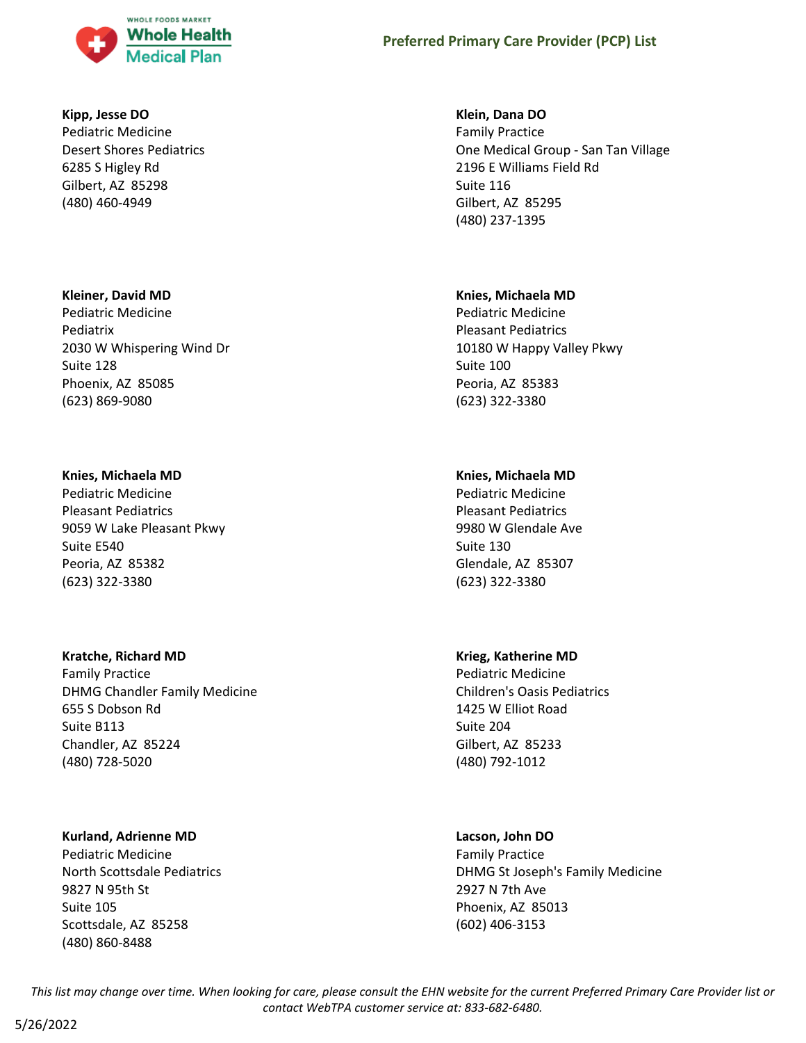

#### **Kipp, Jesse DO**

Pediatric Medicine Desert Shores Pediatrics 6285 S Higley Rd Gilbert, AZ 85298 (480) 460-4949

### **Kleiner, David MD**

Pediatric Medicine Pediatrix 2030 W Whispering Wind Dr Suite 128 Phoenix, AZ 85085 (623) 869-9080

### **Knies, Michaela MD**

Pediatric Medicine Pleasant Pediatrics 9059 W Lake Pleasant Pkwy Suite E540 Peoria, AZ 85382 (623) 322-3380

### **Kratche, Richard MD**

Family Practice DHMG Chandler Family Medicine 655 S Dobson Rd Suite B113 Chandler, AZ 85224 (480) 728-5020

### **Kurland, Adrienne MD**

Pediatric Medicine North Scottsdale Pediatrics 9827 N 95th St Suite 105 Scottsdale, AZ 85258 (480) 860-8488

### **Klein, Dana DO**

Family Practice One Medical Group - San Tan Village 2196 E Williams Field Rd Suite 116 Gilbert, AZ 85295 (480) 237-1395

### **Knies, Michaela MD**

Pediatric Medicine Pleasant Pediatrics 10180 W Happy Valley Pkwy Suite 100 Peoria, AZ 85383 (623) 322-3380

# **Knies, Michaela MD**

Pediatric Medicine Pleasant Pediatrics 9980 W Glendale Ave Suite 130 Glendale, AZ 85307 (623) 322-3380

# **Krieg, Katherine MD**

Pediatric Medicine Children's Oasis Pediatrics 1425 W Elliot Road Suite 204 Gilbert, AZ 85233 (480) 792-1012

# **Lacson, John DO**

Family Practice DHMG St Joseph's Family Medicine 2927 N 7th Ave Phoenix, AZ 85013 (602) 406-3153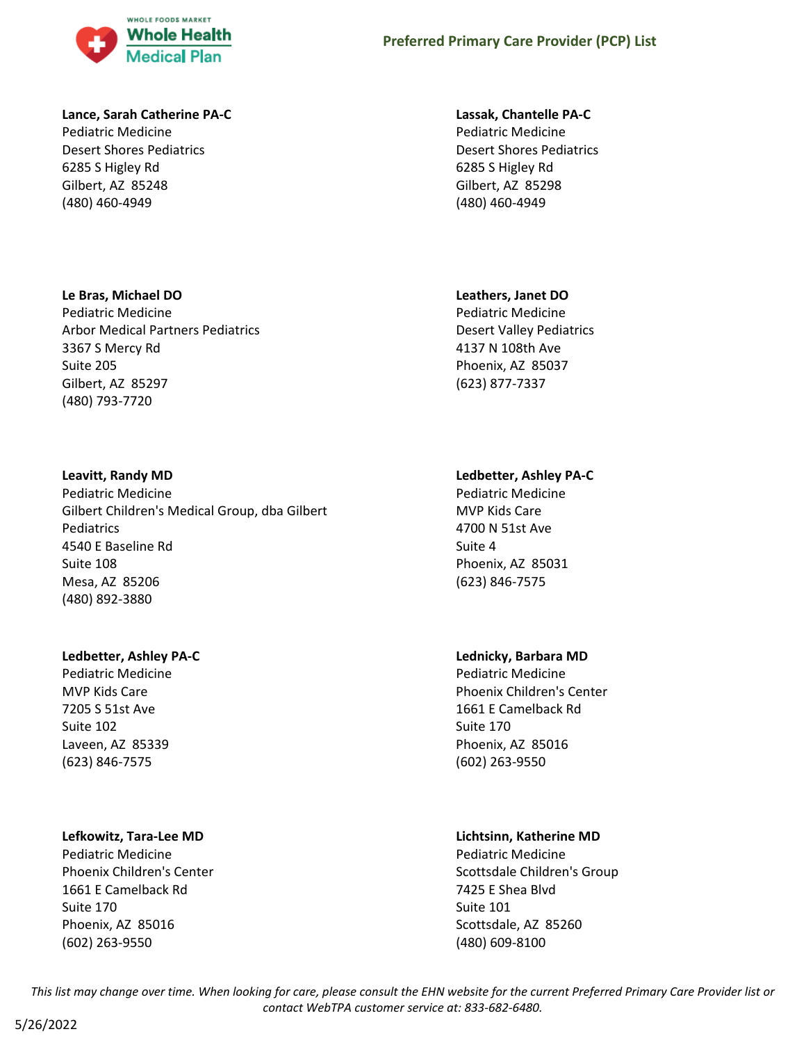

### **Lance, Sarah Catherine PA-C**

Pediatric Medicine Desert Shores Pediatrics 6285 S Higley Rd Gilbert, AZ 85248 (480) 460-4949

### **Le Bras, Michael DO**

Pediatric Medicine Arbor Medical Partners Pediatrics 3367 S Mercy Rd Suite 205 Gilbert, AZ 85297 (480) 793-7720

### **Leavitt, Randy MD**

Pediatric Medicine Gilbert Children's Medical Group, dba Gilbert Pediatrics 4540 E Baseline Rd Suite 108 Mesa, AZ 85206 (480) 892-3880

### **Ledbetter, Ashley PA-C**

Pediatric Medicine MVP Kids Care 7205 S 51st Ave Suite 102 Laveen, AZ 85339 (623) 846-7575

# **Lefkowitz, Tara-Lee MD**

Pediatric Medicine Phoenix Children's Center 1661 E Camelback Rd Suite 170 Phoenix, AZ 85016 (602) 263-9550

### **Lassak, Chantelle PA-C**

Pediatric Medicine Desert Shores Pediatrics 6285 S Higley Rd Gilbert, AZ 85298 (480) 460-4949

# **Leathers, Janet DO**

Pediatric Medicine Desert Valley Pediatrics 4137 N 108th Ave Phoenix, AZ 85037 (623) 877-7337

# **Ledbetter, Ashley PA-C**

Pediatric Medicine MVP Kids Care 4700 N 51st Ave Suite 4 Phoenix, AZ 85031 (623) 846-7575

# **Lednicky, Barbara MD**

Pediatric Medicine Phoenix Children's Center 1661 E Camelback Rd Suite 170 Phoenix, AZ 85016 (602) 263-9550

# **Lichtsinn, Katherine MD**

Pediatric Medicine Scottsdale Children's Group 7425 E Shea Blvd Suite 101 Scottsdale, AZ 85260 (480) 609-8100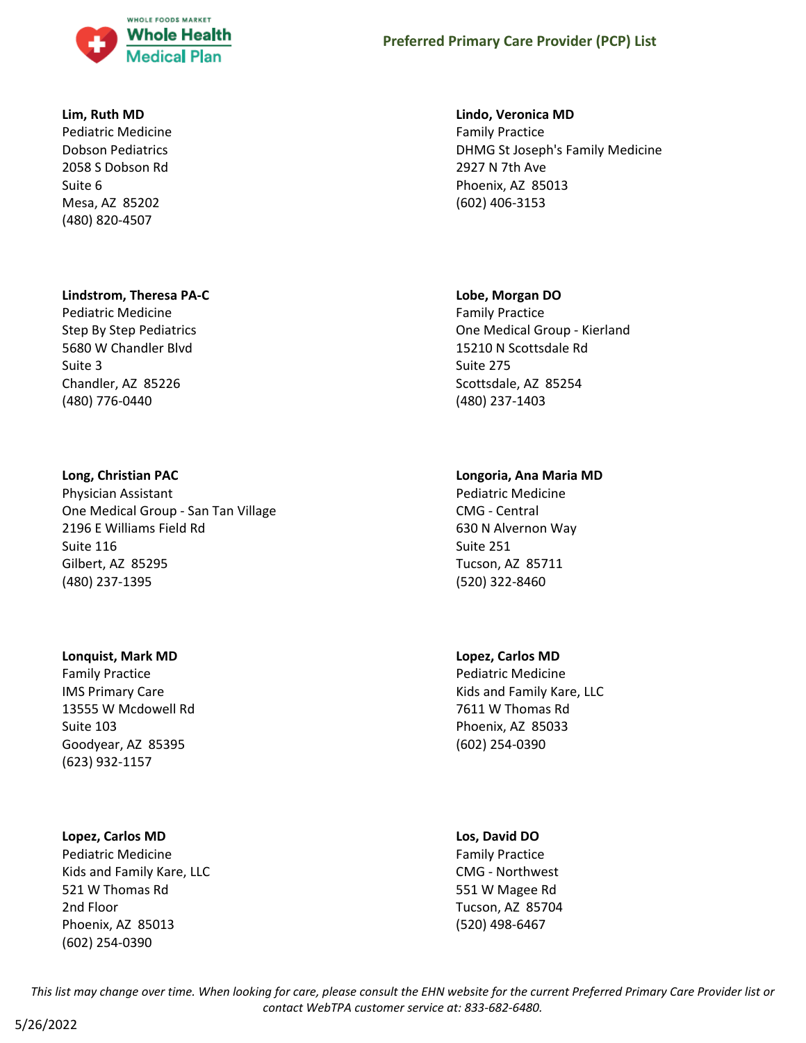

#### **Lim, Ruth MD**

Pediatric Medicine Dobson Pediatrics 2058 S Dobson Rd Suite 6 Mesa, AZ 85202 (480) 820-4507

#### **Lindstrom, Theresa PA-C**

Pediatric Medicine Step By Step Pediatrics 5680 W Chandler Blvd Suite 3 Chandler, AZ 85226 (480) 776-0440

#### **Long, Christian PAC**

Physician Assistant One Medical Group - San Tan Village 2196 E Williams Field Rd Suite 116 Gilbert, AZ 85295 (480) 237-1395

#### **Lonquist, Mark MD**

Family Practice IMS Primary Care 13555 W Mcdowell Rd Suite 103 Goodyear, AZ 85395 (623) 932-1157

#### **Lopez, Carlos MD**

Pediatric Medicine Kids and Family Kare, LLC 521 W Thomas Rd 2nd Floor Phoenix, AZ 85013 (602) 254-0390

#### **Lindo, Veronica MD**

Family Practice DHMG St Joseph's Family Medicine 2927 N 7th Ave Phoenix, AZ 85013 (602) 406-3153

#### **Lobe, Morgan DO**

Family Practice One Medical Group - Kierland 15210 N Scottsdale Rd Suite 275 Scottsdale, AZ 85254 (480) 237-1403

### **Longoria, Ana Maria MD**

Pediatric Medicine CMG - Central 630 N Alvernon Way Suite 251 Tucson, AZ 85711 (520) 322-8460

### **Lopez, Carlos MD**

Pediatric Medicine Kids and Family Kare, LLC 7611 W Thomas Rd Phoenix, AZ 85033 (602) 254-0390

#### **Los, David DO**

Family Practice CMG - Northwest 551 W Magee Rd Tucson, AZ 85704 (520) 498-6467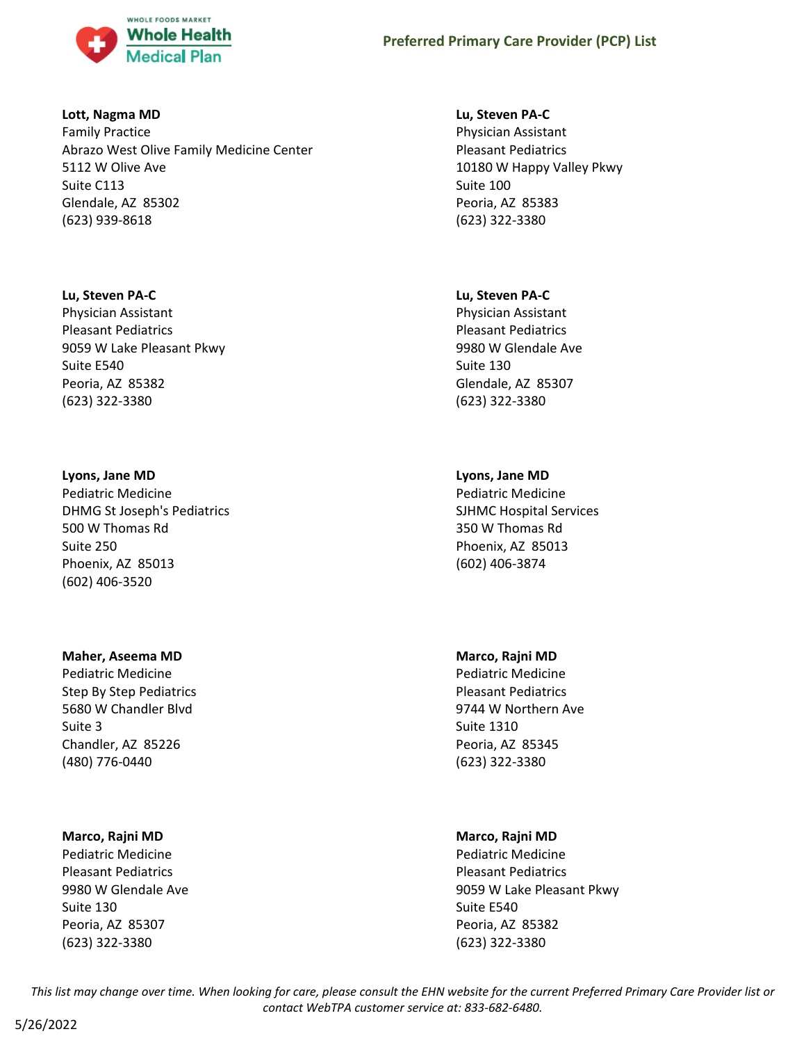

### **Lott, Nagma MD**

Family Practice Abrazo West Olive Family Medicine Center 5112 W Olive Ave Suite C113 Glendale, AZ 85302 (623) 939-8618

### **Lu, Steven PA-C**

Physician Assistant Pleasant Pediatrics 9059 W Lake Pleasant Pkwy Suite E540 Peoria, AZ 85382 (623) 322-3380

### **Lyons, Jane MD**

Pediatric Medicine DHMG St Joseph's Pediatrics 500 W Thomas Rd Suite 250 Phoenix, AZ 85013 (602) 406-3520

### **Maher, Aseema MD**

Pediatric Medicine Step By Step Pediatrics 5680 W Chandler Blvd Suite 3 Chandler, AZ 85226 (480) 776-0440

# **Marco, Rajni MD**

Pediatric Medicine Pleasant Pediatrics 9980 W Glendale Ave Suite 130 Peoria, AZ 85307 (623) 322-3380

### **Lu, Steven PA-C**

Physician Assistant Pleasant Pediatrics 10180 W Happy Valley Pkwy Suite 100 Peoria, AZ 85383 (623) 322-3380

### **Lu, Steven PA-C**

Physician Assistant Pleasant Pediatrics 9980 W Glendale Ave Suite 130 Glendale, AZ 85307 (623) 322-3380

# **Lyons, Jane MD**

Pediatric Medicine SJHMC Hospital Services 350 W Thomas Rd Phoenix, AZ 85013 (602) 406-3874

# **Marco, Rajni MD**

Pediatric Medicine Pleasant Pediatrics 9744 W Northern Ave Suite 1310 Peoria, AZ 85345 (623) 322-3380

# **Marco, Rajni MD**

Pediatric Medicine Pleasant Pediatrics 9059 W Lake Pleasant Pkwy Suite E540 Peoria, AZ 85382 (623) 322-3380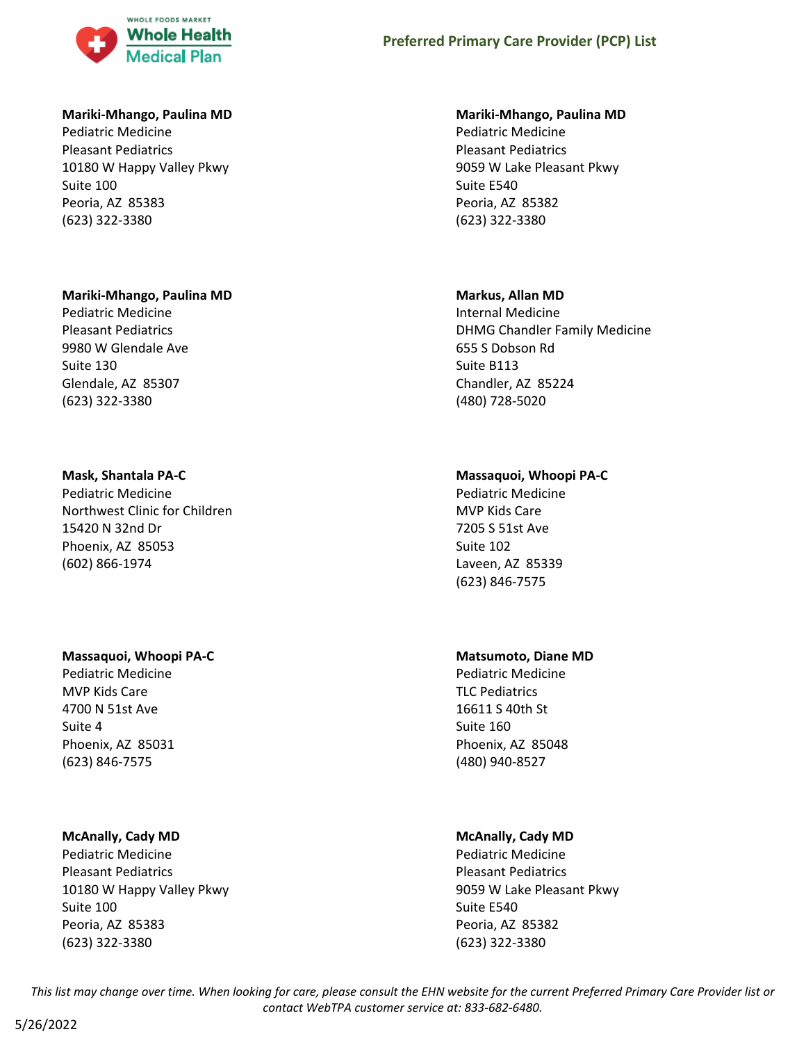

#### **Mariki-Mhango, Paulina MD**

Pediatric Medicine Pleasant Pediatrics 10180 W Happy Valley Pkwy Suite 100 Peoria, AZ 85383 (623) 322-3380

### **Mariki-Mhango, Paulina MD**

Pediatric Medicine Pleasant Pediatrics 9980 W Glendale Ave Suite 130 Glendale, AZ 85307 (623) 322-3380

### **Mask, Shantala PA-C**

Pediatric Medicine Northwest Clinic for Children 15420 N 32nd Dr Phoenix, AZ 85053 (602) 866-1974

### **Massaquoi, Whoopi PA-C**

Pediatric Medicine MVP Kids Care 4700 N 51st Ave Suite 4 Phoenix, AZ 85031 (623) 846-7575

### **McAnally, Cady MD**

Pediatric Medicine Pleasant Pediatrics 10180 W Happy Valley Pkwy Suite 100 Peoria, AZ 85383 (623) 322-3380

### **Mariki-Mhango, Paulina MD**

Pediatric Medicine Pleasant Pediatrics 9059 W Lake Pleasant Pkwy Suite E540 Peoria, AZ 85382 (623) 322-3380

### **Markus, Allan MD**

Internal Medicine DHMG Chandler Family Medicine 655 S Dobson Rd Suite B113 Chandler, AZ 85224 (480) 728-5020

# **Massaquoi, Whoopi PA-C**

Pediatric Medicine MVP Kids Care 7205 S 51st Ave Suite 102 Laveen, AZ 85339 (623) 846-7575

# **Matsumoto, Diane MD**

Pediatric Medicine TLC Pediatrics 16611 S 40th St Suite 160 Phoenix, AZ 85048 (480) 940-8527

# **McAnally, Cady MD**

Pediatric Medicine Pleasant Pediatrics 9059 W Lake Pleasant Pkwy Suite E540 Peoria, AZ 85382 (623) 322-3380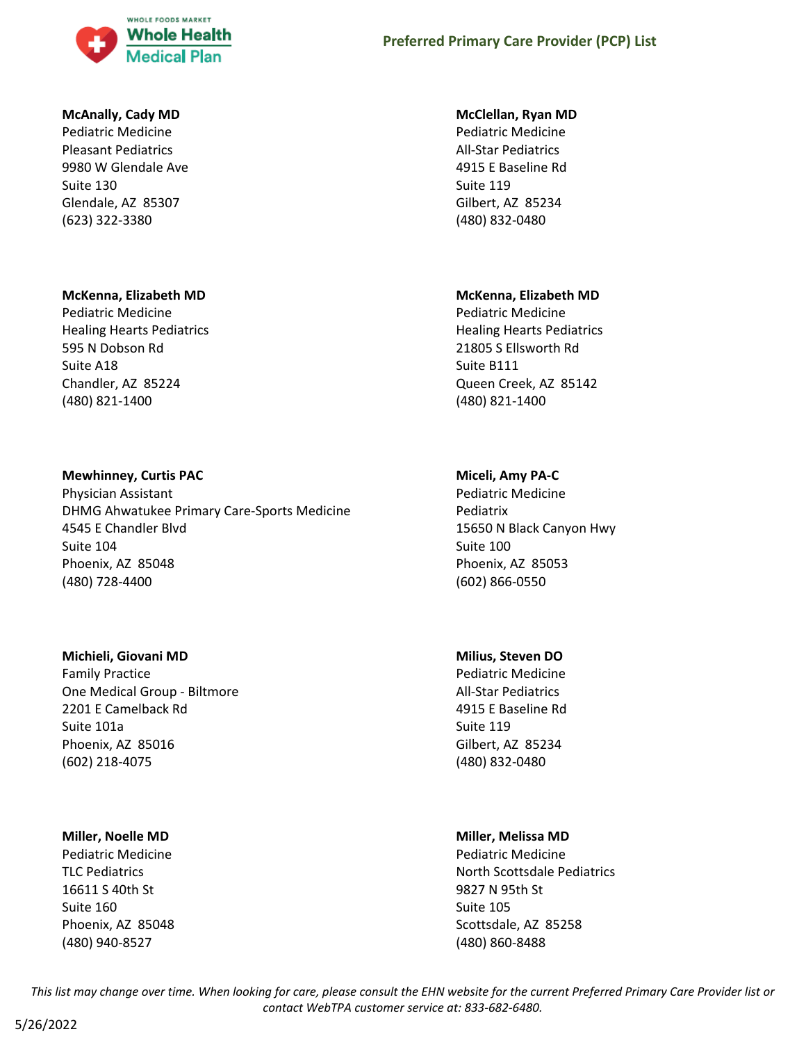

### **McAnally, Cady MD**

Pediatric Medicine Pleasant Pediatrics 9980 W Glendale Ave Suite 130 Glendale, AZ 85307 (623) 322-3380

### **McKenna, Elizabeth MD**

Pediatric Medicine Healing Hearts Pediatrics 595 N Dobson Rd Suite A18 Chandler, AZ 85224 (480) 821-1400

### **Mewhinney, Curtis PAC**

Physician Assistant DHMG Ahwatukee Primary Care-Sports Medicine 4545 E Chandler Blvd Suite 104 Phoenix, AZ 85048 (480) 728-4400

### **Michieli, Giovani MD**

Family Practice One Medical Group - Biltmore 2201 E Camelback Rd Suite 101a Phoenix, AZ 85016 (602) 218-4075

### **Miller, Noelle MD**

Pediatric Medicine TLC Pediatrics 16611 S 40th St Suite 160 Phoenix, AZ 85048 (480) 940-8527

### **McClellan, Ryan MD**

Pediatric Medicine All-Star Pediatrics 4915 E Baseline Rd Suite 119 Gilbert, AZ 85234 (480) 832-0480

# **McKenna, Elizabeth MD**

Pediatric Medicine Healing Hearts Pediatrics 21805 S Ellsworth Rd Suite B111 Queen Creek, AZ 85142 (480) 821-1400

# **Miceli, Amy PA-C**

Pediatric Medicine Pediatrix 15650 N Black Canyon Hwy Suite 100 Phoenix, AZ 85053 (602) 866-0550

### **Milius, Steven DO**

Pediatric Medicine All-Star Pediatrics 4915 E Baseline Rd Suite 119 Gilbert, AZ 85234 (480) 832-0480

# **Miller, Melissa MD**

Pediatric Medicine North Scottsdale Pediatrics 9827 N 95th St Suite 105 Scottsdale, AZ 85258 (480) 860-8488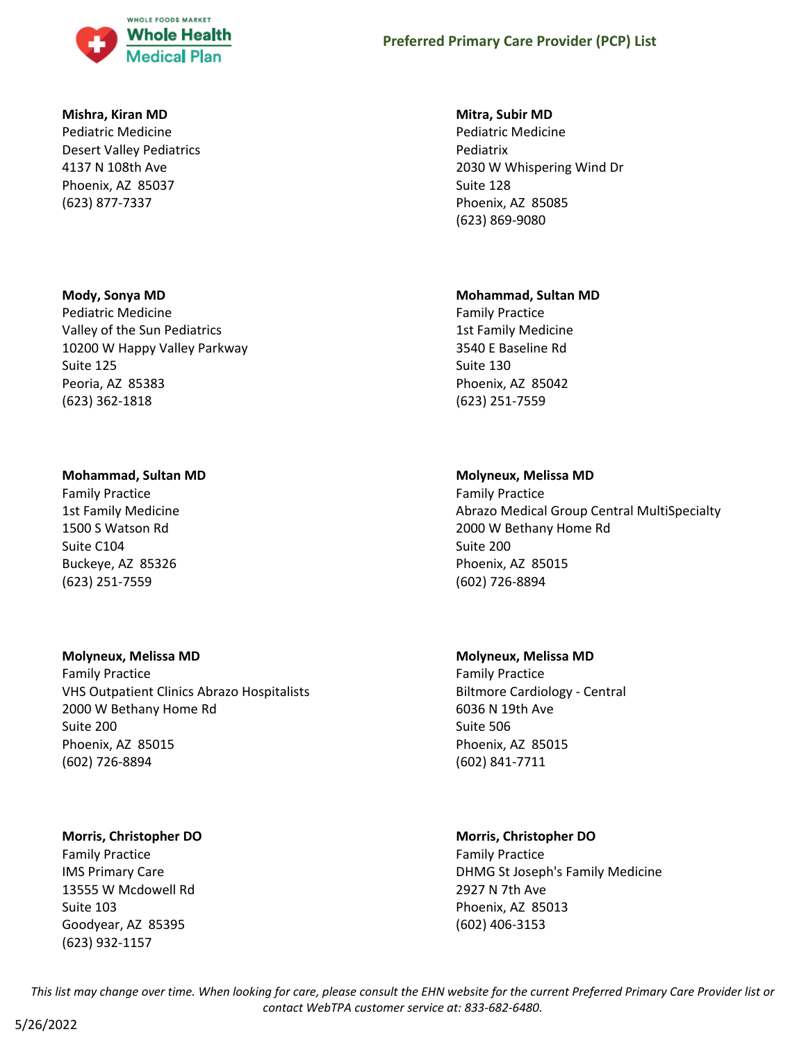

#### **Mishra, Kiran MD**

Pediatric Medicine Desert Valley Pediatrics 4137 N 108th Ave Phoenix, AZ 85037 (623) 877-7337

### **Mody, Sonya MD**

Pediatric Medicine Valley of the Sun Pediatrics 10200 W Happy Valley Parkway Suite 125 Peoria, AZ 85383 (623) 362-1818

### **Mohammad, Sultan MD**

Family Practice 1st Family Medicine 1500 S Watson Rd Suite C104 Buckeye, AZ 85326 (623) 251-7559

### **Molyneux, Melissa MD**

Family Practice VHS Outpatient Clinics Abrazo Hospitalists 2000 W Bethany Home Rd Suite 200 Phoenix, AZ 85015 (602) 726-8894

# **Morris, Christopher DO**

Family Practice IMS Primary Care 13555 W Mcdowell Rd Suite 103 Goodyear, AZ 85395 (623) 932-1157

### **Mitra, Subir MD**

Pediatric Medicine Pediatrix 2030 W Whispering Wind Dr Suite 128 Phoenix, AZ 85085 (623) 869-9080

### **Mohammad, Sultan MD**

Family Practice 1st Family Medicine 3540 E Baseline Rd Suite 130 Phoenix, AZ 85042 (623) 251-7559

# **Molyneux, Melissa MD**

Family Practice Abrazo Medical Group Central MultiSpecialty 2000 W Bethany Home Rd Suite 200 Phoenix, AZ 85015 (602) 726-8894

### **Molyneux, Melissa MD**

Family Practice Biltmore Cardiology - Central 6036 N 19th Ave Suite 506 Phoenix, AZ 85015 (602) 841-7711

# **Morris, Christopher DO**

Family Practice DHMG St Joseph's Family Medicine 2927 N 7th Ave Phoenix, AZ 85013 (602) 406-3153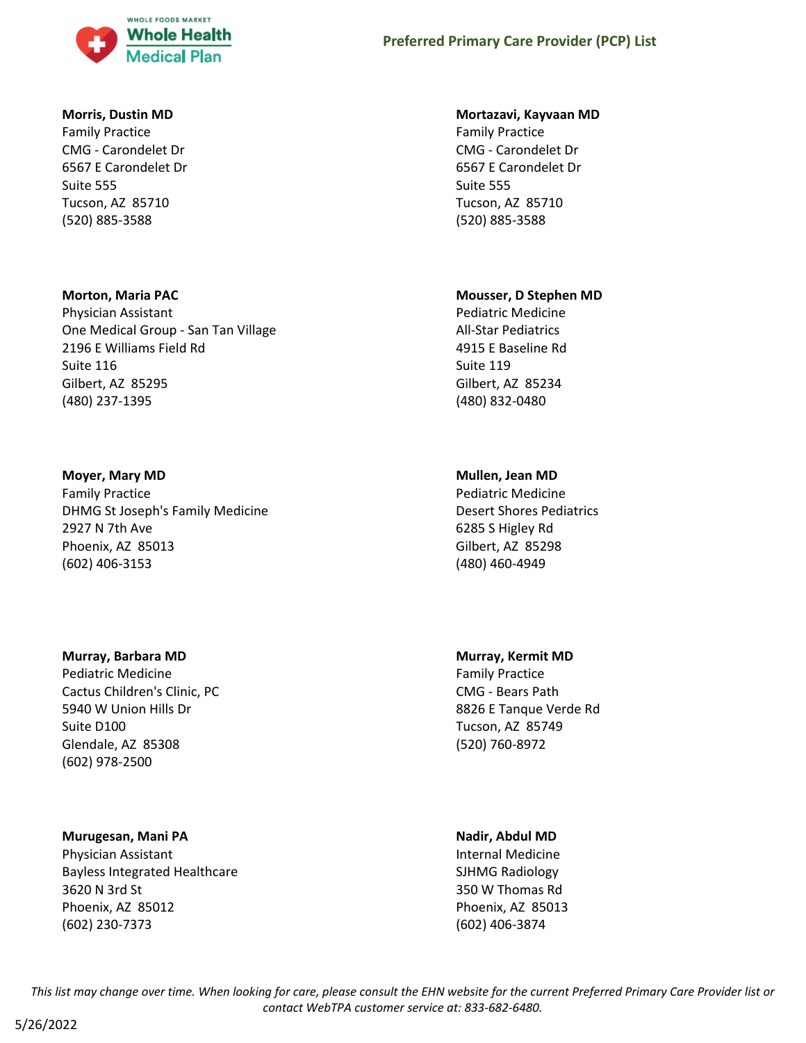

#### **Morris, Dustin MD**

Family Practice CMG - Carondelet Dr 6567 E Carondelet Dr Suite 555 Tucson, AZ 85710 (520) 885-3588

#### **Morton, Maria PAC**

Physician Assistant One Medical Group - San Tan Village 2196 E Williams Field Rd Suite 116 Gilbert, AZ 85295 (480) 237-1395

#### **Moyer, Mary MD**

Family Practice DHMG St Joseph's Family Medicine 2927 N 7th Ave Phoenix, AZ 85013 (602) 406-3153

#### **Murray, Barbara MD**

Pediatric Medicine Cactus Children's Clinic, PC 5940 W Union Hills Dr Suite D100 Glendale, AZ 85308 (602) 978-2500

### **Murugesan, Mani PA**

Physician Assistant Bayless Integrated Healthcare 3620 N 3rd St Phoenix, AZ 85012 (602) 230-7373

#### **Mortazavi, Kayvaan MD**

Family Practice CMG - Carondelet Dr 6567 E Carondelet Dr Suite 555 Tucson, AZ 85710 (520) 885-3588

#### **Mousser, D Stephen MD**

Pediatric Medicine All-Star Pediatrics 4915 E Baseline Rd Suite 119 Gilbert, AZ 85234 (480) 832-0480

### **Mullen, Jean MD**

Pediatric Medicine Desert Shores Pediatrics 6285 S Higley Rd Gilbert, AZ 85298 (480) 460-4949

### **Murray, Kermit MD**

Family Practice CMG - Bears Path 8826 E Tanque Verde Rd Tucson, AZ 85749 (520) 760-8972

#### **Nadir, Abdul MD**

Internal Medicine SJHMG Radiology 350 W Thomas Rd Phoenix, AZ 85013 (602) 406-3874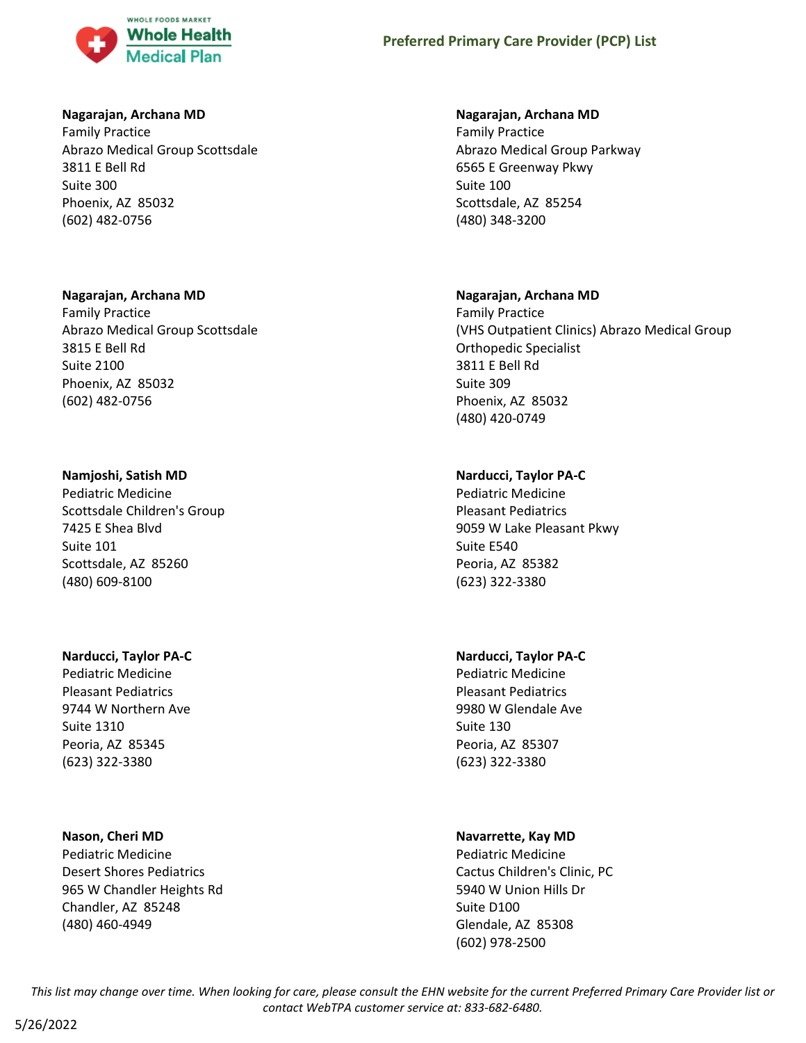

#### **Nagarajan, Archana MD**

Family Practice Abrazo Medical Group Scottsdale 3811 E Bell Rd Suite 300 Phoenix, AZ 85032 (602) 482-0756

#### **Nagarajan, Archana MD**

Family Practice Abrazo Medical Group Scottsdale 3815 E Bell Rd Suite 2100 Phoenix, AZ 85032 (602) 482-0756

#### **Namjoshi, Satish MD**

Pediatric Medicine Scottsdale Children's Group 7425 E Shea Blvd Suite 101 Scottsdale, AZ 85260 (480) 609-8100

#### **Narducci, Taylor PA-C**

Pediatric Medicine Pleasant Pediatrics 9744 W Northern Ave Suite 1310 Peoria, AZ 85345 (623) 322-3380

#### **Nason, Cheri MD**

Pediatric Medicine Desert Shores Pediatrics 965 W Chandler Heights Rd Chandler, AZ 85248 (480) 460-4949

#### **Nagarajan, Archana MD**

Family Practice Abrazo Medical Group Parkway 6565 E Greenway Pkwy Suite 100 Scottsdale, AZ 85254 (480) 348-3200

#### **Nagarajan, Archana MD**

Family Practice (VHS Outpatient Clinics) Abrazo Medical Group Orthopedic Specialist 3811 E Bell Rd Suite 309 Phoenix, AZ 85032 (480) 420-0749

### **Narducci, Taylor PA-C**

Pediatric Medicine Pleasant Pediatrics 9059 W Lake Pleasant Pkwy Suite E540 Peoria, AZ 85382 (623) 322-3380

# **Narducci, Taylor PA-C**

Pediatric Medicine Pleasant Pediatrics 9980 W Glendale Ave Suite 130 Peoria, AZ 85307 (623) 322-3380

### **Navarrette, Kay MD**

Pediatric Medicine Cactus Children's Clinic, PC 5940 W Union Hills Dr Suite D100 Glendale, AZ 85308 (602) 978-2500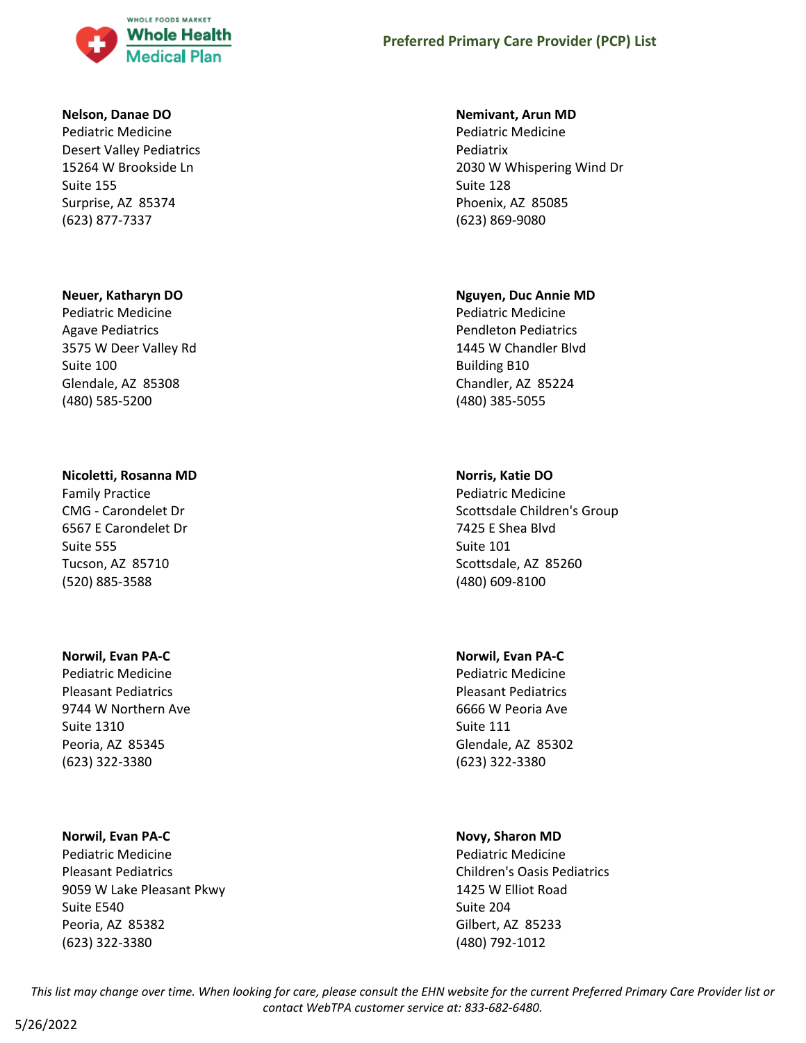

#### **Nelson, Danae DO**

Pediatric Medicine Desert Valley Pediatrics 15264 W Brookside Ln Suite 155 Surprise, AZ 85374 (623) 877-7337

#### **Neuer, Katharyn DO**

Pediatric Medicine Agave Pediatrics 3575 W Deer Valley Rd Suite 100 Glendale, AZ 85308 (480) 585-5200

#### **Nicoletti, Rosanna MD**

Family Practice CMG - Carondelet Dr 6567 E Carondelet Dr Suite 555 Tucson, AZ 85710 (520) 885-3588

#### **Norwil, Evan PA-C**

Pediatric Medicine Pleasant Pediatrics 9744 W Northern Ave Suite 1310 Peoria, AZ 85345 (623) 322-3380

#### **Norwil, Evan PA-C**

Pediatric Medicine Pleasant Pediatrics 9059 W Lake Pleasant Pkwy Suite E540 Peoria, AZ 85382 (623) 322-3380

#### **Nemivant, Arun MD**

Pediatric Medicine Pediatrix 2030 W Whispering Wind Dr Suite 128 Phoenix, AZ 85085 (623) 869-9080

#### **Nguyen, Duc Annie MD**

Pediatric Medicine Pendleton Pediatrics 1445 W Chandler Blvd Building B10 Chandler, AZ 85224 (480) 385-5055

### **Norris, Katie DO**

Pediatric Medicine Scottsdale Children's Group 7425 E Shea Blvd Suite 101 Scottsdale, AZ 85260 (480) 609-8100

#### **Norwil, Evan PA-C**

Pediatric Medicine Pleasant Pediatrics 6666 W Peoria Ave Suite 111 Glendale, AZ 85302 (623) 322-3380

#### **Novy, Sharon MD**

Pediatric Medicine Children's Oasis Pediatrics 1425 W Elliot Road Suite 204 Gilbert, AZ 85233 (480) 792-1012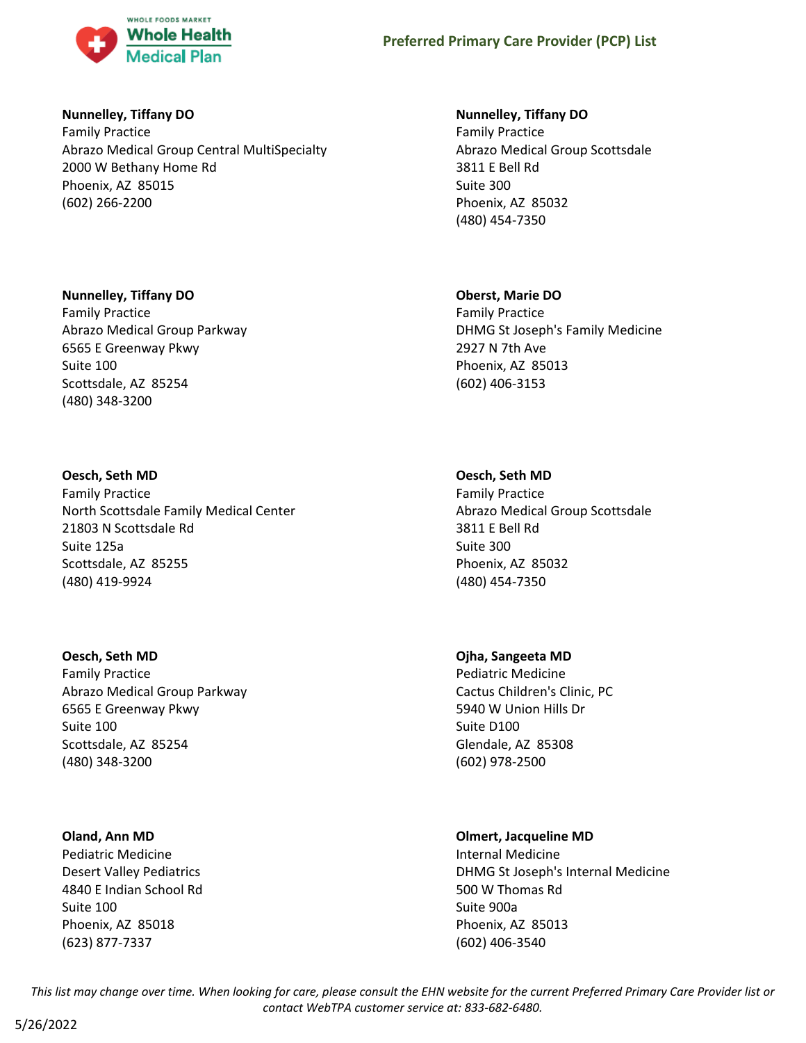

### **Nunnelley, Tiffany DO**

Family Practice Abrazo Medical Group Central MultiSpecialty 2000 W Bethany Home Rd Phoenix, AZ 85015 (602) 266-2200

# **Nunnelley, Tiffany DO**

Family Practice Abrazo Medical Group Parkway 6565 E Greenway Pkwy Suite 100 Scottsdale, AZ 85254 (480) 348-3200

# **Oesch, Seth MD**

Family Practice North Scottsdale Family Medical Center 21803 N Scottsdale Rd Suite 125a Scottsdale, AZ 85255 (480) 419-9924

### **Oesch, Seth MD**

Family Practice Abrazo Medical Group Parkway 6565 E Greenway Pkwy Suite 100 Scottsdale, AZ 85254 (480) 348-3200

### **Oland, Ann MD**

Pediatric Medicine Desert Valley Pediatrics 4840 E Indian School Rd Suite 100 Phoenix, AZ 85018 (623) 877-7337

# **Nunnelley, Tiffany DO**

Family Practice Abrazo Medical Group Scottsdale 3811 E Bell Rd Suite 300 Phoenix, AZ 85032 (480) 454-7350

### **Oberst, Marie DO**

Family Practice DHMG St Joseph's Family Medicine 2927 N 7th Ave Phoenix, AZ 85013 (602) 406-3153

# **Oesch, Seth MD**

Family Practice Abrazo Medical Group Scottsdale 3811 E Bell Rd Suite 300 Phoenix, AZ 85032 (480) 454-7350

### **Ojha, Sangeeta MD**

Pediatric Medicine Cactus Children's Clinic, PC 5940 W Union Hills Dr Suite D100 Glendale, AZ 85308 (602) 978-2500

### **Olmert, Jacqueline MD**

Internal Medicine DHMG St Joseph's Internal Medicine 500 W Thomas Rd Suite 900a Phoenix, AZ 85013 (602) 406-3540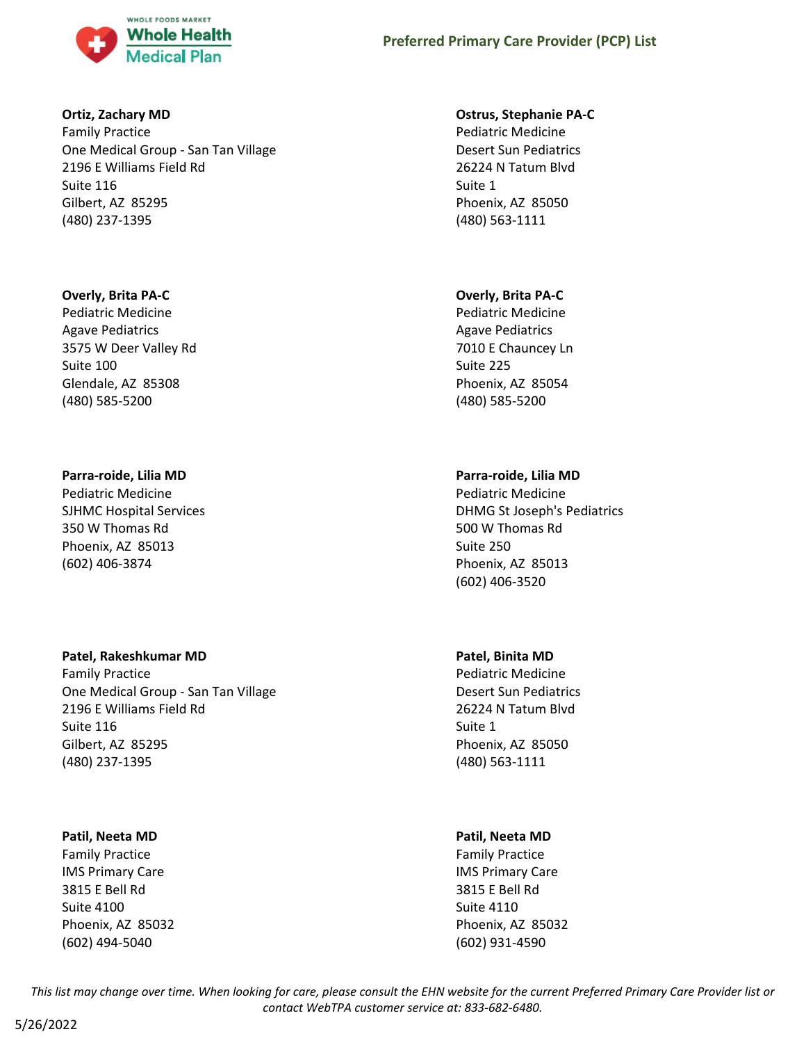

### **Ortiz, Zachary MD**

Family Practice One Medical Group - San Tan Village 2196 E Williams Field Rd Suite 116 Gilbert, AZ 85295 (480) 237-1395

### **Overly, Brita PA-C**

Pediatric Medicine Agave Pediatrics 3575 W Deer Valley Rd Suite 100 Glendale, AZ 85308 (480) 585-5200

### **Parra-roide, Lilia MD**

Pediatric Medicine SJHMC Hospital Services 350 W Thomas Rd Phoenix, AZ 85013 (602) 406-3874

### **Patel, Rakeshkumar MD**

Family Practice One Medical Group - San Tan Village 2196 E Williams Field Rd Suite 116 Gilbert, AZ 85295 (480) 237-1395

# **Patil, Neeta MD**

Family Practice IMS Primary Care 3815 E Bell Rd Suite 4100 Phoenix, AZ 85032 (602) 494-5040

### **Ostrus, Stephanie PA-C**

Pediatric Medicine Desert Sun Pediatrics 26224 N Tatum Blvd Suite 1 Phoenix, AZ 85050 (480) 563-1111

# **Overly, Brita PA-C**

Pediatric Medicine Agave Pediatrics 7010 E Chauncey Ln Suite 225 Phoenix, AZ 85054 (480) 585-5200

# **Parra-roide, Lilia MD**

Pediatric Medicine DHMG St Joseph's Pediatrics 500 W Thomas Rd Suite 250 Phoenix, AZ 85013 (602) 406-3520

# **Patel, Binita MD**

Pediatric Medicine Desert Sun Pediatrics 26224 N Tatum Blvd Suite 1 Phoenix, AZ 85050 (480) 563-1111

# **Patil, Neeta MD**

Family Practice IMS Primary Care 3815 E Bell Rd Suite 4110 Phoenix, AZ 85032 (602) 931-4590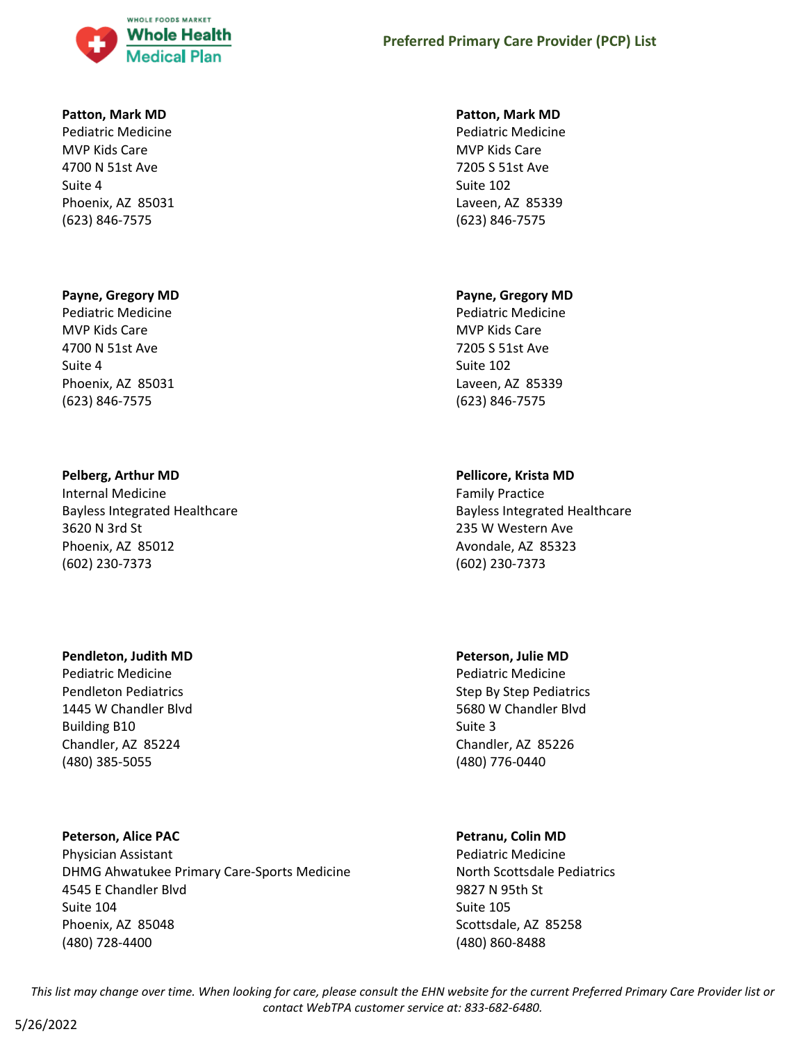

#### **Patton, Mark MD**

Pediatric Medicine MVP Kids Care 4700 N 51st Ave Suite 4 Phoenix, AZ 85031 (623) 846-7575

### **Payne, Gregory MD**

Pediatric Medicine MVP Kids Care 4700 N 51st Ave Suite 4 Phoenix, AZ 85031 (623) 846-7575

#### **Pelberg, Arthur MD**

Internal Medicine Bayless Integrated Healthcare 3620 N 3rd St Phoenix, AZ 85012 (602) 230-7373

#### **Pendleton, Judith MD**

Pediatric Medicine Pendleton Pediatrics 1445 W Chandler Blvd Building B10 Chandler, AZ 85224 (480) 385-5055

### **Peterson, Alice PAC**

Physician Assistant DHMG Ahwatukee Primary Care-Sports Medicine 4545 E Chandler Blvd Suite 104 Phoenix, AZ 85048 (480) 728-4400

#### **Patton, Mark MD**

Pediatric Medicine MVP Kids Care 7205 S 51st Ave Suite 102 Laveen, AZ 85339 (623) 846-7575

#### **Payne, Gregory MD**

Pediatric Medicine MVP Kids Care 7205 S 51st Ave Suite 102 Laveen, AZ 85339 (623) 846-7575

### **Pellicore, Krista MD**

Family Practice Bayless Integrated Healthcare 235 W Western Ave Avondale, AZ 85323 (602) 230-7373

### **Peterson, Julie MD**

Pediatric Medicine Step By Step Pediatrics 5680 W Chandler Blvd Suite 3 Chandler, AZ 85226 (480) 776-0440

### **Petranu, Colin MD**

Pediatric Medicine North Scottsdale Pediatrics 9827 N 95th St Suite 105 Scottsdale, AZ 85258 (480) 860-8488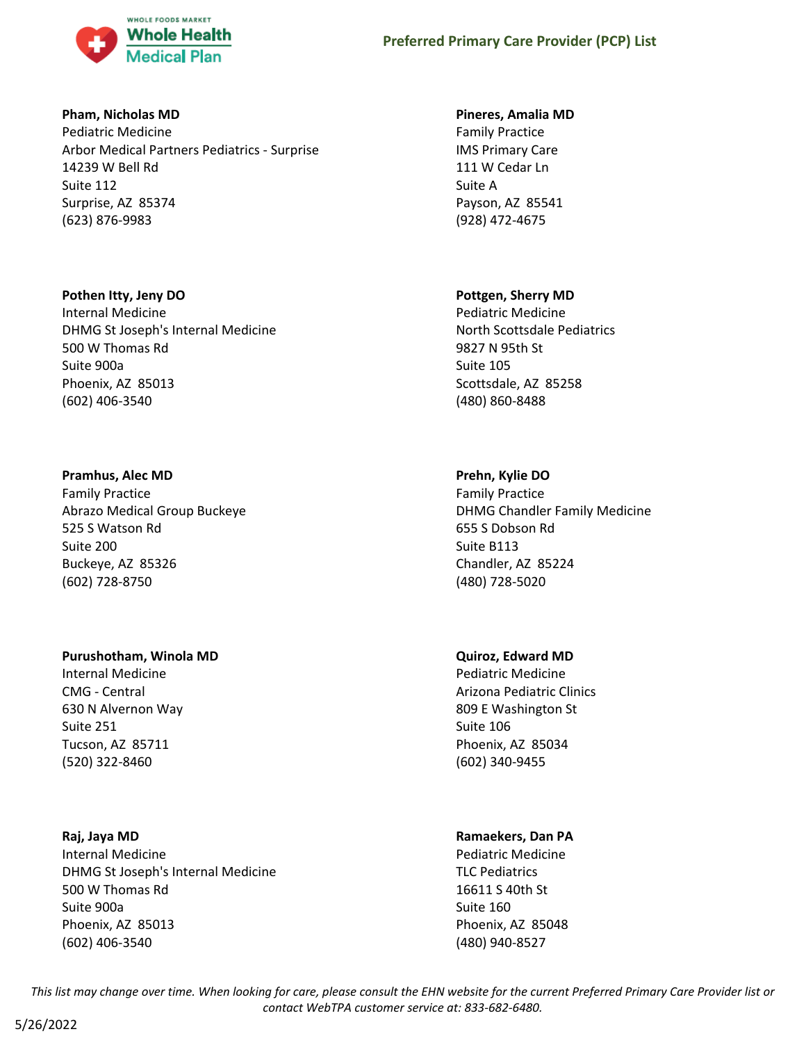

### **Pham, Nicholas MD**

Pediatric Medicine Arbor Medical Partners Pediatrics - Surprise 14239 W Bell Rd Suite 112 Surprise, AZ 85374 (623) 876-9983

### **Pothen Itty, Jeny DO**

Internal Medicine DHMG St Joseph's Internal Medicine 500 W Thomas Rd Suite 900a Phoenix, AZ 85013 (602) 406-3540

# **Pramhus, Alec MD**

Family Practice Abrazo Medical Group Buckeye 525 S Watson Rd Suite 200 Buckeye, AZ 85326 (602) 728-8750

# **Purushotham, Winola MD**

Internal Medicine CMG - Central 630 N Alvernon Way Suite 251 Tucson, AZ 85711 (520) 322-8460

# **Raj, Jaya MD**

Internal Medicine DHMG St Joseph's Internal Medicine 500 W Thomas Rd Suite 900a Phoenix, AZ 85013 (602) 406-3540

# **Pineres, Amalia MD**

Family Practice IMS Primary Care 111 W Cedar Ln Suite A Payson, AZ 85541 (928) 472-4675

# **Pottgen, Sherry MD**

Pediatric Medicine North Scottsdale Pediatrics 9827 N 95th St Suite 105 Scottsdale, AZ 85258 (480) 860-8488

# **Prehn, Kylie DO**

Family Practice DHMG Chandler Family Medicine 655 S Dobson Rd Suite B113 Chandler, AZ 85224 (480) 728-5020

# **Quiroz, Edward MD**

Pediatric Medicine Arizona Pediatric Clinics 809 E Washington St Suite 106 Phoenix, AZ 85034 (602) 340-9455

# **Ramaekers, Dan PA**

Pediatric Medicine TLC Pediatrics 16611 S 40th St Suite 160 Phoenix, AZ 85048 (480) 940-8527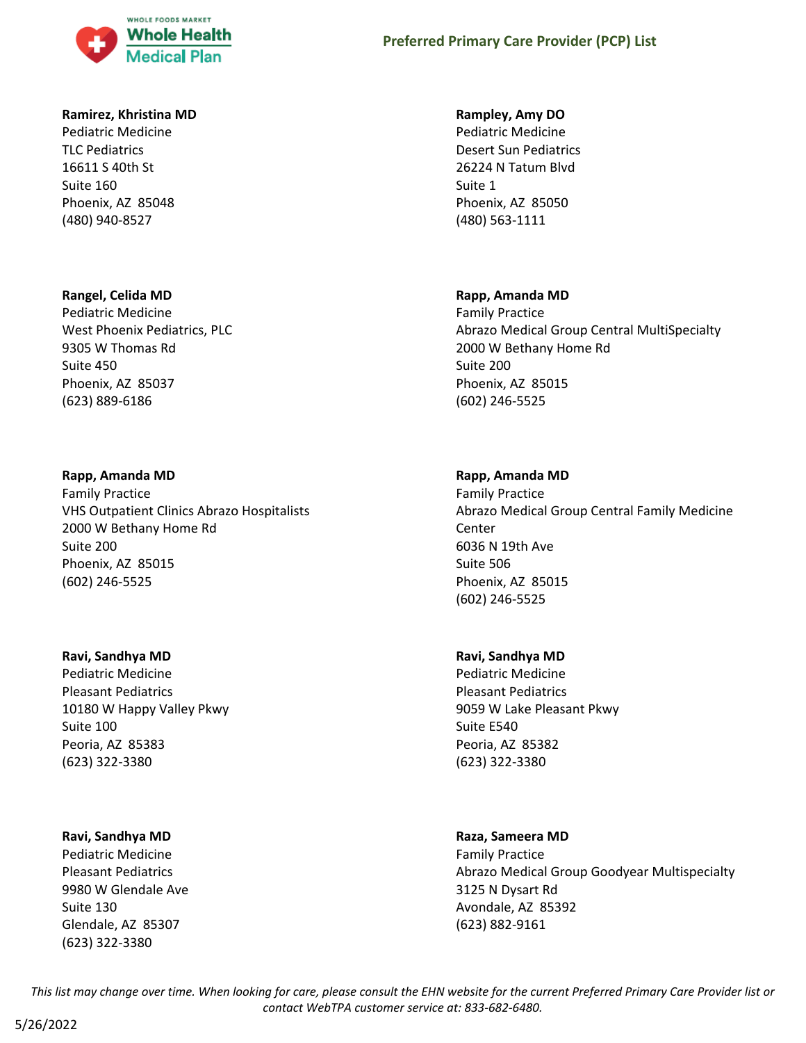

### **Ramirez, Khristina MD**

Pediatric Medicine TLC Pediatrics 16611 S 40th St Suite 160 Phoenix, AZ 85048 (480) 940-8527

### **Rangel, Celida MD**

Pediatric Medicine West Phoenix Pediatrics, PLC 9305 W Thomas Rd Suite 450 Phoenix, AZ 85037 (623) 889-6186

### **Rapp, Amanda MD**

Family Practice VHS Outpatient Clinics Abrazo Hospitalists 2000 W Bethany Home Rd Suite 200 Phoenix, AZ 85015 (602) 246-5525

#### **Ravi, Sandhya MD**

Pediatric Medicine Pleasant Pediatrics 10180 W Happy Valley Pkwy Suite 100 Peoria, AZ 85383 (623) 322-3380

### **Ravi, Sandhya MD**

Pediatric Medicine Pleasant Pediatrics 9980 W Glendale Ave Suite 130 Glendale, AZ 85307 (623) 322-3380

#### **Rampley, Amy DO**

Pediatric Medicine Desert Sun Pediatrics 26224 N Tatum Blvd Suite 1 Phoenix, AZ 85050 (480) 563-1111

#### **Rapp, Amanda MD**

Family Practice Abrazo Medical Group Central MultiSpecialty 2000 W Bethany Home Rd Suite 200 Phoenix, AZ 85015 (602) 246-5525

### **Rapp, Amanda MD**

Family Practice Abrazo Medical Group Central Family Medicine Center 6036 N 19th Ave Suite 506 Phoenix, AZ 85015 (602) 246-5525

#### **Ravi, Sandhya MD**

Pediatric Medicine Pleasant Pediatrics 9059 W Lake Pleasant Pkwy Suite E540 Peoria, AZ 85382 (623) 322-3380

#### **Raza, Sameera MD**

Family Practice Abrazo Medical Group Goodyear Multispecialty 3125 N Dysart Rd Avondale, AZ 85392 (623) 882-9161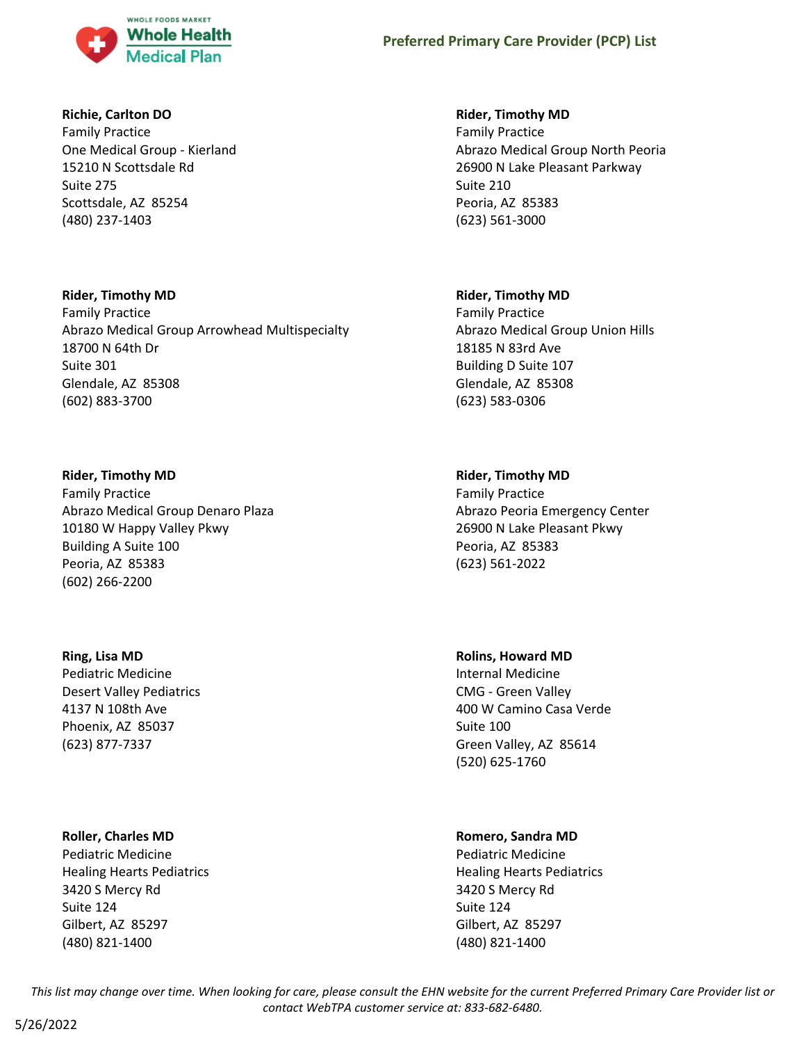

### **Richie, Carlton DO**

Family Practice One Medical Group - Kierland 15210 N Scottsdale Rd Suite 275 Scottsdale, AZ 85254 (480) 237-1403

### **Rider, Timothy MD**

Family Practice Abrazo Medical Group Arrowhead Multispecialty 18700 N 64th Dr Suite 301 Glendale, AZ 85308 (602) 883-3700

# **Rider, Timothy MD**

Family Practice Abrazo Medical Group Denaro Plaza 10180 W Happy Valley Pkwy Building A Suite 100 Peoria, AZ 85383 (602) 266-2200

# **Ring, Lisa MD**

Pediatric Medicine Desert Valley Pediatrics 4137 N 108th Ave Phoenix, AZ 85037 (623) 877-7337

# **Roller, Charles MD**

Pediatric Medicine Healing Hearts Pediatrics 3420 S Mercy Rd Suite 124 Gilbert, AZ 85297 (480) 821-1400

# **Rider, Timothy MD**

Family Practice Abrazo Medical Group North Peoria 26900 N Lake Pleasant Parkway Suite 210 Peoria, AZ 85383 (623) 561-3000

### **Rider, Timothy MD**

Family Practice Abrazo Medical Group Union Hills 18185 N 83rd Ave Building D Suite 107 Glendale, AZ 85308 (623) 583-0306

# **Rider, Timothy MD**

Family Practice Abrazo Peoria Emergency Center 26900 N Lake Pleasant Pkwy Peoria, AZ 85383 (623) 561-2022

### **Rolins, Howard MD**

Internal Medicine CMG - Green Valley 400 W Camino Casa Verde Suite 100 Green Valley, AZ 85614 (520) 625-1760

# **Romero, Sandra MD**

Pediatric Medicine Healing Hearts Pediatrics 3420 S Mercy Rd Suite 124 Gilbert, AZ 85297 (480) 821-1400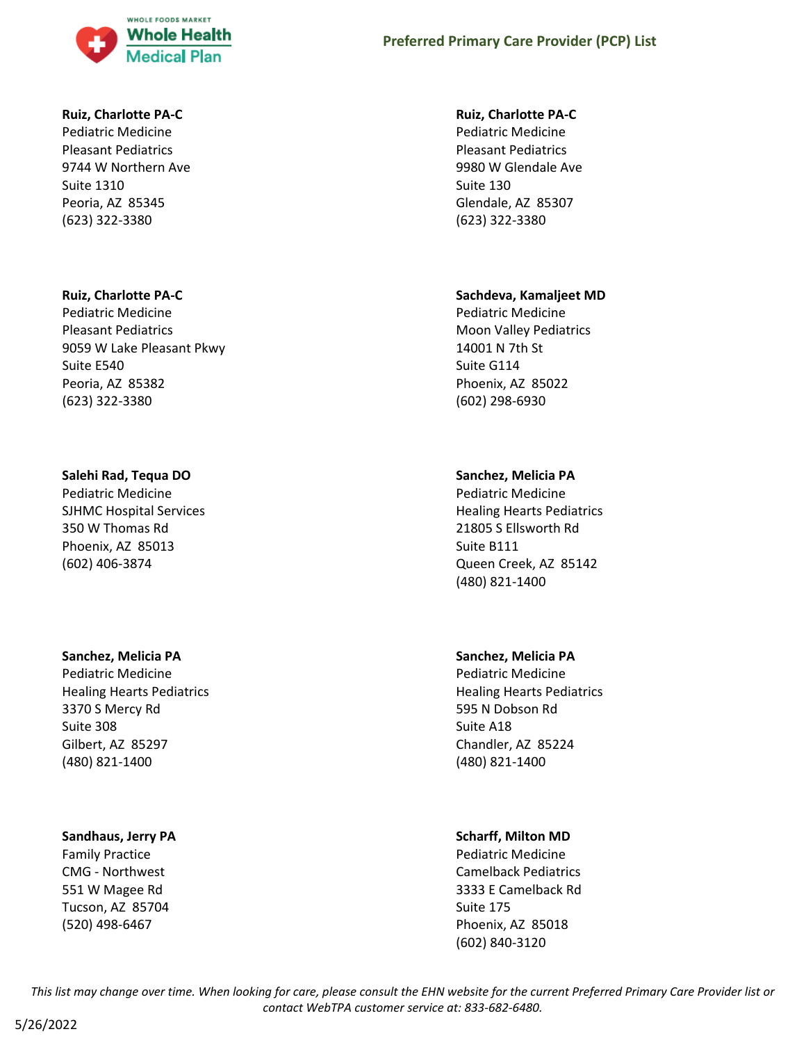

#### **Ruiz, Charlotte PA-C**

Pediatric Medicine Pleasant Pediatrics 9744 W Northern Ave Suite 1310 Peoria, AZ 85345 (623) 322-3380

#### **Ruiz, Charlotte PA-C**

Pediatric Medicine Pleasant Pediatrics 9059 W Lake Pleasant Pkwy Suite E540 Peoria, AZ 85382 (623) 322-3380

#### **Salehi Rad, Tequa DO**

Pediatric Medicine SJHMC Hospital Services 350 W Thomas Rd Phoenix, AZ 85013 (602) 406-3874

#### **Sanchez, Melicia PA**

Pediatric Medicine Healing Hearts Pediatrics 3370 S Mercy Rd Suite 308 Gilbert, AZ 85297 (480) 821-1400

#### **Sandhaus, Jerry PA**

Family Practice CMG - Northwest 551 W Magee Rd Tucson, AZ 85704 (520) 498-6467

#### **Ruiz, Charlotte PA-C**

Pediatric Medicine Pleasant Pediatrics 9980 W Glendale Ave Suite 130 Glendale, AZ 85307 (623) 322-3380

#### **Sachdeva, Kamaljeet MD**

Pediatric Medicine Moon Valley Pediatrics 14001 N 7th St Suite G114 Phoenix, AZ 85022 (602) 298-6930

### **Sanchez, Melicia PA**

Pediatric Medicine Healing Hearts Pediatrics 21805 S Ellsworth Rd Suite B111 Queen Creek, AZ 85142 (480) 821-1400

### **Sanchez, Melicia PA**

Pediatric Medicine Healing Hearts Pediatrics 595 N Dobson Rd Suite A18 Chandler, AZ 85224 (480) 821-1400

### **Scharff, Milton MD**

Pediatric Medicine Camelback Pediatrics 3333 E Camelback Rd Suite 175 Phoenix, AZ 85018 (602) 840-3120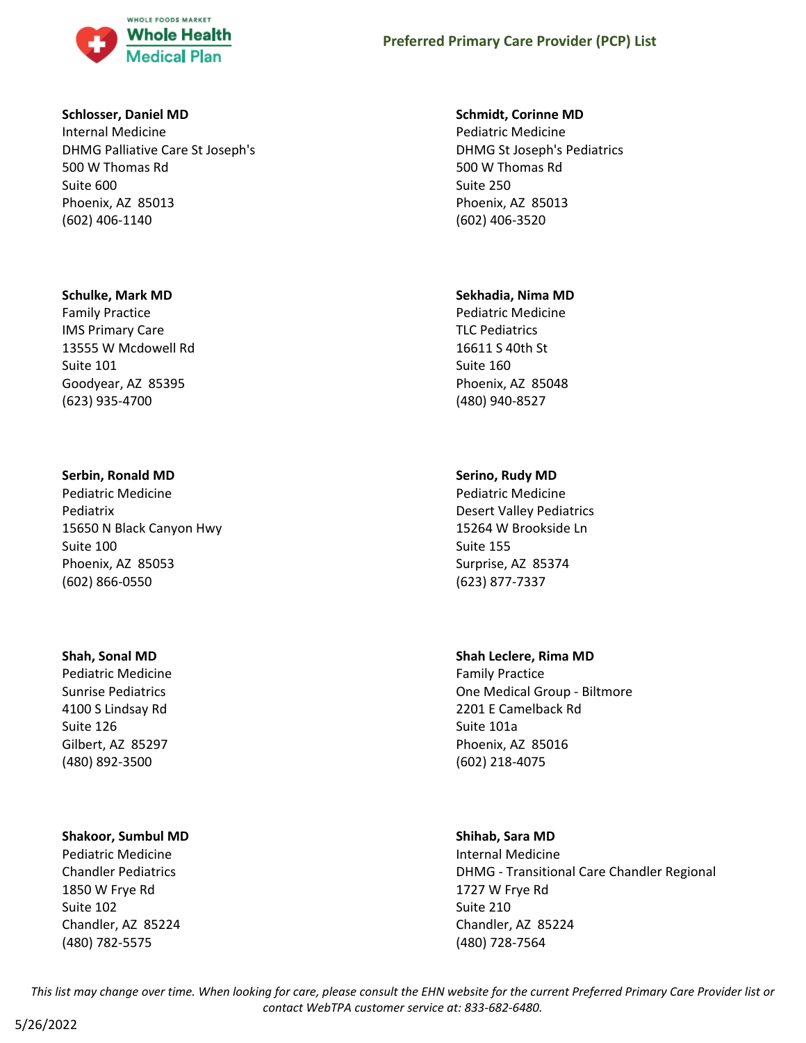

#### **Schlosser, Daniel MD**

Internal Medicine DHMG Palliative Care St Joseph's 500 W Thomas Rd Suite 600 Phoenix, AZ 85013 (602) 406-1140

#### **Schulke, Mark MD**

Family Practice IMS Primary Care 13555 W Mcdowell Rd Suite 101 Goodyear, AZ 85395 (623) 935-4700

### **Serbin, Ronald MD**

Pediatric Medicine Pediatrix 15650 N Black Canyon Hwy Suite 100 Phoenix, AZ 85053 (602) 866-0550

#### **Shah, Sonal MD**

Pediatric Medicine Sunrise Pediatrics 4100 S Lindsay Rd Suite 126 Gilbert, AZ 85297 (480) 892-3500

### **Shakoor, Sumbul MD**

Pediatric Medicine Chandler Pediatrics 1850 W Frye Rd Suite 102 Chandler, AZ 85224 (480) 782-5575

#### **Schmidt, Corinne MD**

Pediatric Medicine DHMG St Joseph's Pediatrics 500 W Thomas Rd Suite 250 Phoenix, AZ 85013 (602) 406-3520

#### **Sekhadia, Nima MD**

Pediatric Medicine TLC Pediatrics 16611 S 40th St Suite 160 Phoenix, AZ 85048 (480) 940-8527

### **Serino, Rudy MD**

Pediatric Medicine Desert Valley Pediatrics 15264 W Brookside Ln Suite 155 Surprise, AZ 85374 (623) 877-7337

### **Shah Leclere, Rima MD**

Family Practice One Medical Group - Biltmore 2201 E Camelback Rd Suite 101a Phoenix, AZ 85016 (602) 218-4075

### **Shihab, Sara MD**

Internal Medicine DHMG - Transitional Care Chandler Regional 1727 W Frye Rd Suite 210 Chandler, AZ 85224 (480) 728-7564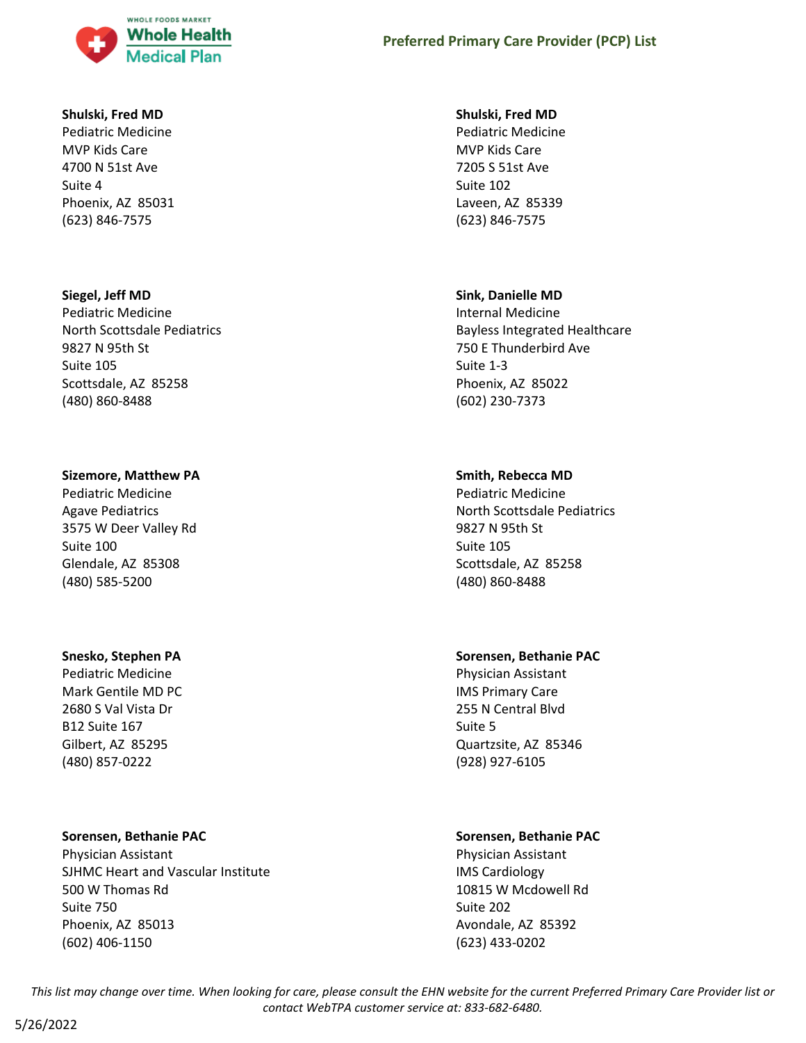

#### **Shulski, Fred MD**

Pediatric Medicine MVP Kids Care 4700 N 51st Ave Suite 4 Phoenix, AZ 85031 (623) 846-7575

#### **Siegel, Jeff MD**

Pediatric Medicine North Scottsdale Pediatrics 9827 N 95th St Suite 105 Scottsdale, AZ 85258 (480) 860-8488

#### **Sizemore, Matthew PA**

Pediatric Medicine Agave Pediatrics 3575 W Deer Valley Rd Suite 100 Glendale, AZ 85308 (480) 585-5200

#### **Snesko, Stephen PA**

Pediatric Medicine Mark Gentile MD PC 2680 S Val Vista Dr B12 Suite 167 Gilbert, AZ 85295 (480) 857-0222

### **Sorensen, Bethanie PAC**

Physician Assistant SJHMC Heart and Vascular Institute 500 W Thomas Rd Suite 750 Phoenix, AZ 85013 (602) 406-1150

#### **Shulski, Fred MD**

Pediatric Medicine MVP Kids Care 7205 S 51st Ave Suite 102 Laveen, AZ 85339 (623) 846-7575

#### **Sink, Danielle MD**

Internal Medicine Bayless Integrated Healthcare 750 E Thunderbird Ave Suite 1-3 Phoenix, AZ 85022 (602) 230-7373

### **Smith, Rebecca MD**

Pediatric Medicine North Scottsdale Pediatrics 9827 N 95th St Suite 105 Scottsdale, AZ 85258 (480) 860-8488

#### **Sorensen, Bethanie PAC**

Physician Assistant IMS Primary Care 255 N Central Blvd Suite 5 Quartzsite, AZ 85346 (928) 927-6105

### **Sorensen, Bethanie PAC**

Physician Assistant IMS Cardiology 10815 W Mcdowell Rd Suite 202 Avondale, AZ 85392 (623) 433-0202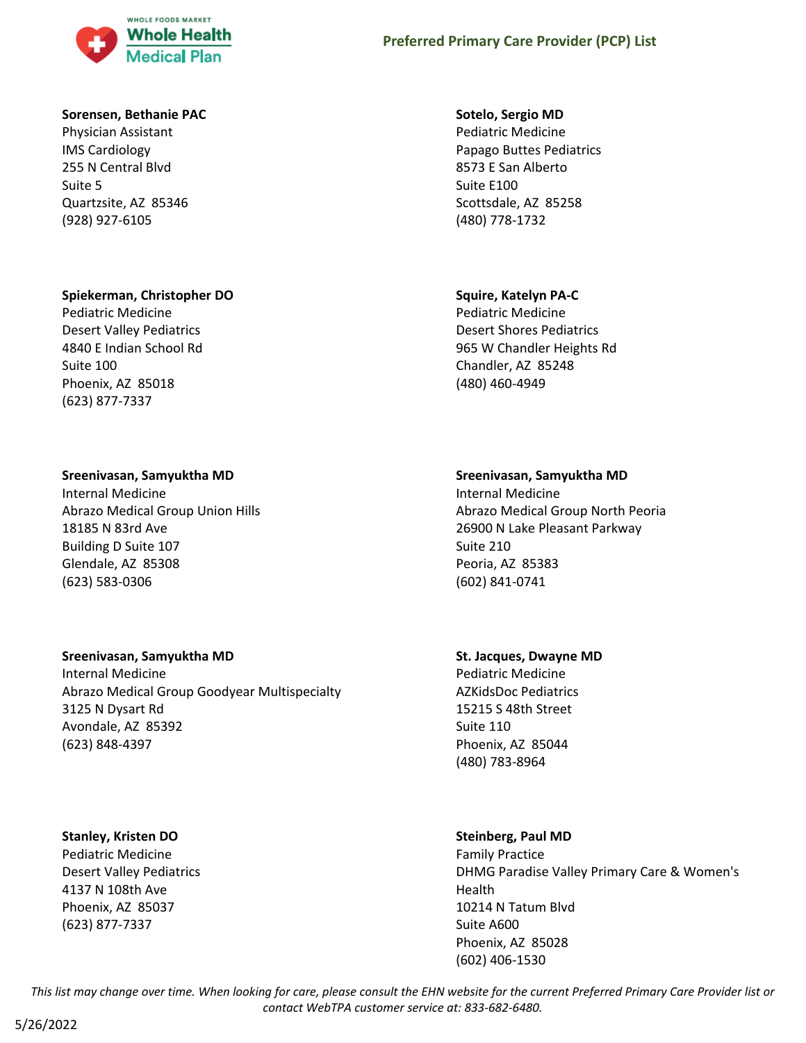

#### **Sorensen, Bethanie PAC**

Physician Assistant IMS Cardiology 255 N Central Blvd Suite 5 Quartzsite, AZ 85346 (928) 927-6105

### **Spiekerman, Christopher DO**

Pediatric Medicine Desert Valley Pediatrics 4840 E Indian School Rd Suite 100 Phoenix, AZ 85018 (623) 877-7337

### **Sreenivasan, Samyuktha MD**

Internal Medicine Abrazo Medical Group Union Hills 18185 N 83rd Ave Building D Suite 107 Glendale, AZ 85308 (623) 583-0306

### **Sreenivasan, Samyuktha MD**

Internal Medicine Abrazo Medical Group Goodyear Multispecialty 3125 N Dysart Rd Avondale, AZ 85392 (623) 848-4397

#### **Stanley, Kristen DO**

Pediatric Medicine Desert Valley Pediatrics 4137 N 108th Ave Phoenix, AZ 85037 (623) 877-7337

#### **Sotelo, Sergio MD**

Pediatric Medicine Papago Buttes Pediatrics 8573 E San Alberto Suite E100 Scottsdale, AZ 85258 (480) 778-1732

### **Squire, Katelyn PA-C**

Pediatric Medicine Desert Shores Pediatrics 965 W Chandler Heights Rd Chandler, AZ 85248 (480) 460-4949

### **Sreenivasan, Samyuktha MD**

Internal Medicine Abrazo Medical Group North Peoria 26900 N Lake Pleasant Parkway Suite 210 Peoria, AZ 85383 (602) 841-0741

# **St. Jacques, Dwayne MD**

Pediatric Medicine AZKidsDoc Pediatrics 15215 S 48th Street Suite 110 Phoenix, AZ 85044 (480) 783-8964

# **Steinberg, Paul MD**

Family Practice DHMG Paradise Valley Primary Care & Women's Health 10214 N Tatum Blvd Suite A600 Phoenix, AZ 85028 (602) 406-1530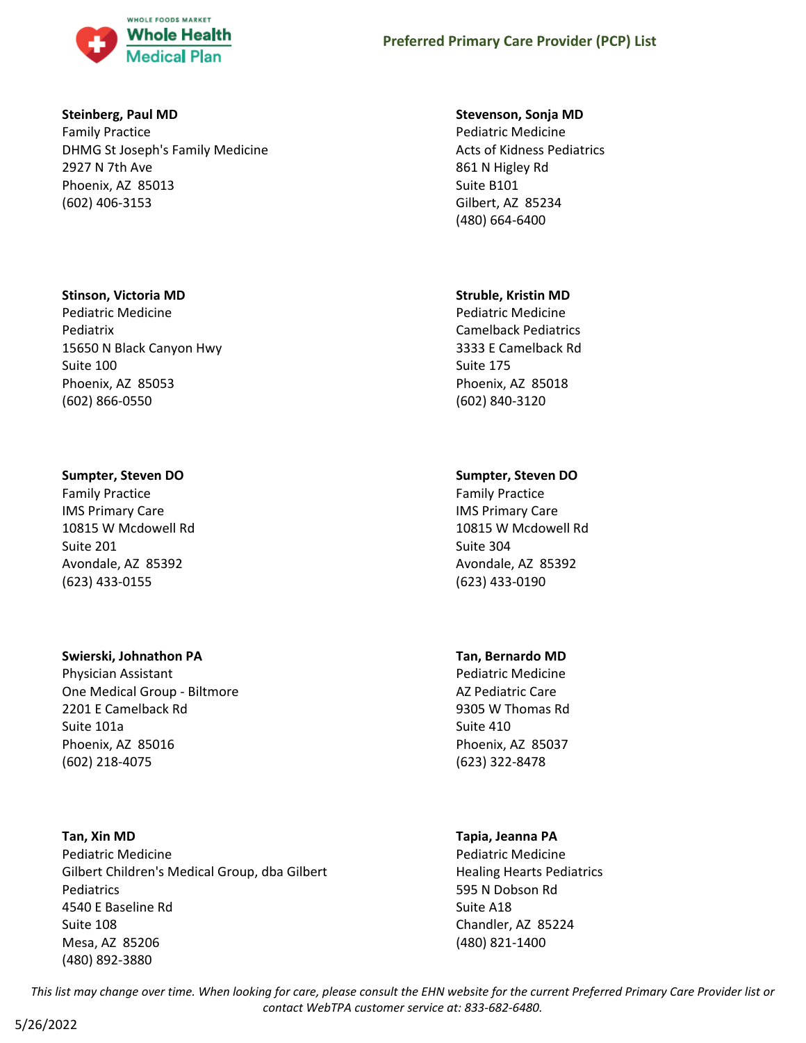

### **Steinberg, Paul MD**

Family Practice DHMG St Joseph's Family Medicine 2927 N 7th Ave Phoenix, AZ 85013 (602) 406-3153

### **Stinson, Victoria MD**

Pediatric Medicine Pediatrix 15650 N Black Canyon Hwy Suite 100 Phoenix, AZ 85053 (602) 866-0550

# **Sumpter, Steven DO**

Family Practice IMS Primary Care 10815 W Mcdowell Rd Suite 201 Avondale, AZ 85392 (623) 433-0155

# **Swierski, Johnathon PA**

Physician Assistant One Medical Group - Biltmore 2201 E Camelback Rd Suite 101a Phoenix, AZ 85016 (602) 218-4075

# **Tan, Xin MD**

Pediatric Medicine Gilbert Children's Medical Group, dba Gilbert Pediatrics 4540 E Baseline Rd Suite 108 Mesa, AZ 85206 (480) 892-3880

### **Stevenson, Sonja MD**

Pediatric Medicine Acts of Kidness Pediatrics 861 N Higley Rd Suite B101 Gilbert, AZ 85234 (480) 664-6400

### **Struble, Kristin MD**

Pediatric Medicine Camelback Pediatrics 3333 E Camelback Rd Suite 175 Phoenix, AZ 85018 (602) 840-3120

# **Sumpter, Steven DO**

Family Practice IMS Primary Care 10815 W Mcdowell Rd Suite 304 Avondale, AZ 85392 (623) 433-0190

# **Tan, Bernardo MD**

Pediatric Medicine AZ Pediatric Care 9305 W Thomas Rd Suite 410 Phoenix, AZ 85037 (623) 322-8478

# **Tapia, Jeanna PA**

Pediatric Medicine Healing Hearts Pediatrics 595 N Dobson Rd Suite A18 Chandler, AZ 85224 (480) 821-1400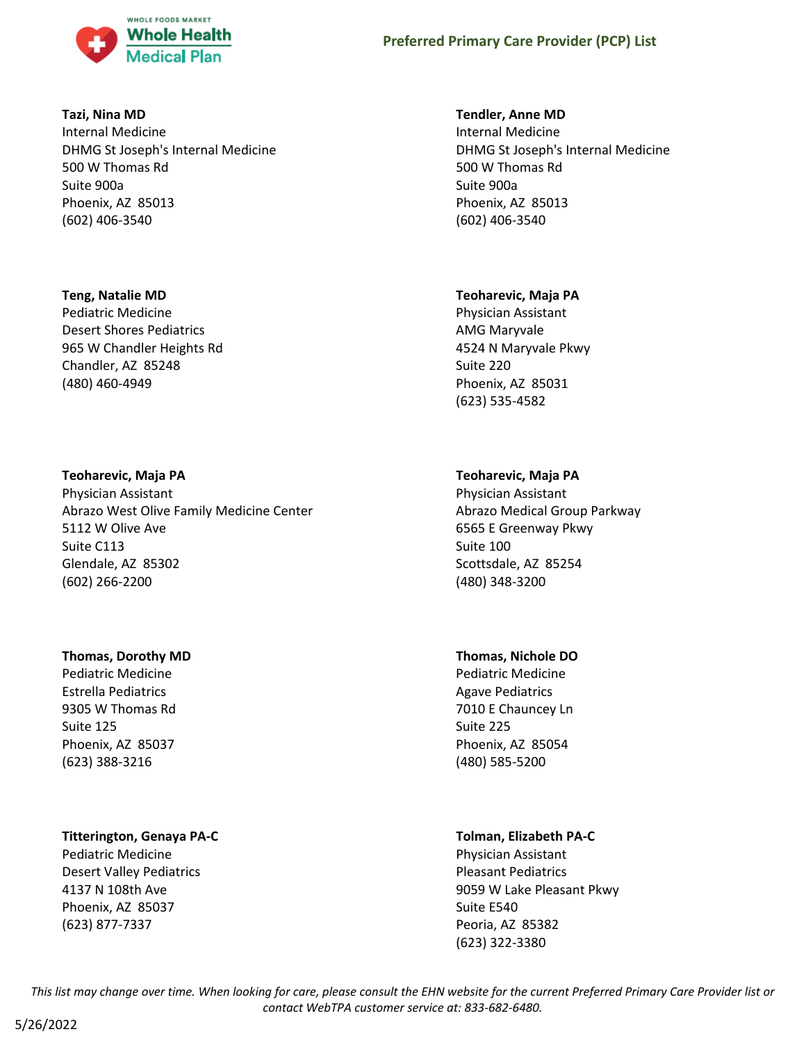

### **Tazi, Nina MD**

Internal Medicine DHMG St Joseph's Internal Medicine 500 W Thomas Rd Suite 900a Phoenix, AZ 85013 (602) 406-3540

### **Teng, Natalie MD**

Pediatric Medicine Desert Shores Pediatrics 965 W Chandler Heights Rd Chandler, AZ 85248 (480) 460-4949

### **Teoharevic, Maja PA**

Physician Assistant Abrazo West Olive Family Medicine Center 5112 W Olive Ave Suite C113 Glendale, AZ 85302 (602) 266-2200

### **Thomas, Dorothy MD**

Pediatric Medicine Estrella Pediatrics 9305 W Thomas Rd Suite 125 Phoenix, AZ 85037 (623) 388-3216

# **Titterington, Genaya PA-C**

Pediatric Medicine Desert Valley Pediatrics 4137 N 108th Ave Phoenix, AZ 85037 (623) 877-7337

### **Tendler, Anne MD**

Internal Medicine DHMG St Joseph's Internal Medicine 500 W Thomas Rd Suite 900a Phoenix, AZ 85013 (602) 406-3540

### **Teoharevic, Maja PA**

Physician Assistant AMG Maryvale 4524 N Maryvale Pkwy Suite 220 Phoenix, AZ 85031 (623) 535-4582

# **Teoharevic, Maja PA**

Physician Assistant Abrazo Medical Group Parkway 6565 E Greenway Pkwy Suite 100 Scottsdale, AZ 85254 (480) 348-3200

# **Thomas, Nichole DO**

Pediatric Medicine Agave Pediatrics 7010 E Chauncey Ln Suite 225 Phoenix, AZ 85054 (480) 585-5200

# **Tolman, Elizabeth PA-C**

Physician Assistant Pleasant Pediatrics 9059 W Lake Pleasant Pkwy Suite E540 Peoria, AZ 85382 (623) 322-3380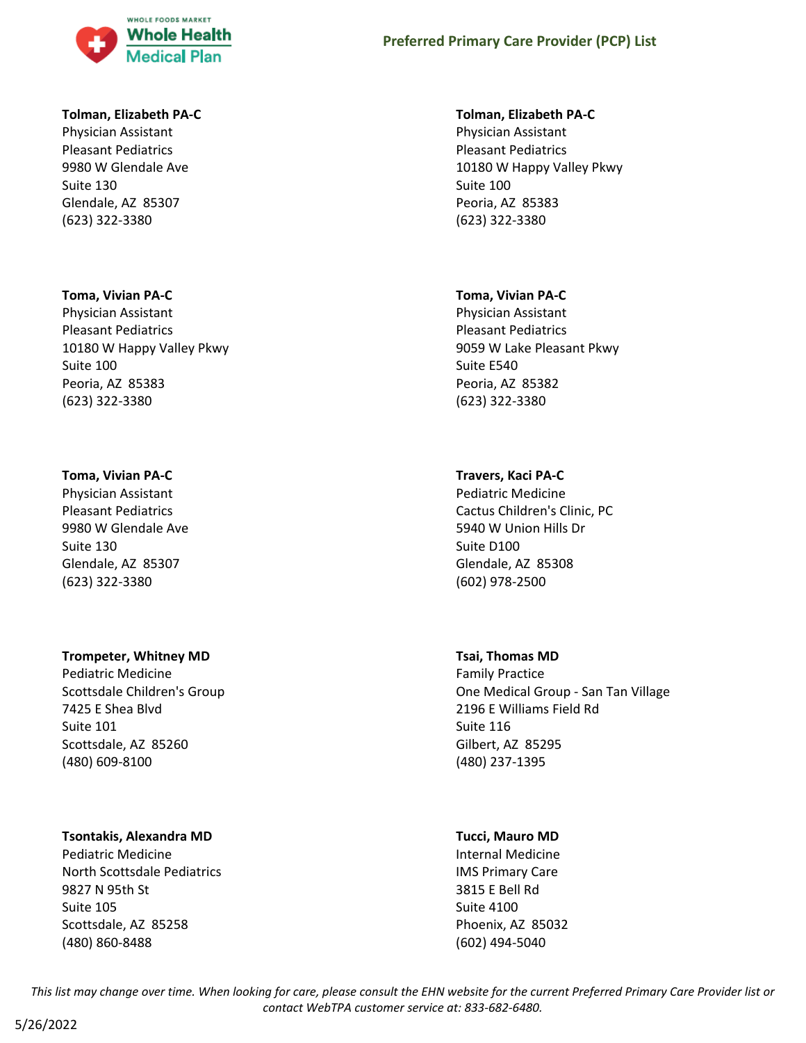

#### **Tolman, Elizabeth PA-C**

Physician Assistant Pleasant Pediatrics 9980 W Glendale Ave Suite 130 Glendale, AZ 85307 (623) 322-3380

#### **Toma, Vivian PA-C**

Physician Assistant Pleasant Pediatrics 10180 W Happy Valley Pkwy Suite 100 Peoria, AZ 85383 (623) 322-3380

### **Toma, Vivian PA-C**

Physician Assistant Pleasant Pediatrics 9980 W Glendale Ave Suite 130 Glendale, AZ 85307 (623) 322-3380

### **Trompeter, Whitney MD**

Pediatric Medicine Scottsdale Children's Group 7425 E Shea Blvd Suite 101 Scottsdale, AZ 85260 (480) 609-8100

### **Tsontakis, Alexandra MD**

Pediatric Medicine North Scottsdale Pediatrics 9827 N 95th St Suite 105 Scottsdale, AZ 85258 (480) 860-8488

#### **Tolman, Elizabeth PA-C**

Physician Assistant Pleasant Pediatrics 10180 W Happy Valley Pkwy Suite 100 Peoria, AZ 85383 (623) 322-3380

#### **Toma, Vivian PA-C**

Physician Assistant Pleasant Pediatrics 9059 W Lake Pleasant Pkwy Suite E540 Peoria, AZ 85382 (623) 322-3380

### **Travers, Kaci PA-C**

Pediatric Medicine Cactus Children's Clinic, PC 5940 W Union Hills Dr Suite D100 Glendale, AZ 85308 (602) 978-2500

### **Tsai, Thomas MD**

Family Practice One Medical Group - San Tan Village 2196 E Williams Field Rd Suite 116 Gilbert, AZ 85295 (480) 237-1395

### **Tucci, Mauro MD**

Internal Medicine IMS Primary Care 3815 E Bell Rd Suite 4100 Phoenix, AZ 85032 (602) 494-5040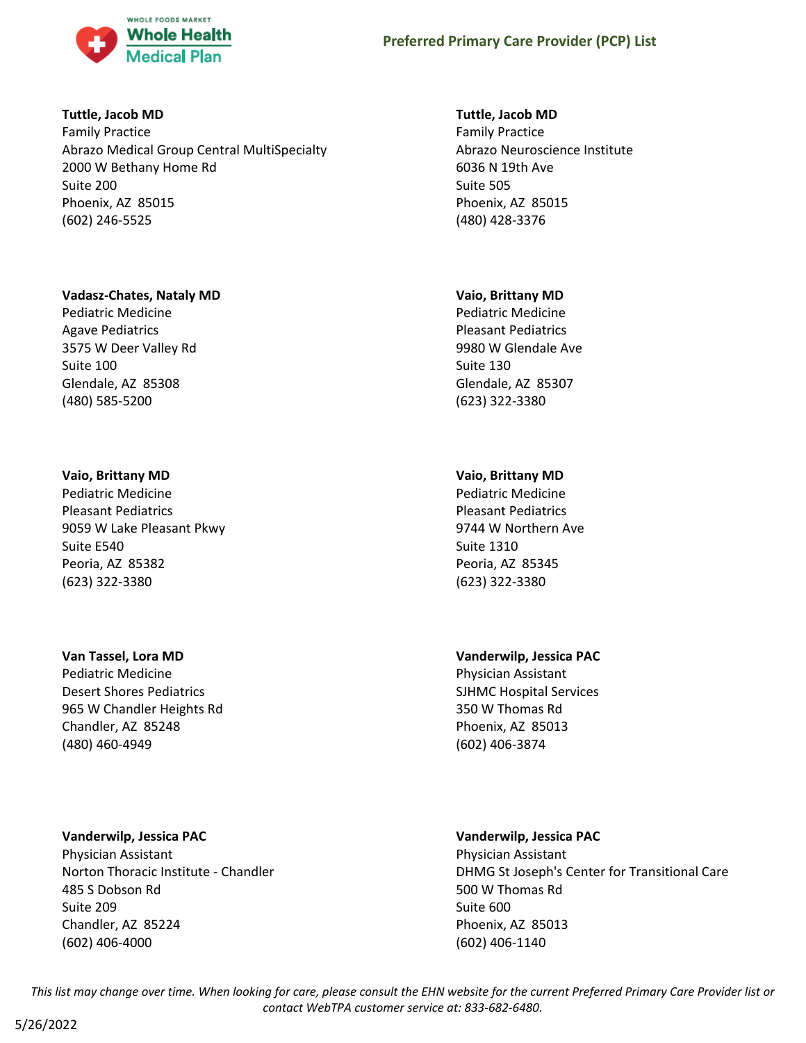

### **Tuttle, Jacob MD**

Family Practice Abrazo Medical Group Central MultiSpecialty 2000 W Bethany Home Rd Suite 200 Phoenix, AZ 85015 (602) 246-5525

### **Vadasz-Chates, Nataly MD**

Pediatric Medicine Agave Pediatrics 3575 W Deer Valley Rd Suite 100 Glendale, AZ 85308 (480) 585-5200

# **Vaio, Brittany MD**

Pediatric Medicine Pleasant Pediatrics 9059 W Lake Pleasant Pkwy Suite E540 Peoria, AZ 85382 (623) 322-3380

### **Van Tassel, Lora MD**

Pediatric Medicine Desert Shores Pediatrics 965 W Chandler Heights Rd Chandler, AZ 85248 (480) 460-4949

# **Vanderwilp, Jessica PAC**

Physician Assistant Norton Thoracic Institute - Chandler 485 S Dobson Rd Suite 209 Chandler, AZ 85224 (602) 406-4000

### **Tuttle, Jacob MD**

Family Practice Abrazo Neuroscience Institute 6036 N 19th Ave Suite 505 Phoenix, AZ 85015 (480) 428-3376

### **Vaio, Brittany MD**

Pediatric Medicine Pleasant Pediatrics 9980 W Glendale Ave Suite 130 Glendale, AZ 85307 (623) 322-3380

# **Vaio, Brittany MD**

Pediatric Medicine Pleasant Pediatrics 9744 W Northern Ave Suite 1310 Peoria, AZ 85345 (623) 322-3380

# **Vanderwilp, Jessica PAC**

Physician Assistant SJHMC Hospital Services 350 W Thomas Rd Phoenix, AZ 85013 (602) 406-3874

# **Vanderwilp, Jessica PAC**

Physician Assistant DHMG St Joseph's Center for Transitional Care 500 W Thomas Rd Suite 600 Phoenix, AZ 85013 (602) 406-1140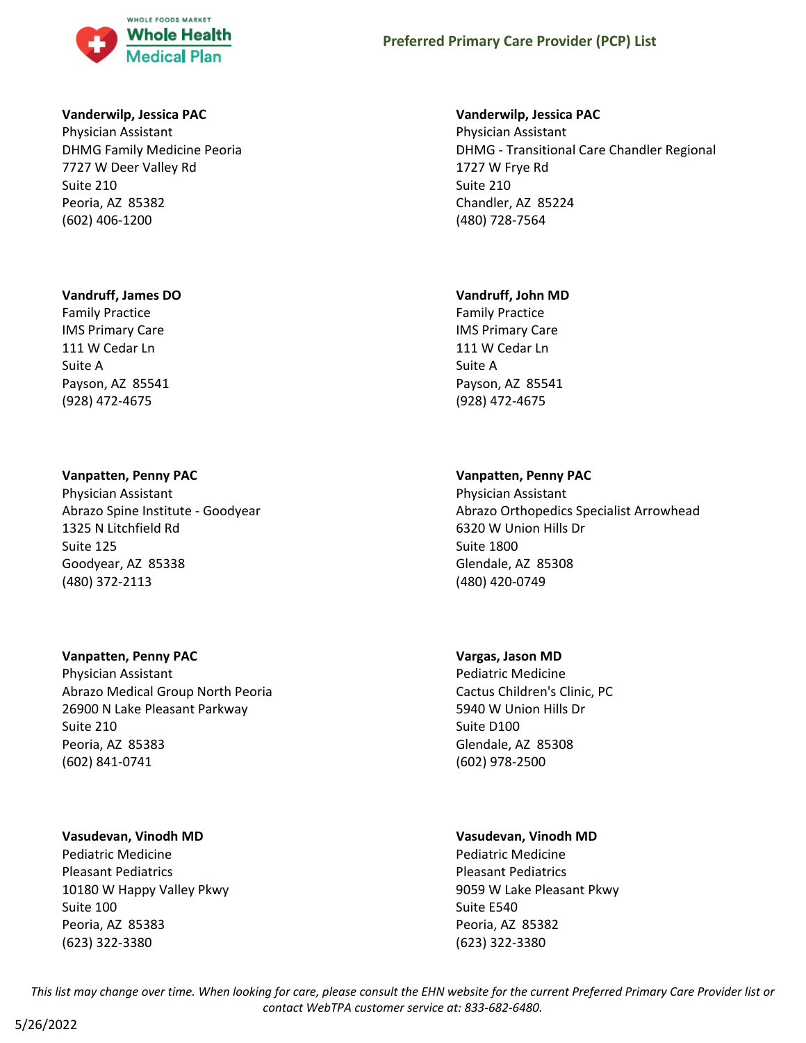

### **Vanderwilp, Jessica PAC**

Physician Assistant DHMG Family Medicine Peoria 7727 W Deer Valley Rd Suite 210 Peoria, AZ 85382 (602) 406-1200

### **Vandruff, James DO**

Family Practice IMS Primary Care 111 W Cedar Ln Suite A Payson, AZ 85541 (928) 472-4675

### **Vanpatten, Penny PAC**

Physician Assistant Abrazo Spine Institute - Goodyear 1325 N Litchfield Rd Suite 125 Goodyear, AZ 85338 (480) 372-2113

### **Vanpatten, Penny PAC**

Physician Assistant Abrazo Medical Group North Peoria 26900 N Lake Pleasant Parkway Suite 210 Peoria, AZ 85383 (602) 841-0741

### **Vasudevan, Vinodh MD**

Pediatric Medicine Pleasant Pediatrics 10180 W Happy Valley Pkwy Suite 100 Peoria, AZ 85383 (623) 322-3380

### **Vanderwilp, Jessica PAC**

Physician Assistant DHMG - Transitional Care Chandler Regional 1727 W Frye Rd Suite 210 Chandler, AZ 85224 (480) 728-7564

### **Vandruff, John MD**

Family Practice IMS Primary Care 111 W Cedar Ln Suite A Payson, AZ 85541 (928) 472-4675

# **Vanpatten, Penny PAC**

Physician Assistant Abrazo Orthopedics Specialist Arrowhead 6320 W Union Hills Dr Suite 1800 Glendale, AZ 85308 (480) 420-0749

# **Vargas, Jason MD**

Pediatric Medicine Cactus Children's Clinic, PC 5940 W Union Hills Dr Suite D100 Glendale, AZ 85308 (602) 978-2500

# **Vasudevan, Vinodh MD**

Pediatric Medicine Pleasant Pediatrics 9059 W Lake Pleasant Pkwy Suite E540 Peoria, AZ 85382 (623) 322-3380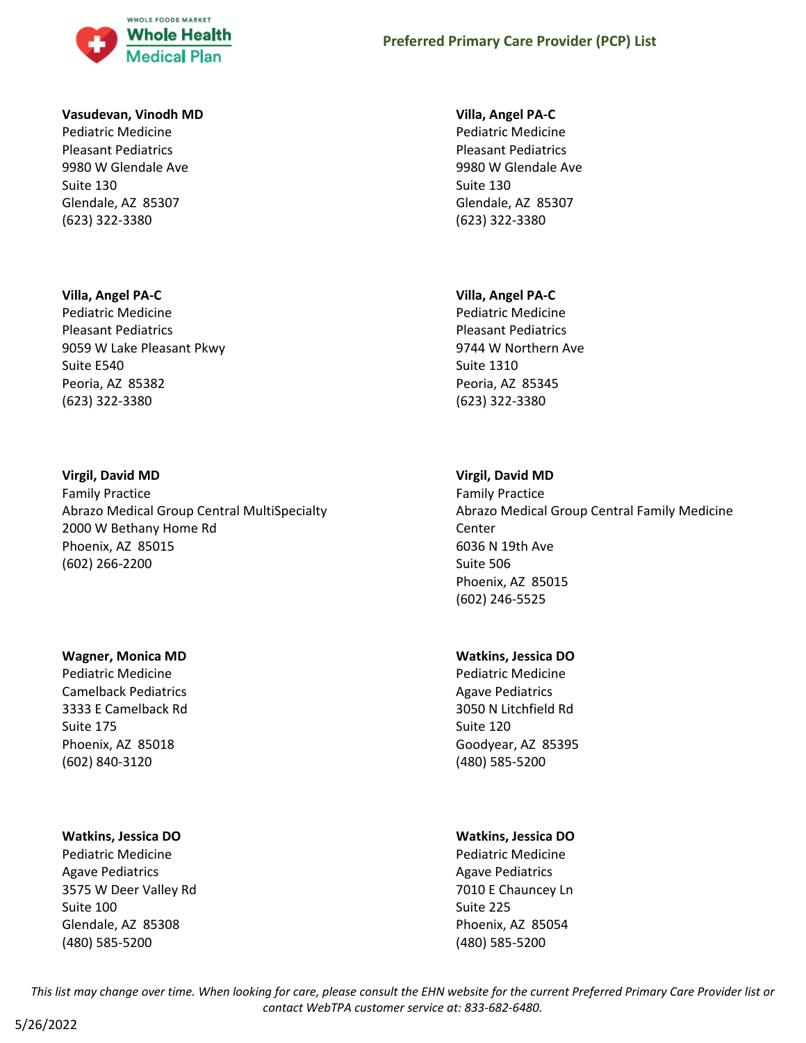

#### **Vasudevan, Vinodh MD**

Pediatric Medicine Pleasant Pediatrics 9980 W Glendale Ave Suite 130 Glendale, AZ 85307 (623) 322-3380

#### **Villa, Angel PA-C**

Pediatric Medicine Pleasant Pediatrics 9059 W Lake Pleasant Pkwy Suite E540 Peoria, AZ 85382 (623) 322-3380

#### **Virgil, David MD**

Family Practice Abrazo Medical Group Central MultiSpecialty 2000 W Bethany Home Rd Phoenix, AZ 85015 (602) 266-2200

#### **Wagner, Monica MD**

Pediatric Medicine Camelback Pediatrics 3333 E Camelback Rd Suite 175 Phoenix, AZ 85018 (602) 840-3120

### **Watkins, Jessica DO**

Pediatric Medicine Agave Pediatrics 3575 W Deer Valley Rd Suite 100 Glendale, AZ 85308 (480) 585-5200

#### **Villa, Angel PA-C**

Pediatric Medicine Pleasant Pediatrics 9980 W Glendale Ave Suite 130 Glendale, AZ 85307 (623) 322-3380

#### **Villa, Angel PA-C**

Pediatric Medicine Pleasant Pediatrics 9744 W Northern Ave Suite 1310 Peoria, AZ 85345 (623) 322-3380

### **Virgil, David MD**

Family Practice Abrazo Medical Group Central Family Medicine Center 6036 N 19th Ave Suite 506 Phoenix, AZ 85015 (602) 246-5525

#### **Watkins, Jessica DO**

Pediatric Medicine Agave Pediatrics 3050 N Litchfield Rd Suite 120 Goodyear, AZ 85395 (480) 585-5200

### **Watkins, Jessica DO**

Pediatric Medicine Agave Pediatrics 7010 E Chauncey Ln Suite 225 Phoenix, AZ 85054 (480) 585-5200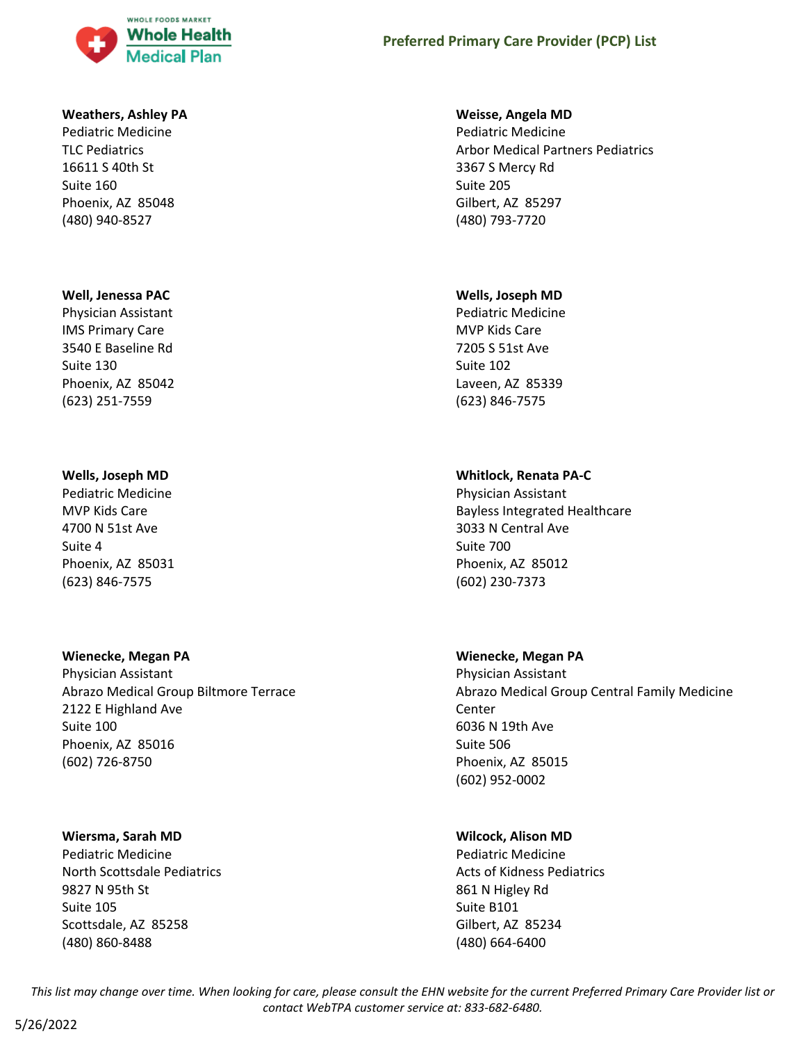

# **Weathers, Ashley PA**

Pediatric Medicine TLC Pediatrics 16611 S 40th St Suite 160 Phoenix, AZ 85048 (480) 940-8527

### **Well, Jenessa PAC**

Physician Assistant IMS Primary Care 3540 E Baseline Rd Suite 130 Phoenix, AZ 85042 (623) 251-7559

# **Wells, Joseph MD**

Pediatric Medicine MVP Kids Care 4700 N 51st Ave Suite 4 Phoenix, AZ 85031 (623) 846-7575

### **Wienecke, Megan PA**

Physician Assistant Abrazo Medical Group Biltmore Terrace 2122 E Highland Ave Suite 100 Phoenix, AZ 85016 (602) 726-8750

### **Wiersma, Sarah MD**

Pediatric Medicine North Scottsdale Pediatrics 9827 N 95th St Suite 105 Scottsdale, AZ 85258 (480) 860-8488

# **Preferred Primary Care Provider (PCP) List**

### **Weisse, Angela MD**

Pediatric Medicine Arbor Medical Partners Pediatrics 3367 S Mercy Rd Suite 205 Gilbert, AZ 85297 (480) 793-7720

### **Wells, Joseph MD**

Pediatric Medicine MVP Kids Care 7205 S 51st Ave Suite 102 Laveen, AZ 85339 (623) 846-7575

# **Whitlock, Renata PA-C**

Physician Assistant Bayless Integrated Healthcare 3033 N Central Ave Suite 700 Phoenix, AZ 85012 (602) 230-7373

# **Wienecke, Megan PA**

Physician Assistant Abrazo Medical Group Central Family Medicine Center 6036 N 19th Ave Suite 506 Phoenix, AZ 85015 (602) 952-0002

# **Wilcock, Alison MD**

Pediatric Medicine Acts of Kidness Pediatrics 861 N Higley Rd Suite B101 Gilbert, AZ 85234 (480) 664-6400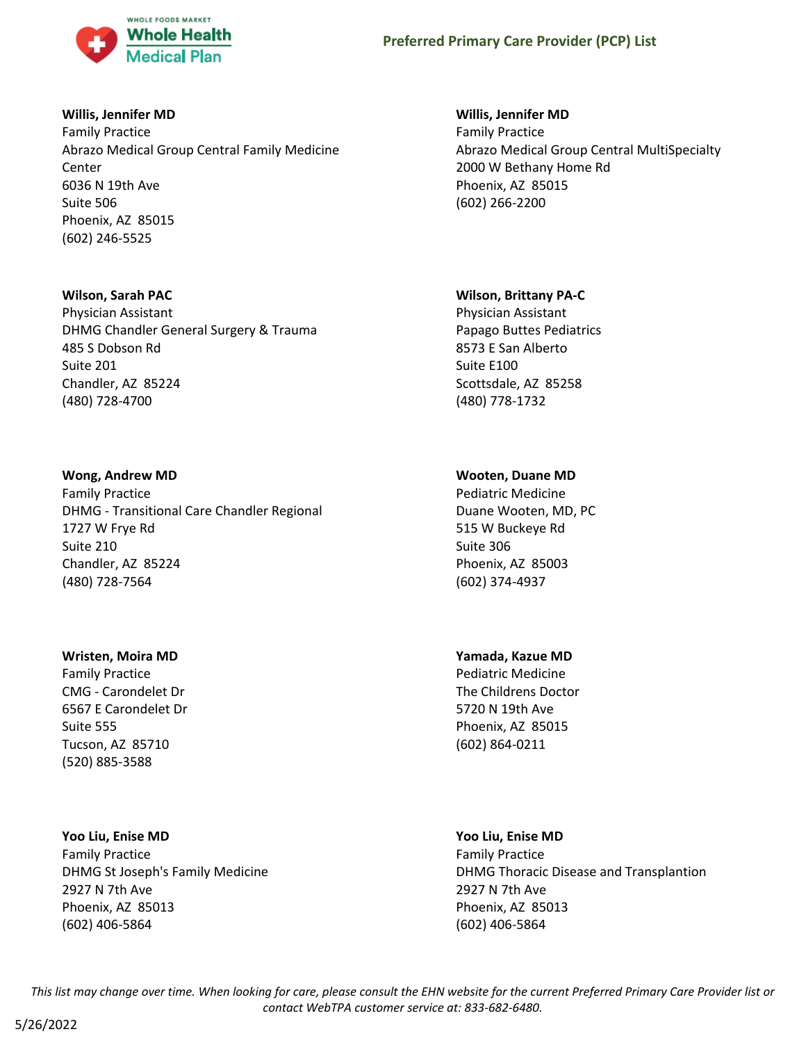

### **Willis, Jennifer MD**

Family Practice Abrazo Medical Group Central Family Medicine Center 6036 N 19th Ave Suite 506 Phoenix, AZ 85015 (602) 246-5525

### **Wilson, Sarah PAC**

Physician Assistant DHMG Chandler General Surgery & Trauma 485 S Dobson Rd Suite 201 Chandler, AZ 85224 (480) 728-4700

### **Wong, Andrew MD**

Family Practice DHMG - Transitional Care Chandler Regional 1727 W Frye Rd Suite 210 Chandler, AZ 85224 (480) 728-7564

### **Wristen, Moira MD**

Family Practice CMG - Carondelet Dr 6567 E Carondelet Dr Suite 555 Tucson, AZ 85710 (520) 885-3588

# **Yoo Liu, Enise MD**

Family Practice DHMG St Joseph's Family Medicine 2927 N 7th Ave Phoenix, AZ 85013 (602) 406-5864

### **Willis, Jennifer MD**

Family Practice Abrazo Medical Group Central MultiSpecialty 2000 W Bethany Home Rd Phoenix, AZ 85015 (602) 266-2200

### **Wilson, Brittany PA-C**

Physician Assistant Papago Buttes Pediatrics 8573 E San Alberto Suite E100 Scottsdale, AZ 85258 (480) 778-1732

# **Wooten, Duane MD**

Pediatric Medicine Duane Wooten, MD, PC 515 W Buckeye Rd Suite 306 Phoenix, AZ 85003 (602) 374-4937

# **Yamada, Kazue MD**

Pediatric Medicine The Childrens Doctor 5720 N 19th Ave Phoenix, AZ 85015 (602) 864-0211

# **Yoo Liu, Enise MD**

Family Practice DHMG Thoracic Disease and Transplantion 2927 N 7th Ave Phoenix, AZ 85013 (602) 406-5864